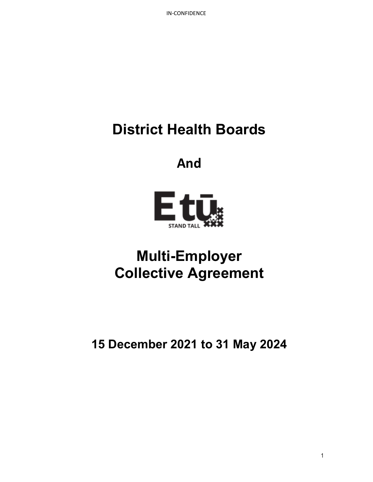# **District Health Boards**

## **And**



## **Multi-Employer Collective Agreement**

**15 December 2021 to 31 May 2024**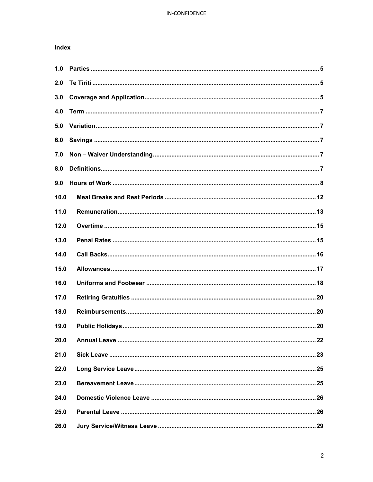## Index

| 1.0  |  |
|------|--|
| 2.0  |  |
| 3.0  |  |
| 4.0  |  |
| 5.0  |  |
| 6.0  |  |
| 7.0  |  |
| 8.0  |  |
| 9.0  |  |
| 10.0 |  |
| 11.0 |  |
| 12.0 |  |
| 13.0 |  |
| 14.0 |  |
| 15.0 |  |
| 16.0 |  |
| 17.0 |  |
| 18.0 |  |
| 19.0 |  |
| 20.0 |  |
| 21.0 |  |
| 22.0 |  |
| 23.0 |  |
| 24.0 |  |
| 25.0 |  |
| 26.0 |  |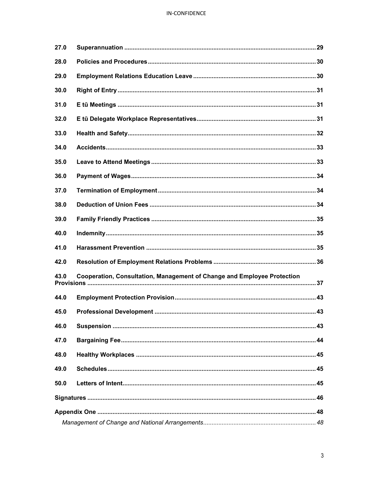## IN-CONFIDENCE

| 27.0 |                                                                         |  |  |  |  |
|------|-------------------------------------------------------------------------|--|--|--|--|
| 28.0 |                                                                         |  |  |  |  |
| 29.0 |                                                                         |  |  |  |  |
| 30.0 |                                                                         |  |  |  |  |
| 31.0 |                                                                         |  |  |  |  |
| 32.0 |                                                                         |  |  |  |  |
| 33.0 |                                                                         |  |  |  |  |
| 34.0 |                                                                         |  |  |  |  |
| 35.0 |                                                                         |  |  |  |  |
| 36.0 |                                                                         |  |  |  |  |
| 37.0 |                                                                         |  |  |  |  |
| 38.0 |                                                                         |  |  |  |  |
| 39.0 |                                                                         |  |  |  |  |
| 40.0 |                                                                         |  |  |  |  |
| 41.0 |                                                                         |  |  |  |  |
| 42.0 |                                                                         |  |  |  |  |
| 43.0 | Cooperation, Consultation, Management of Change and Employee Protection |  |  |  |  |
| 44.0 |                                                                         |  |  |  |  |
| 45.0 |                                                                         |  |  |  |  |
| 46.0 |                                                                         |  |  |  |  |
| 47.0 |                                                                         |  |  |  |  |
| 48.0 |                                                                         |  |  |  |  |
| 49.0 |                                                                         |  |  |  |  |
| 50.0 |                                                                         |  |  |  |  |
|      |                                                                         |  |  |  |  |
|      |                                                                         |  |  |  |  |
|      |                                                                         |  |  |  |  |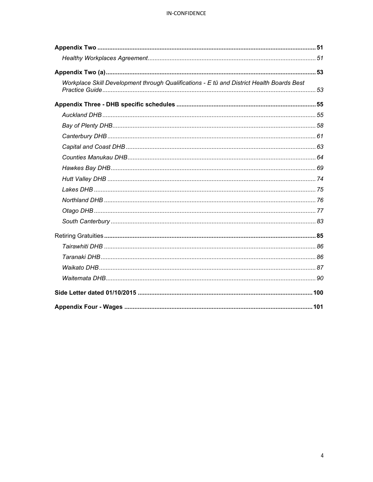## IN-CONFIDENCE

| Workplace Skill Development through Qualifications - E tū and District Health Boards Best |  |  |
|-------------------------------------------------------------------------------------------|--|--|
|                                                                                           |  |  |
|                                                                                           |  |  |
|                                                                                           |  |  |
|                                                                                           |  |  |
|                                                                                           |  |  |
|                                                                                           |  |  |
|                                                                                           |  |  |
|                                                                                           |  |  |
|                                                                                           |  |  |
|                                                                                           |  |  |
|                                                                                           |  |  |
|                                                                                           |  |  |
|                                                                                           |  |  |
|                                                                                           |  |  |
|                                                                                           |  |  |
|                                                                                           |  |  |
|                                                                                           |  |  |
|                                                                                           |  |  |
|                                                                                           |  |  |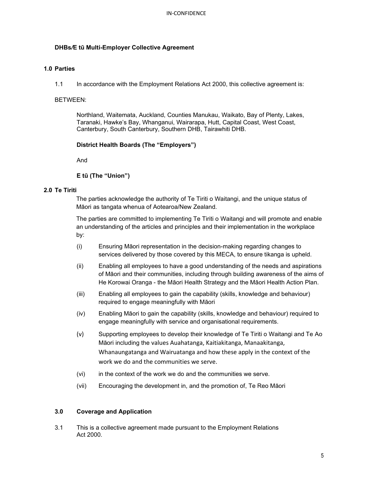## **DHBs***/***E tū Multi-Employer Collective Agreement**

## **1.0 Parties**

1.1 In accordance with the Employment Relations Act 2000, this collective agreement is:

#### BETWEEN:

Northland, Waitemata, Auckland, Counties Manukau, Waikato, Bay of Plenty, Lakes, Taranaki, Hawke's Bay, Whanganui, Wairarapa, Hutt, Capital Coast, West Coast, Canterbury, South Canterbury, Southern DHB, Tairawhiti DHB.

#### **District Health Boards (The "Employers")**

And

## **E tū (The "Union")**

#### **2.0 Te Tiriti**

The parties acknowledge the authority of Te Tiriti o Waitangi, and the unique status of Māori as tangata whenua of Aotearoa/New Zealand.

The parties are committed to implementing Te Tiriti o Waitangi and will promote and enable an understanding of the articles and principles and their implementation in the workplace by:

- (i) Ensuring Māori representation in the decision-making regarding changes to services delivered by those covered by this MECA, to ensure tikanga is upheld.
- (ii) Enabling all employees to have a good understanding of the needs and aspirations of Māori and their communities, including through building awareness of the aims of He Korowai Oranga - the Māori Health Strategy and the Māori Health Action Plan.
- (iii) Enabling all employees to gain the capability (skills, knowledge and behaviour) required to engage meaningfully with Māori
- (iv) Enabling Māori to gain the capability (skills, knowledge and behaviour) required to engage meaningfully with service and organisational requirements.
- (v) Supporting employees to develop their knowledge of Te Tiriti o Waitangi and Te Ao Māori including the values Auahatanga, Kaitiakitanga, Manaakitanga, Whanaungatanga and Wairuatanga and how these apply in the context of the work we do and the communities we serve.
- (vi) in the context of the work we do and the communities we serve.
- (vii) Encouraging the development in, and the promotion of, Te Reo Māori

## **3.0 Coverage and Application**

3.1 This is a collective agreement made pursuant to the Employment Relations Act 2000.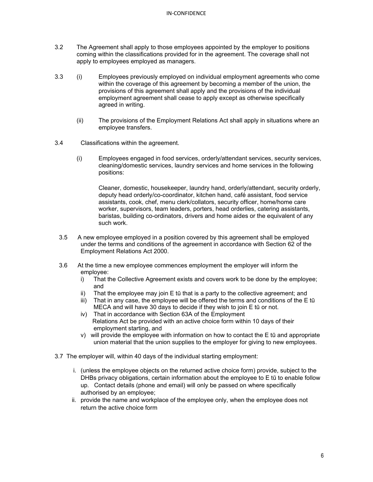- 3.2 The Agreement shall apply to those employees appointed by the employer to positions coming within the classifications provided for in the agreement. The coverage shall not apply to employees employed as managers.
- 3.3 (i) Employees previously employed on individual employment agreements who come within the coverage of this agreement by becoming a member of the union, the provisions of this agreement shall apply and the provisions of the individual employment agreement shall cease to apply except as otherwise specifically agreed in writing.
	- (ii) The provisions of the Employment Relations Act shall apply in situations where an employee transfers.
- 3.4 Classifications within the agreement.
	- (i) Employees engaged in food services, orderly/attendant services, security services, cleaning/domestic services, laundry services and home services in the following positions:

Cleaner, domestic, housekeeper, laundry hand, orderly/attendant, security orderly, deputy head orderly/co-coordinator, kitchen hand, café assistant, food service assistants, cook, chef, menu clerk/collators, security officer, home/home care worker, supervisors, team leaders, porters, head orderlies, catering assistants, baristas, building co-ordinators, drivers and home aides or the equivalent of any such work.

- 3.5 A new employee employed in a position covered by this agreement shall be employed under the terms and conditions of the agreement in accordance with Section 62 of the Employment Relations Act 2000.
- 3.6 At the time a new employee commences employment the employer will inform the employee:
	- i) That the Collective Agreement exists and covers work to be done by the employee; and
	- ii) That the employee may join E tū that is a party to the collective agreement; and
	- iii) That in any case, the employee will be offered the terms and conditions of the E tū MECA and will have 30 days to decide if they wish to join E tū or not.
	- iv) That in accordance with Section 63A of the Employment Relations Act be provided with an active choice form within 10 days of their employment starting, and
	- v) will provide the employee with information on how to contact the E tū and appropriate union material that the union supplies to the employer for giving to new employees.
- 3.7 The employer will, within 40 days of the individual starting employment:
	- i. (unless the employee objects on the returned active choice form) provide, subject to the DHBs privacy obligations, certain information about the employee to E tū to enable follow up. Contact details (phone and email) will only be passed on where specifically authorised by an employee;
	- ii. provide the name and workplace of the employee only, when the employee does not return the active choice form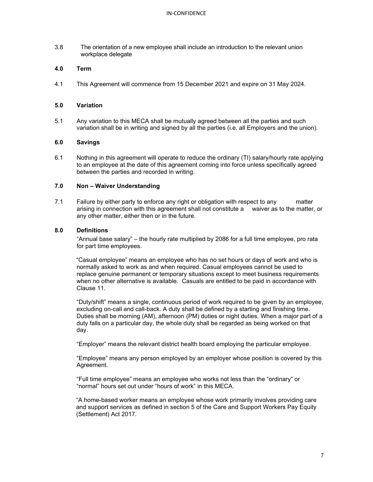3.8 The orientation of a new employee shall include an introduction to the relevant union workplace delegate

#### **4.0 Term**

4.1 This Agreement will commence from 15 December 2021 and expire on 31 May 2024.

#### **5.0 Variation**

5.1 Any variation to this MECA shall be mutually agreed between all the parties and such variation shall be in writing and signed by all the parties (i.e. all Employers and the union).

#### **6.0 Savings**

6.1 Nothing in this agreement will operate to reduce the ordinary (TI) salary/hourly rate applying to an employee at the date of this agreement coming into force unless specifically agreed between the parties and recorded in writing.

### **7.0 Non – Waiver Understanding**

7.1 Failure by either party to enforce any right or obligation with respect to any matter arising in connection with this agreement shall not constitute a waiver as to the matter, or any other matter, either then or in the future.

#### **8.0 Definitions**

"Annual base salary" – the hourly rate multiplied by 2086 for a full time employee, pro rata for part time employees.

"Casual employee" means an employee who has no set hours or days of work and who is normally asked to work as and when required. Casual employees cannot be used to replace genuine permanent or temporary situations except to meet business requirements when no other alternative is available. Casuals are entitled to be paid in accordance with Clause 11.

"Duty/shift" means a single, continuous period of work required to be given by an employee, excluding on-call and call-back. A duty shall be defined by a starting and finishing time. Duties shall be morning (AM), afternoon (PM) duties or night duties. When a major part of a duty falls on a particular day, the whole duty shall be regarded as being worked on that day.

"Employer" means the relevant district health board employing the particular employee.

"Employee" means any person employed by an employer whose position is covered by this Agreement.

"Full time employee" means an employee who works not less than the "ordinary" or "normal" hours set out under "hours of work" in this MECA.

"A home-based worker means an employee whose work primarily involves providing care and support services as defined in section 5 of the Care and Support Workers Pay Equity (Settlement) Act 2017.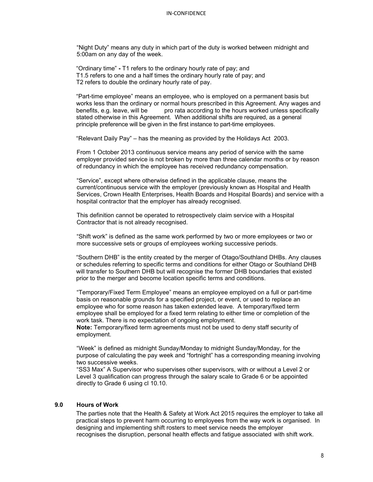"Night Duty" means any duty in which part of the duty is worked between midnight and 5:00am on any day of the week.

"Ordinary time" **-** T1 refers to the ordinary hourly rate of pay; and T1.5 refers to one and a half times the ordinary hourly rate of pay; and T2 refers to double the ordinary hourly rate of pay.

"Part-time employee" means an employee, who is employed on a permanent basis but works less than the ordinary or normal hours prescribed in this Agreement. Any wages and pro rata according to the hours worked unless specifically stated otherwise in this Agreement. When additional shifts are required, as a general principle preference will be given in the first instance to part-time employees.

"Relevant Daily Pay" – has the meaning as provided by the Holidays Act 2003.

From 1 October 2013 continuous service means any period of service with the same employer provided service is not broken by more than three calendar months or by reason of redundancy in which the employee has received redundancy compensation.

"Service", except where otherwise defined in the applicable clause, means the current/continuous service with the employer (previously known as Hospital and Health Services, Crown Health Enterprises, Health Boards and Hospital Boards) and service with a hospital contractor that the employer has already recognised.

This definition cannot be operated to retrospectively claim service with a Hospital Contractor that is not already recognised.

"Shift work" is defined as the same work performed by two or more employees or two or more successive sets or groups of employees working successive periods.

"Southern DHB" is the entity created by the merger of Otago/Southland DHBs. Any clauses or schedules referring to specific terms and conditions for either Otago or Southland DHB will transfer to Southern DHB but will recognise the former DHB boundaries that existed prior to the merger and become location specific terms and conditions.

"Temporary/Fixed Term Employee" means an employee employed on a full or part-time basis on reasonable grounds for a specified project, or event, or used to replace an employee who for some reason has taken extended leave. A temporary/fixed term employee shall be employed for a fixed term relating to either time or completion of the work task. There is no expectation of ongoing employment.

**Note:** Temporary/fixed term agreements must not be used to deny staff security of employment.

"Week" is defined as midnight Sunday/Monday to midnight Sunday/Monday, for the purpose of calculating the pay week and "fortnight" has a corresponding meaning involving two successive weeks.

"SS3 Max" A Supervisor who supervises other supervisors, with or without a Level 2 or Level 3 qualification can progress through the salary scale to Grade 6 or be appointed directly to Grade 6 using cl 10.10.

#### **9.0 Hours of Work**

The parties note that the Health & Safety at Work Act 2015 requires the employer to take all practical steps to prevent harm occurring to employees from the way work is organised. In designing and implementing shift rosters to meet service needs the employer recognises the disruption, personal health effects and fatigue associated with shift work.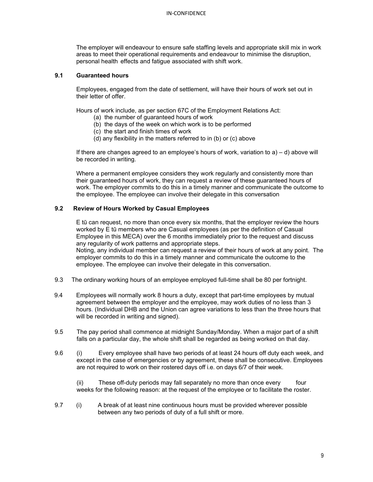The employer will endeavour to ensure safe staffing levels and appropriate skill mix in work areas to meet their operational requirements and endeavour to minimise the disruption, personal health effects and fatigue associated with shift work.

#### **9.1 Guaranteed hours**

Employees, engaged from the date of settlement, will have their hours of work set out in their letter of offer.

Hours of work include, as per section 67C of the Employment Relations Act:

- (a) the number of guaranteed hours of work
- (b) the days of the week on which work is to be performed
- (c) the start and finish times of work
- (d) any flexibility in the matters referred to in (b) or (c) above

If there are changes agreed to an employee's hours of work, variation to a) – d) above will be recorded in writing.

Where a permanent employee considers they work regularly and consistently more than their guaranteed hours of work, they can request a review of these guaranteed hours of work. The employer commits to do this in a timely manner and communicate the outcome to the employee. The employee can involve their delegate in this conversation

## **9.2 Review of Hours Worked by Casual Employees**

E tū can request, no more than once every six months, that the employer review the hours worked by E tū members who are Casual employees (as per the definition of Casual Employee in this MECA) over the 6 months immediately prior to the request and discuss any regularity of work patterns and appropriate steps. Noting, any individual member can request a review of their hours of work at any point. The

employer commits to do this in a timely manner and communicate the outcome to the employee. The employee can involve their delegate in this conversation.

- 9.3 The ordinary working hours of an employee employed full-time shall be 80 per fortnight.
- 9.4 Employees will normally work 8 hours a duty, except that part-time employees by mutual agreement between the employer and the employee, may work duties of no less than 3 hours. (Individual DHB and the Union can agree variations to less than the three hours that will be recorded in writing and signed).
- 9.5 The pay period shall commence at midnight Sunday/Monday. When a major part of a shift falls on a particular day, the whole shift shall be regarded as being worked on that day.
- 9.6 (i) Every employee shall have two periods of at least 24 hours off duty each week, and except in the case of emergencies or by agreement, these shall be consecutive. Employees are not required to work on their rostered days off i.e. on days 6/7 of their week.

(ii) These off-duty periods may fall separately no more than once every four weeks for the following reason: at the request of the employee or to facilitate the roster.

9.7 (i) A break of at least nine continuous hours must be provided wherever possible between any two periods of duty of a full shift or more.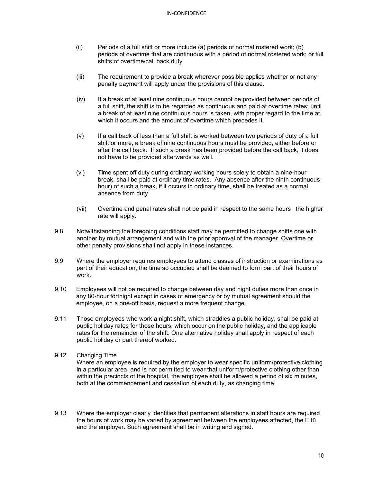- (ii) Periods of a full shift or more include (a) periods of normal rostered work; (b) periods of overtime that are continuous with a period of normal rostered work; or full shifts of overtime/call back duty.
- (iii) The requirement to provide a break wherever possible applies whether or not any penalty payment will apply under the provisions of this clause.
- (iv) If a break of at least nine continuous hours cannot be provided between periods of a full shift, the shift is to be regarded as continuous and paid at overtime rates; until a break of at least nine continuous hours is taken, with proper regard to the time at which it occurs and the amount of overtime which precedes it.
- (v) If a call back of less than a full shift is worked between two periods of duty of a full shift or more, a break of nine continuous hours must be provided, either before or after the call back. If such a break has been provided before the call back, it does not have to be provided afterwards as well.
- (vi) Time spent off duty during ordinary working hours solely to obtain a nine-hour break, shall be paid at ordinary time rates. Any absence after the ninth continuous hour) of such a break, if it occurs in ordinary time, shall be treated as a normal absence from duty.
- (vii) Overtime and penal rates shall not be paid in respect to the same hours the higher rate will apply.
- 9.8 Notwithstanding the foregoing conditions staff may be permitted to change shifts one with another by mutual arrangement and with the prior approval of the manager. Overtime or other penalty provisions shall not apply in these instances.
- 9.9 Where the employer requires employees to attend classes of instruction or examinations as part of their education, the time so occupied shall be deemed to form part of their hours of work.
- 9.10 Employees will not be required to change between day and night duties more than once in any 80-hour fortnight except in cases of emergency or by mutual agreement should the employee, on a one-off basis, request a more frequent change.
- 9.11 Those employees who work a night shift, which straddles a public holiday, shall be paid at public holiday rates for those hours, which occur on the public holiday, and the applicable rates for the remainder of the shift. One alternative holiday shall apply in respect of each public holiday or part thereof worked.
- 9.12 Changing Time

Where an employee is required by the employer to wear specific uniform/protective clothing in a particular area and is not permitted to wear that uniform/protective clothing other than within the precincts of the hospital, the employee shall be allowed a period of six minutes, both at the commencement and cessation of each duty, as changing time.

9.13 Where the employer clearly identifies that permanent alterations in staff hours are required the hours of work may be varied by agreement between the employees affected, the E tū and the employer. Such agreement shall be in writing and signed.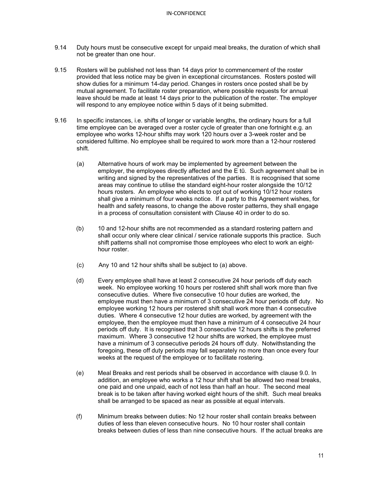- 9.14 Duty hours must be consecutive except for unpaid meal breaks, the duration of which shall not be greater than one hour.
- 9.15 Rosters will be published not less than 14 days prior to commencement of the roster provided that less notice may be given in exceptional circumstances. Rosters posted will show duties for a minimum 14-day period. Changes in rosters once posted shall be by mutual agreement. To facilitate roster preparation, where possible requests for annual leave should be made at least 14 days prior to the publication of the roster. The employer will respond to any employee notice within 5 days of it being submitted.
- 9.16 In specific instances, i.e. shifts of longer or variable lengths, the ordinary hours for a full time employee can be averaged over a roster cycle of greater than one fortnight e.g. an employee who works 12-hour shifts may work 120 hours over a 3-week roster and be considered fulltime. No employee shall be required to work more than a 12-hour rostered shift.
	- (a) Alternative hours of work may be implemented by agreement between the employer, the employees directly affected and the E tū. Such agreement shall be in writing and signed by the representatives of the parties. It is recognised that some areas may continue to utilise the standard eight-hour roster alongside the 10/12 hours rosters. An employee who elects to opt out of working 10/12 hour rosters shall give a minimum of four weeks notice. If a party to this Agreement wishes, for health and safety reasons, to change the above roster patterns, they shall engage in a process of consultation consistent with Clause 40 in order to do so.
	- (b) 10 and 12-hour shifts are not recommended as a standard rostering pattern and shall occur only where clear clinical / service rationale supports this practice. Such shift patterns shall not compromise those employees who elect to work an eighthour roster.
	- (c) Any 10 and 12 hour shifts shall be subject to (a) above.
	- (d) Every employee shall have at least 2 consecutive 24 hour periods off duty each week. No employee working 10 hours per rostered shift shall work more than five consecutive duties. Where five consecutive 10 hour duties are worked, the employee must then have a minimum of 3 consecutive 24 hour periods off duty. No employee working 12 hours per rostered shift shall work more than 4 consecutive duties. Where 4 consecutive 12 hour duties are worked, by agreement with the employee, then the employee must then have a minimum of 4 consecutive 24 hour periods off duty. It is recognised that 3 consecutive 12 hours shifts is the preferred maximum. Where 3 consecutive 12 hour shifts are worked, the employee must have a minimum of 3 consecutive periods 24 hours off duty. Notwithstanding the foregoing, these off duty periods may fall separately no more than once every four weeks at the request of the employee or to facilitate rostering.
	- (e) Meal Breaks and rest periods shall be observed in accordance with clause 9.0. In addition, an employee who works a 12 hour shift shall be allowed two meal breaks, one paid and one unpaid, each of not less than half an hour. The second meal break is to be taken after having worked eight hours of the shift. Such meal breaks shall be arranged to be spaced as near as possible at equal intervals.
	- (f) Minimum breaks between duties: No 12 hour roster shall contain breaks between duties of less than eleven consecutive hours. No 10 hour roster shall contain breaks between duties of less than nine consecutive hours. If the actual breaks are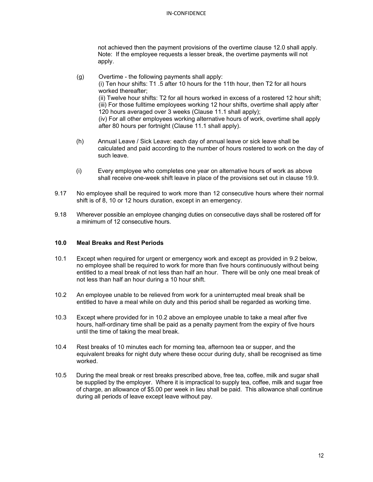not achieved then the payment provisions of the overtime clause 12.0 shall apply. Note: If the employee requests a lesser break, the overtime payments will not apply.

- (g) Overtime the following payments shall apply: (i) Ten hour shifts: T1 .5 after 10 hours for the 11th hour, then T2 for all hours worked thereafter; (ii) Twelve hour shifts: T2 for all hours worked in excess of a rostered 12 hour shift; (iii) For those fulltime employees working 12 hour shifts, overtime shall apply after 120 hours averaged over 3 weeks (Clause 11.1 shall apply); (iv) For all other employees working alternative hours of work, overtime shall apply after 80 hours per fortnight (Clause 11.1 shall apply).
	- (h) Annual Leave / Sick Leave: each day of annual leave or sick leave shall be calculated and paid according to the number of hours rostered to work on the day of such leave.
	- (i) Every employee who completes one year on alternative hours of work as above shall receive one-week shift leave in place of the provisions set out in clause 19.9.
- 9.17 No employee shall be required to work more than 12 consecutive hours where their normal shift is of 8, 10 or 12 hours duration, except in an emergency.
- 9.18 Wherever possible an employee changing duties on consecutive days shall be rostered off for a minimum of 12 consecutive hours.

## **10.0 Meal Breaks and Rest Periods**

- 10.1 Except when required for urgent or emergency work and except as provided in 9.2 below, no employee shall be required to work for more than five hours continuously without being entitled to a meal break of not less than half an hour. There will be only one meal break of not less than half an hour during a 10 hour shift.
- 10.2 An employee unable to be relieved from work for a uninterrupted meal break shall be entitled to have a meal while on duty and this period shall be regarded as working time.
- 10.3 Except where provided for in 10.2 above an employee unable to take a meal after five hours, half-ordinary time shall be paid as a penalty payment from the expiry of five hours until the time of taking the meal break.
- 10.4 Rest breaks of 10 minutes each for morning tea, afternoon tea or supper, and the equivalent breaks for night duty where these occur during duty, shall be recognised as time worked.
- 10.5 During the meal break or rest breaks prescribed above, free tea, coffee, milk and sugar shall be supplied by the employer. Where it is impractical to supply tea, coffee, milk and sugar free of charge, an allowance of \$5.00 per week in lieu shall be paid. This allowance shall continue during all periods of leave except leave without pay.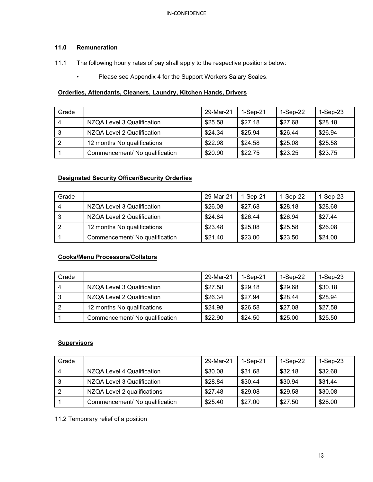## **11.0 Remuneration**

- 11.1 The following hourly rates of pay shall apply to the respective positions below:
	- Please see Appendix 4 for the Support Workers Salary Scales.

## **Orderlies, Attendants, Cleaners, Laundry, Kitchen Hands, Drivers**

| Grade |                                | 29-Mar-21 | $1-Sep-21$ | $1-Sep-22$ | $1-Sep-23$ |
|-------|--------------------------------|-----------|------------|------------|------------|
| -4    | NZQA Level 3 Qualification     | \$25.58   | \$27.18    | \$27.68    | \$28.18    |
| 3     | NZQA Level 2 Qualification     | \$24.34   | \$25.94    | \$26.44    | \$26.94    |
| - 2   | 12 months No qualifications    | \$22.98   | \$24.58    | \$25.08    | \$25.58    |
|       | Commencement/ No qualification | \$20.90   | \$22.75    | \$23.25    | \$23.75    |

## **Designated Security Officer/Security Orderlies**

| Grade |                                | 29-Mar-21 | $1-Sep-21$ | $1-Sep-22$ | $1-Sep-23$ |
|-------|--------------------------------|-----------|------------|------------|------------|
| Δ     | NZQA Level 3 Qualification     | \$26.08   | \$27.68    | \$28.18    | \$28.68    |
|       | NZQA Level 2 Qualification     | \$24.84   | \$26.44    | \$26.94    | \$27.44    |
|       | 12 months No qualifications    | \$23.48   | \$25.08    | \$25.58    | \$26.08    |
|       | Commencement/ No qualification | \$21.40   | \$23.00    | \$23.50    | \$24.00    |

## **Cooks/Menu Processors/Collators**

| Grade |                                | 29-Mar-21 | $1-Sep-21$ | $1-Sep-22$ | $1-Sep-23$ |
|-------|--------------------------------|-----------|------------|------------|------------|
| 4     | NZQA Level 3 Qualification     | \$27.58   | \$29.18    | \$29.68    | \$30.18    |
| 3     | NZQA Level 2 Qualification     | \$26.34   | \$27.94    | \$28.44    | \$28.94    |
|       | 12 months No qualifications    | \$24.98   | \$26.58    | \$27.08    | \$27.58    |
|       | Commencement/ No qualification | \$22.90   | \$24.50    | \$25.00    | \$25.50    |

## **Supervisors**

| Grade |                                | 29-Mar-21 | $1-Sep-21$ | 1-Sep-22 | 1-Sep-23 |
|-------|--------------------------------|-----------|------------|----------|----------|
| -4    | NZQA Level 4 Qualification     | \$30.08   | \$31.68    | \$32.18  | \$32.68  |
| -3    | NZQA Level 3 Qualification     | \$28.84   | \$30.44    | \$30.94  | \$31.44  |
| l 2   | NZQA Level 2 qualifications    | \$27.48   | \$29.08    | \$29.58  | \$30.08  |
|       | Commencement/ No qualification | \$25.40   | \$27.00    | \$27.50  | \$28.00  |

11.2 Temporary relief of a position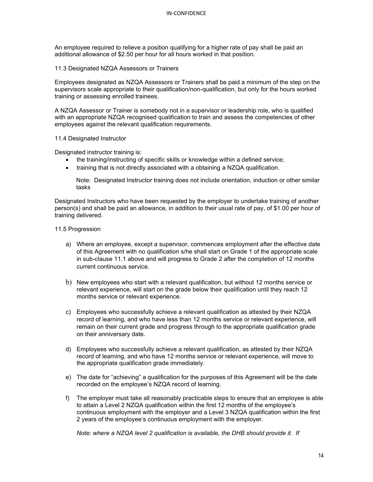An employee required to relieve a position qualifying for a higher rate of pay shall be paid an additional allowance of \$2.50 per hour for all hours worked in that position.

11.3 Designated NZQA Assessors or Trainers

Employees designated as NZQA Assessors or Trainers shall be paid a minimum of the step on the supervisors scale appropriate to their qualification/non-qualification, but only for the hours worked training or assessing enrolled trainees.

A NZQA Assessor or Trainer is somebody not in a supervisor or leadership role, who is qualified with an appropriate NZQA recognised qualification to train and assess the competencies of other employees against the relevant qualification requirements.

11.4 Designated Instructor

Designated instructor training is:

- the training/instructing of specific skills or knowledge within a defined service;
- training that is not directly associated with a obtaining a NZQA qualification.

Note: Designated Instructor training does not include orientation, induction or other similar tasks

Designated Instructors who have been requested by the employer to undertake training of another person(s) and shall be paid an allowance, in addition to their usual rate of pay, of \$1.00 per hour of training delivered.

11.5 Progression

- a) Where an employee, except a supervisor, commences employment after the effective date of this Agreement with no qualification s/he shall start on Grade 1 of the appropriate scale in sub-clause 11.1 above and will progress to Grade 2 after the completion of 12 months current continuous service.
- b) New employees who start with a relevant qualification, but without 12 months service or relevant experience, will start on the grade below their qualification until they reach 12 months service or relevant experience.
- c) Employees who successfully achieve a relevant qualification as attested by their NZQA record of learning, and who have less than 12 months service or relevant experience, will remain on their current grade and progress through to the appropriate qualification grade on their anniversary date.
- d) Employees who successfully achieve a relevant qualification, as attested by their NZQA record of learning, and who have 12 months service or relevant experience, will move to the appropriate qualification grade immediately.
- e) The date for "achieving" a qualification for the purposes of this Agreement will be the date recorded on the employee's NZQA record of learning.
- f) The employer must take all reasonably practicable steps to ensure that an employee is able to attain a Level 2 NZQA qualification within the first 12 months of the employee's continuous employment with the employer and a Level 3 NZQA qualification within the first 2 years of the employee's continuous employment with the employer.

*Note: where a NZQA level 2 qualification is available, the DHB should provide it. If*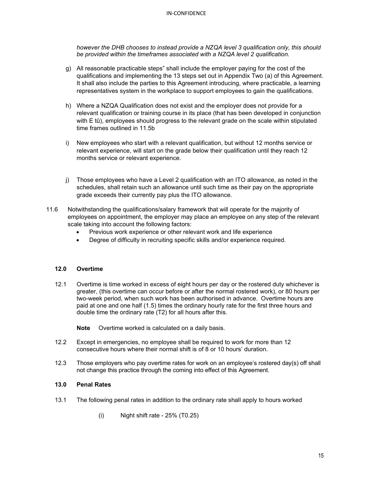#### IN-CONFIDENCE

*however the DHB chooses to instead provide a NZQA level 3 qualification only, this should be provided within the timeframes associated with a NZQA level 2 qualification.*

- g) All reasonable practicable steps" shall include the employer paying for the cost of the qualifications and implementing the 13 steps set out in Appendix Two (a) of this Agreement. It shall also include the parties to this Agreement introducing, where practicable, a learning representatives system in the workplace to support employees to gain the qualifications.
- h) Where a NZQA Qualification does not exist and the employer does not provide for a relevant qualification or training course in its place (that has been developed in conjunction with E tū), employees should progress to the relevant grade on the scale within stipulated time frames outlined in 11.5b
- i) New employees who start with a relevant qualification, but without 12 months service or relevant experience, will start on the grade below their qualification until they reach 12 months service or relevant experience.
- j) Those employees who have a Level 2 qualification with an ITO allowance, as noted in the schedules, shall retain such an allowance until such time as their pay on the appropriate grade exceeds their currently pay plus the ITO allowance.
- 11.6 Notwithstanding the qualifications/salary framework that will operate for the majority of employees on appointment, the employer may place an employee on any step of the relevant scale taking into account the following factors:
	- Previous work experience or other relevant work and life experience
	- Degree of difficulty in recruiting specific skills and/or experience required.

## **12.0 Overtime**

12.1 Overtime is time worked in excess of eight hours per day or the rostered duty whichever is greater, (this overtime can occur before or after the normal rostered work), or 80 hours per two-week period, when such work has been authorised in advance. Overtime hours are paid at one and one half (1.5) times the ordinary hourly rate for the first three hours and double time the ordinary rate (T2) for all hours after this.

**Note** Overtime worked is calculated on a daily basis.

- 12.2 Except in emergencies, no employee shall be required to work for more than 12 consecutive hours where their normal shift is of 8 or 10 hours' duration.
- 12.3 Those employers who pay overtime rates for work on an employee's rostered day(s) off shall not change this practice through the coming into effect of this Agreement.

## **13.0 Penal Rates**

- 13.1 The following penal rates in addition to the ordinary rate shall apply to hours worked
	- $(i)$  Night shift rate 25% (T0.25)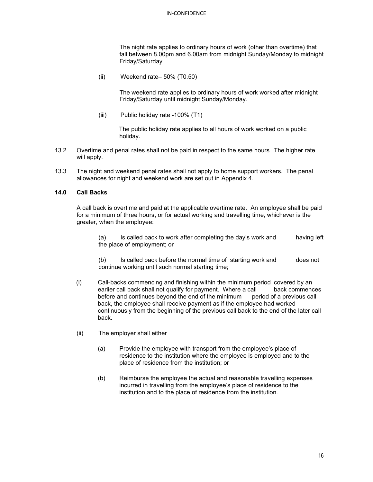#### IN-CONFIDENCE

The night rate applies to ordinary hours of work (other than overtime) that fall between 8.00pm and 6.00am from midnight Sunday/Monday to midnight Friday/Saturday

(ii) Weekend rate– 50% (T0.50)

The weekend rate applies to ordinary hours of work worked after midnight Friday/Saturday until midnight Sunday/Monday.

(iii) Public holiday rate -100% (T1)

The public holiday rate applies to all hours of work worked on a public holiday.

- 13.2 Overtime and penal rates shall not be paid in respect to the same hours. The higher rate will apply.
- 13.3 The night and weekend penal rates shall not apply to home support workers. The penal allowances for night and weekend work are set out in Appendix 4.

## **14.0 Call Backs**

A call back is overtime and paid at the applicable overtime rate. An employee shall be paid for a minimum of three hours, or for actual working and travelling time, whichever is the greater, when the employee:

(a) Is called back to work after completing the day's work and having left the place of employment; or

(b) Is called back before the normal time of starting work and does not continue working until such normal starting time;

- (i) Call-backs commencing and finishing within the minimum period covered by an earlier call back shall not qualify for payment. Where a call back commences before and continues beyond the end of the minimum period of a previous call back, the employee shall receive payment as if the employee had worked continuously from the beginning of the previous call back to the end of the later call back.
- (ii) The employer shall either
	- (a) Provide the employee with transport from the employee's place of residence to the institution where the employee is employed and to the place of residence from the institution; or
	- (b) Reimburse the employee the actual and reasonable travelling expenses incurred in travelling from the employee's place of residence to the institution and to the place of residence from the institution.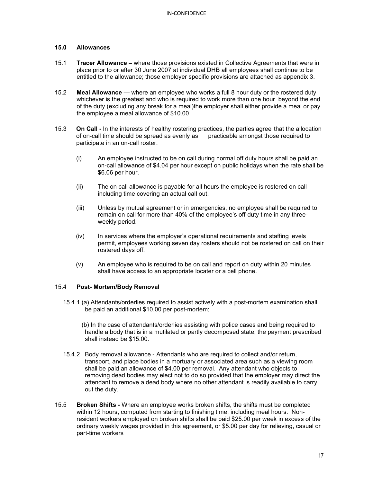## **15.0 Allowances**

- 15.1 **Tracer Allowance –** where those provisions existed in Collective Agreements that were in place prior to or after 30 June 2007 at individual DHB all employees shall continue to be entitled to the allowance; those employer specific provisions are attached as appendix 3.
- 15.2 **Meal Allowance**  where an employee who works a full 8 hour duty or the rostered duty whichever is the greatest and who is required to work more than one hour beyond the end of the duty (excluding any break for a meal)the employer shall either provide a meal or pay the employee a meal allowance of \$10.00
- 15.3 **On Call -** In the interests of healthy rostering practices, the parties agree that the allocation of on-call time should be spread as evenly as practicable amongst those required to of on-call time should be spread as evenly as participate in an on-call roster.
	- (i) An employee instructed to be on call during normal off duty hours shall be paid an on-call allowance of \$4.04 per hour except on public holidays when the rate shall be \$6.06 per hour.
	- (ii) The on call allowance is payable for all hours the employee is rostered on call including time covering an actual call out.
	- (iii) Unless by mutual agreement or in emergencies, no employee shall be required to remain on call for more than 40% of the employee's off-duty time in any threeweekly period.
	- (iv) In services where the employer's operational requirements and staffing levels permit, employees working seven day rosters should not be rostered on call on their rostered days off.
	- (v) An employee who is required to be on call and report on duty within 20 minutes shall have access to an appropriate locater or a cell phone.

## 15.4 **Post- Mortem/Body Removal**

- 15.4.1 (a) Attendants/orderlies required to assist actively with a post-mortem examination shall be paid an additional \$10.00 per post-mortem;
	- (b) In the case of attendants/orderlies assisting with police cases and being required to handle a body that is in a mutilated or partly decomposed state, the payment prescribed shall instead be \$15.00.
- 15.4.2 Body removal allowance Attendants who are required to collect and/or return, transport, and place bodies in a mortuary or associated area such as a viewing room shall be paid an allowance of \$4.00 per removal. Any attendant who objects to removing dead bodies may elect not to do so provided that the employer may direct the attendant to remove a dead body where no other attendant is readily available to carry out the duty.
- 15.5 **Broken Shifts -** Where an employee works broken shifts, the shifts must be completed within 12 hours, computed from starting to finishing time, including meal hours. Nonresident workers employed on broken shifts shall be paid \$25.00 per week in excess of the ordinary weekly wages provided in this agreement, or \$5.00 per day for relieving, casual or part-time workers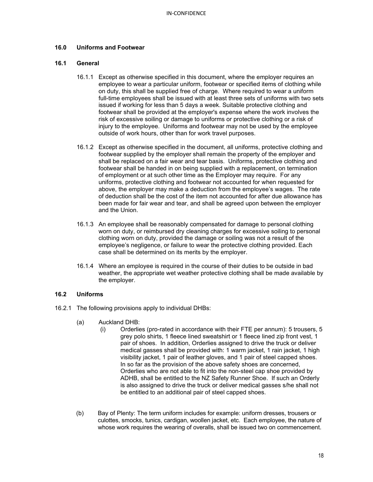#### **16.0 Uniforms and Footwear**

#### **16.1 General**

- 16.1.1 Except as otherwise specified in this document, where the employer requires an employee to wear a particular uniform, footwear or specified items of clothing while on duty, this shall be supplied free of charge. Where required to wear a uniform full-time employees shall be issued with at least three sets of uniforms with two sets issued if working for less than 5 days a week. Suitable protective clothing and footwear shall be provided at the employer's expense where the work involves the risk of excessive soiling or damage to uniforms or protective clothing or a risk of injury to the employee. Uniforms and footwear may not be used by the employee outside of work hours, other than for work travel purposes.
- 16.1.2 Except as otherwise specified in the document, all uniforms, protective clothing and footwear supplied by the employer shall remain the property of the employer and shall be replaced on a fair wear and tear basis. Uniforms, protective clothing and footwear shall be handed in on being supplied with a replacement, on termination of employment or at such other time as the Employer may require. For any uniforms, protective clothing and footwear not accounted for when requested for above, the employer may make a deduction from the employee's wages. The rate of deduction shall be the cost of the item not accounted for after due allowance has been made for fair wear and tear, and shall be agreed upon between the employer and the Union.
- 16.1.3 An employee shall be reasonably compensated for damage to personal clothing worn on duty, or reimbursed dry cleaning charges for excessive soiling to personal clothing worn on duty, provided the damage or soiling was not a result of the employee's negligence, or failure to wear the protective clothing provided. Each case shall be determined on its merits by the employer.
- 16.1.4 Where an employee is required in the course of their duties to be outside in bad weather, the appropriate wet weather protective clothing shall be made available by the employer.

#### **16.2 Uniforms**

- 16.2.1 The following provisions apply to individual DHBs:
	- (a) Auckland DHB:
		- (i) Orderlies (pro-rated in accordance with their FTE per annum): 5 trousers, 5 grey polo shirts, 1 fleece lined sweatshirt or 1 fleece lined zip front vest, 1 pair of shoes. In addition, Orderlies assigned to drive the truck or deliver medical gasses shall be provided with: 1 warm jacket, 1 rain jacket, 1 high visibility jacket, 1 pair of leather gloves, and 1 pair of steel capped shoes. In so far as the provision of the above safety shoes are concerned, Orderlies who are not able to fit into the non-steel cap shoe provided by ADHB, shall be entitled to the NZ Safety Runner Shoe. If such an Orderly is also assigned to drive the truck or deliver medical gasses s/he shall not be entitled to an additional pair of steel capped shoes.
	- (b) Bay of Plenty: The term uniform includes for example: uniform dresses, trousers or culottes, smocks, tunics, cardigan, woollen jacket, etc. Each employee, the nature of whose work requires the wearing of overalls, shall be issued two on commencement.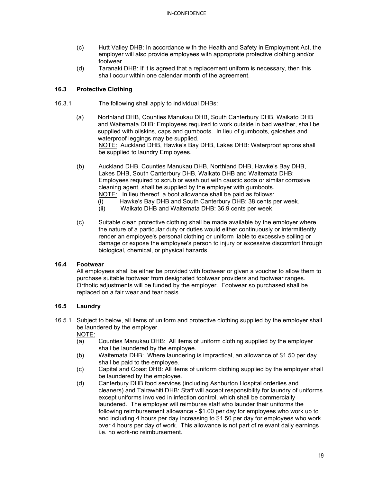- (c) Hutt Valley DHB: In accordance with the Health and Safety in Employment Act, the employer will also provide employees with appropriate protective clothing and/or footwear.
- (d) Taranaki DHB: If it is agreed that a replacement uniform is necessary, then this shall occur within one calendar month of the agreement.

## **16.3 Protective Clothing**

- 16.3.1 The following shall apply to individual DHBs:
	- (a) Northland DHB, Counties Manukau DHB, South Canterbury DHB, Waikato DHB and Waitemata DHB: Employees required to work outside in bad weather, shall be supplied with oilskins, caps and gumboots. In lieu of gumboots, galoshes and waterproof leggings may be supplied. NOTE: Auckland DHB, Hawke's Bay DHB, Lakes DHB: Waterproof aprons shall be supplied to laundry Employees.
	- (b) Auckland DHB, Counties Manukau DHB, Northland DHB, Hawke's Bay DHB, Lakes DHB, South Canterbury DHB, Waikato DHB and Waitemata DHB: Employees required to scrub or wash out with caustic soda or similar corrosive cleaning agent, shall be supplied by the employer with gumboots. NOTE: In lieu thereof, a boot allowance shall be paid as follows:
		- (i) Hawke's Bay DHB and South Canterbury DHB: 38 cents per week.
		- (ii) Waikato DHB and Waitemata DHB: 36.9 cents per week.
	- (c) Suitable clean protective clothing shall be made available by the employer where the nature of a particular duty or duties would either continuously or intermittently render an employee's personal clothing or uniform liable to excessive soiling or damage or expose the employee's person to injury or excessive discomfort through biological, chemical, or physical hazards.

## **16.4 Footwear**

All employees shall be either be provided with footwear or given a voucher to allow them to purchase suitable footwear from designated footwear providers and footwear ranges. Orthotic adjustments will be funded by the employer. Footwear so purchased shall be replaced on a fair wear and tear basis.

## **16.5 Laundry**

16.5.1 Subject to below, all items of uniform and protective clothing supplied by the employer shall be laundered by the employer.

 $\frac{\text{NOTE:}}{(\text{a})}$ 

- Counties Manukau DHB: All items of uniform clothing supplied by the employer shall be laundered by the employee.
- (b) Waitemata DHB: Where laundering is impractical, an allowance of \$1.50 per day shall be paid to the employee.
- (c) Capital and Coast DHB: All items of uniform clothing supplied by the employer shall be laundered by the employee.
- (d) Canterbury DHB food services (including Ashburton Hospital orderlies and cleaners) and Tairawhiti DHB: Staff will accept responsibility for laundry of uniforms except uniforms involved in infection control, which shall be commercially laundered. The employer will reimburse staff who launder their uniforms the following reimbursement allowance - \$1.00 per day for employees who work up to and including 4 hours per day increasing to \$1.50 per day for employees who work over 4 hours per day of work. This allowance is not part of relevant daily earnings i.e. no work-no reimbursement.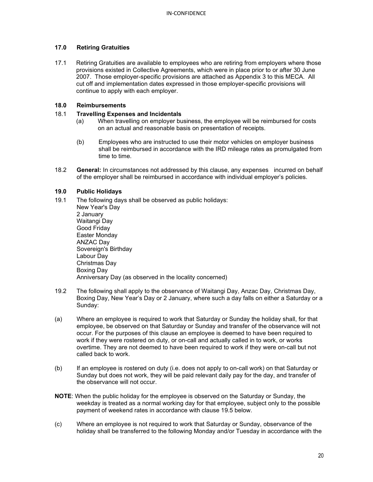## **17.0 Retiring Gratuities**

17.1 Retiring Gratuities are available to employees who are retiring from employers where those provisions existed in Collective Agreements, which were in place prior to or after 30 June 2007. Those employer-specific provisions are attached as Appendix 3 to this MECA. All cut off and implementation dates expressed in those employer-specific provisions will continue to apply with each employer.

## **18.0 Reimbursements**

## 18.1 **Travelling Expenses and Incidentals**

- (a) When travelling on employer business, the employee will be reimbursed for costs on an actual and reasonable basis on presentation of receipts.
- (b) Employees who are instructed to use their motor vehicles on employer business shall be reimbursed in accordance with the IRD mileage rates as promulgated from time to time.
- 18.2 **General:** In circumstances not addressed by this clause, any expenses incurred on behalf of the employer shall be reimbursed in accordance with individual employer's policies.

## **19.0 Public Holidays**

19.1 The following days shall be observed as public holidays: New Year's Day 2 January Waitangi Day Good Friday Easter Monday ANZAC Day Sovereign's Birthday Labour Day Christmas Day Boxing Day

Anniversary Day (as observed in the locality concerned)

- 19.2 The following shall apply to the observance of Waitangi Day, Anzac Day, Christmas Day, Boxing Day, New Year's Day or 2 January, where such a day falls on either a Saturday or a Sunday:
- (a) Where an employee is required to work that Saturday or Sunday the holiday shall, for that employee, be observed on that Saturday or Sunday and transfer of the observance will not occur. For the purposes of this clause an employee is deemed to have been required to work if they were rostered on duty, or on-call and actually called in to work, or works overtime. They are not deemed to have been required to work if they were on-call but not called back to work.
- (b) If an employee is rostered on duty (i.e. does not apply to on-call work) on that Saturday or Sunday but does not work, they will be paid relevant daily pay for the day, and transfer of the observance will not occur.
- **NOTE**: When the public holiday for the employee is observed on the Saturday or Sunday, the weekday is treated as a normal working day for that employee, subject only to the possible payment of weekend rates in accordance with clause 19.5 below.
- (c) Where an employee is not required to work that Saturday or Sunday, observance of the holiday shall be transferred to the following Monday and/or Tuesday in accordance with the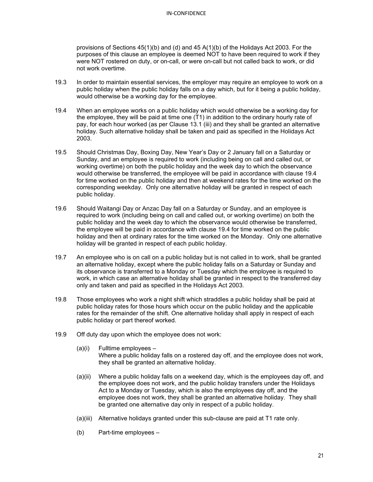provisions of Sections 45(1)(b) and (d) and 45 A(1)(b) of the Holidays Act 2003. For the purposes of this clause an employee is deemed NOT to have been required to work if they were NOT rostered on duty, or on-call, or were on-call but not called back to work, or did not work overtime.

- 19.3 In order to maintain essential services, the employer may require an employee to work on a public holiday when the public holiday falls on a day which, but for it being a public holiday, would otherwise be a working day for the employee.
- 19.4 When an employee works on a public holiday which would otherwise be a working day for the employee, they will be paid at time one (T1) in addition to the ordinary hourly rate of pay, for each hour worked (as per Clause 13.1 (iii) and they shall be granted an alternative holiday. Such alternative holiday shall be taken and paid as specified in the Holidays Act 2003.
- 19.5 Should Christmas Day, Boxing Day, New Year's Day or 2 January fall on a Saturday or Sunday, and an employee is required to work (including being on call and called out, or working overtime) on both the public holiday and the week day to which the observance would otherwise be transferred, the employee will be paid in accordance with clause 19.4 for time worked on the public holiday and then at weekend rates for the time worked on the corresponding weekday. Only one alternative holiday will be granted in respect of each public holiday.
- 19.6 Should Waitangi Day or Anzac Day fall on a Saturday or Sunday, and an employee is required to work (including being on call and called out, or working overtime) on both the public holiday and the week day to which the observance would otherwise be transferred, the employee will be paid in accordance with clause 19.4 for time worked on the public holiday and then at ordinary rates for the time worked on the Monday. Only one alternative holiday will be granted in respect of each public holiday.
- 19.7 An employee who is on call on a public holiday but is not called in to work, shall be granted an alternative holiday, except where the public holiday falls on a Saturday or Sunday and its observance is transferred to a Monday or Tuesday which the employee is required to work, in which case an alternative holiday shall be granted in respect to the transferred day only and taken and paid as specified in the Holidays Act 2003.
- 19.8 Those employees who work a night shift which straddles a public holiday shall be paid at public holiday rates for those hours which occur on the public holiday and the applicable rates for the remainder of the shift. One alternative holiday shall apply in respect of each public holiday or part thereof worked.
- 19.9 Off duty day upon which the employee does not work:
	- (a)(i) Fulltime employees Where a public holiday falls on a rostered day off, and the employee does not work, they shall be granted an alternative holiday.
	- (a)(ii) Where a public holiday falls on a weekend day, which is the employees day off, and the employee does not work, and the public holiday transfers under the Holidays Act to a Monday or Tuesday, which is also the employees day off, and the employee does not work, they shall be granted an alternative holiday. They shall be granted one alternative day only in respect of a public holiday.
	- (a)(iii) Alternative holidays granted under this sub-clause are paid at T1 rate only.
	- (b) Part-time employees –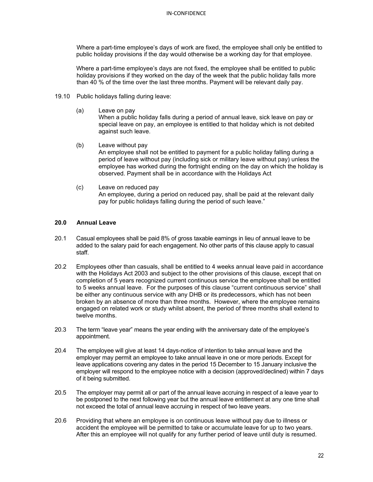Where a part-time employee's days of work are fixed, the employee shall only be entitled to public holiday provisions if the day would otherwise be a working day for that employee.

Where a part-time employee's days are not fixed, the employee shall be entitled to public holiday provisions if they worked on the day of the week that the public holiday falls more than 40 % of the time over the last three months. Payment will be relevant daily pay.

- 19.10 Public holidays falling during leave:
	- (a) Leave on pay

When a public holiday falls during a period of annual leave, sick leave on pay or special leave on pay, an employee is entitled to that holiday which is not debited against such leave.

- (b) Leave without pay An employee shall not be entitled to payment for a public holiday falling during a period of leave without pay (including sick or military leave without pay) unless the employee has worked during the fortnight ending on the day on which the holiday is observed. Payment shall be in accordance with the Holidays Act
- (c) Leave on reduced pay An employee, during a period on reduced pay, shall be paid at the relevant daily pay for public holidays falling during the period of such leave."

#### **20.0 Annual Leave**

- 20.1 Casual employees shall be paid 8% of gross taxable earnings in lieu of annual leave to be added to the salary paid for each engagement. No other parts of this clause apply to casual staff.
- 20.2 Employees other than casuals, shall be entitled to 4 weeks annual leave paid in accordance with the Holidays Act 2003 and subject to the other provisions of this clause, except that on completion of 5 years recognized current continuous service the employee shall be entitled to 5 weeks annual leave. For the purposes of this clause "current continuous service" shall be either any continuous service with any DHB or its predecessors, which has not been broken by an absence of more than three months. However, where the employee remains engaged on related work or study whilst absent, the period of three months shall extend to twelve months.
- 20.3 The term "leave year" means the year ending with the anniversary date of the employee's appointment.
- 20.4 The employee will give at least 14 days-notice of intention to take annual leave and the employer may permit an employee to take annual leave in one or more periods. Except for leave applications covering any dates in the period 15 December to 15 January inclusive the employer will respond to the employee notice with a decision (approved/declined) within 7 days of it being submitted.
- 20.5 The employer may permit all or part of the annual leave accruing in respect of a leave year to be postponed to the next following year but the annual leave entitlement at any one time shall not exceed the total of annual leave accruing in respect of two leave years.
- 20.6 Providing that where an employee is on continuous leave without pay due to illness or accident the employee will be permitted to take or accumulate leave for up to two years. After this an employee will not qualify for any further period of leave until duty is resumed.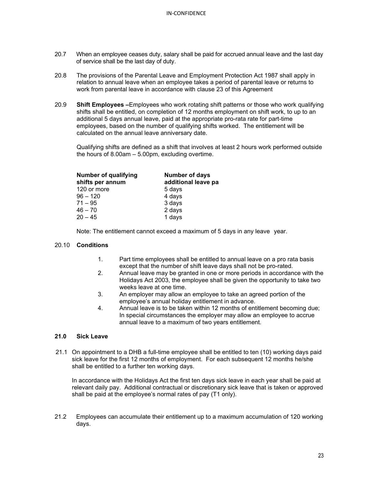- 20.7 When an employee ceases duty, salary shall be paid for accrued annual leave and the last day of service shall be the last day of duty.
- 20.8 The provisions of the Parental Leave and Employment Protection Act 1987 shall apply in relation to annual leave when an employee takes a period of parental leave or returns to work from parental leave in accordance with clause 23 of this Agreement
- 20.9 **Shift Employees –**Employees who work rotating shift patterns or those who work qualifying shifts shall be entitled, on completion of 12 months employment on shift work, to up to an additional 5 days annual leave, paid at the appropriate pro-rata rate for part-time employees, based on the number of qualifying shifts worked. The entitlement will be calculated on the annual leave anniversary date.

Qualifying shifts are defined as a shift that involves at least 2 hours work performed outside the hours of 8.00am – 5.00pm, excluding overtime.

| <b>Number of days</b><br>additional leave pa |
|----------------------------------------------|
| 5 days                                       |
| 4 days                                       |
| 3 days                                       |
| 2 days                                       |
| 1 days                                       |
|                                              |

Note: The entitlement cannot exceed a maximum of 5 days in any leave year.

#### 20.10 **Conditions**

- 1. Part time employees shall be entitled to annual leave on a pro rata basis except that the number of shift leave days shall not be pro-rated.
- 2. Annual leave may be granted in one or more periods in accordance with the Holidays Act 2003, the employee shall be given the opportunity to take two weeks leave at one time.
- 3. An employer may allow an employee to take an agreed portion of the employee's annual holiday entitlement in advance.
- 4. Annual leave is to be taken within 12 months of entitlement becoming due; In special circumstances the employer may allow an employee to accrue annual leave to a maximum of two years entitlement.

## **21.0 Sick Leave**

21.1 On appointment to a DHB a full-time employee shall be entitled to ten (10) working days paid sick leave for the first 12 months of employment. For each subsequent 12 months he/she shall be entitled to a further ten working days.

In accordance with the Holidays Act the first ten days sick leave in each year shall be paid at relevant daily pay. Additional contractual or discretionary sick leave that is taken or approved shall be paid at the employee's normal rates of pay (T1 only).

21.2 Employees can accumulate their entitlement up to a maximum accumulation of 120 working days.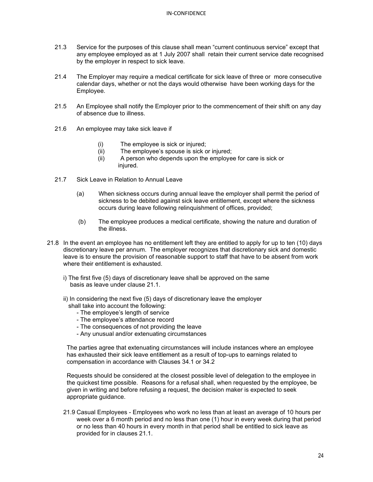- 21.3 Service for the purposes of this clause shall mean "current continuous service" except that any employee employed as at 1 July 2007 shall retain their current service date recognised by the employer in respect to sick leave.
- 21.4 The Employer may require a medical certificate for sick leave of three or more consecutive calendar days, whether or not the days would otherwise have been working days for the Employee.
- 21.5 An Employee shall notify the Employer prior to the commencement of their shift on any day of absence due to illness.
- 21.6 An employee may take sick leave if
	- (i) The employee is sick or injured;<br>(ii) The employee's spouse is sick o
	- The employee's spouse is sick or injured;
	- (ii) A person who depends upon the employee for care is sick or injured.
- 21.7 Sick Leave in Relation to Annual Leave
	- (a) When sickness occurs during annual leave the employer shall permit the period of sickness to be debited against sick leave entitlement, except where the sickness occurs during leave following relinquishment of offices, provided;
	- (b) The employee produces a medical certificate, showing the nature and duration of the illness.
- 21.8 In the event an employee has no entitlement left they are entitled to apply for up to ten (10) days discretionary leave per annum. The employer recognizes that discretionary sick and domestic leave is to ensure the provision of reasonable support to staff that have to be absent from work where their entitlement is exhausted.
	- i) The first five (5) days of discretionary leave shall be approved on the same basis as leave under clause 21.1.
	- ii) In considering the next five (5) days of discretionary leave the employer shall take into account the following:
		- The employee's length of service
		- The employee's attendance record
		- The consequences of not providing the leave
		- Any unusual and/or extenuating circumstances

The parties agree that extenuating circumstances will include instances where an employee has exhausted their sick leave entitlement as a result of top-ups to earnings related to compensation in accordance with Clauses 34.1 or 34.2

Requests should be considered at the closest possible level of delegation to the employee in the quickest time possible. Reasons for a refusal shall, when requested by the employee, be given in writing and before refusing a request, the decision maker is expected to seek appropriate guidance.

21.9 Casual Employees - Employees who work no less than at least an average of 10 hours per week over a 6 month period and no less than one (1) hour in every week during that period or no less than 40 hours in every month in that period shall be entitled to sick leave as provided for in clauses 21.1.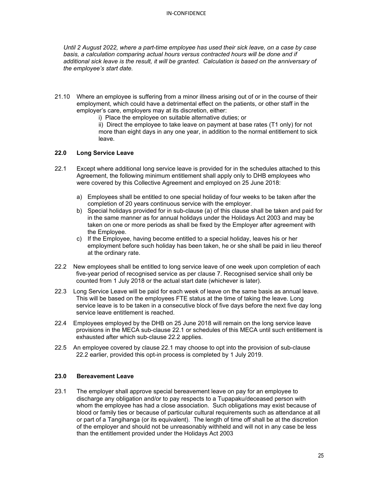*Until 2 August 2022, where a part-time employee has used their sick leave, on a case by case basis, a calculation comparing actual hours versus contracted hours will be done and if additional sick leave is the result, it will be granted. Calculation is based on the anniversary of the employee's start date.*

- 21.10 Where an employee is suffering from a minor illness arising out of or in the course of their employment, which could have a detrimental effect on the patients, or other staff in the employer's care, employers may at its discretion, either:
	- i) Place the employee on suitable alternative duties; or

ii) Direct the employee to take leave on payment at base rates (T1 only) for not more than eight days in any one year, in addition to the normal entitlement to sick leave.

#### **22.0 Long Service Leave**

- 22.1 Except where additional long service leave is provided for in the schedules attached to this Agreement, the following minimum entitlement shall apply only to DHB employees who were covered by this Collective Agreement and employed on 25 June 2018:
	- a) Employees shall be entitled to one special holiday of four weeks to be taken after the completion of 20 years continuous service with the employer.
	- b) Special holidays provided for in sub-clause (a) of this clause shall be taken and paid for in the same manner as for annual holidays under the Holidays Act 2003 and may be taken on one or more periods as shall be fixed by the Employer after agreement with the Employee.
	- c) If the Employee, having become entitled to a special holiday, leaves his or her employment before such holiday has been taken, he or she shall be paid in lieu thereof at the ordinary rate.
- 22.2 New employees shall be entitled to long service leave of one week upon completion of each five-year period of recognised service as per clause 7. Recognised service shall only be counted from 1 July 2018 or the actual start date (whichever is later).
- 22.3 Long Service Leave will be paid for each week of leave on the same basis as annual leave. This will be based on the employees FTE status at the time of taking the leave. Long service leave is to be taken in a consecutive block of five days before the next five day long service leave entitlement is reached.
- 22.4 Employees employed by the DHB on 25 June 2018 will remain on the long service leave provisions in the MECA sub-clause 22.1 or schedules of this MECA until such entitlement is exhausted after which sub-clause 22.2 applies.
- 22.5 An employee covered by clause 22.1 may choose to opt into the provision of sub-clause 22.2 earlier, provided this opt-in process is completed by 1 July 2019.

## **23.0 Bereavement Leave**

23.1 The employer shall approve special bereavement leave on pay for an employee to discharge any obligation and/or to pay respects to a Tupapaku/deceased person with whom the employee has had a close association. Such obligations may exist because of blood or family ties or because of particular cultural requirements such as attendance at all or part of a Tangihanga (or its equivalent). The length of time off shall be at the discretion of the employer and should not be unreasonably withheld and will not in any case be less than the entitlement provided under the Holidays Act 2003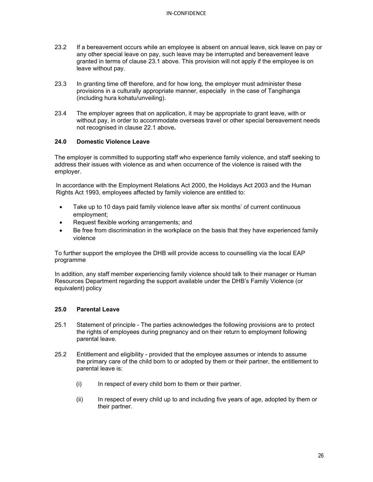- 23.2 If a bereavement occurs while an employee is absent on annual leave, sick leave on pay or any other special leave on pay, such leave may be interrupted and bereavement leave granted in terms of clause 23.1 above. This provision will not apply if the employee is on leave without pay.
- 23.3 In granting time off therefore, and for how long, the employer must administer these provisions in a culturally appropriate manner, especially in the case of Tangihanga (including hura kohatu/unveiling).
- 23.4 The employer agrees that on application, it may be appropriate to grant leave, with or without pay, in order to accommodate overseas travel or other special bereavement needs not recognised in clause 22.1 above**.**

## **24.0 Domestic Violence Leave**

The employer is committed to supporting staff who experience family violence, and staff seeking to address their issues with violence as and when occurrence of the violence is raised with the employer.

In accordance with the Employment Relations Act 2000, the Holidays Act 2003 and the Human Rights Act 1993, employees affected by family violence are entitled to:

- Take up to 10 days paid family violence leave after six months' of current continuous employment;
- Request flexible working arrangements; and
- Be free from discrimination in the workplace on the basis that they have experienced family violence

To further support the employee the DHB will provide access to counselling via the local EAP programme

In addition, any staff member experiencing family violence should talk to their manager or Human Resources Department regarding the support available under the DHB's Family Violence (or equivalent) policy

#### **25.0 Parental Leave**

- 25.1 Statement of principle The parties acknowledges the following provisions are to protect the rights of employees during pregnancy and on their return to employment following parental leave.
- 25.2 Entitlement and eligibility provided that the employee assumes or intends to assume the primary care of the child born to or adopted by them or their partner, the entitlement to parental leave is:
	- (i) In respect of every child born to them or their partner.
	- (ii) In respect of every child up to and including five years of age, adopted by them or their partner.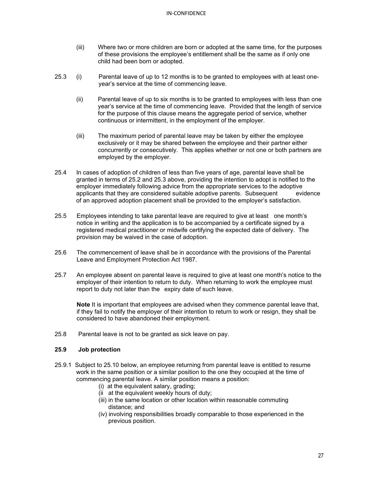- (iii) Where two or more children are born or adopted at the same time, for the purposes of these provisions the employee's entitlement shall be the same as if only one child had been born or adopted.
- 25.3 (i) Parental leave of up to 12 months is to be granted to employees with at least oneyear's service at the time of commencing leave.
	- (ii) Parental leave of up to six months is to be granted to employees with less than one year's service at the time of commencing leave. Provided that the length of service for the purpose of this clause means the aggregate period of service, whether continuous or intermittent, in the employment of the employer.
	- (iii) The maximum period of parental leave may be taken by either the employee exclusively or it may be shared between the employee and their partner either concurrently or consecutively. This applies whether or not one or both partners are employed by the employer.
- 25.4 In cases of adoption of children of less than five years of age, parental leave shall be granted in terms of 25.2 and 25.3 above, providing the intention to adopt is notified to the employer immediately following advice from the appropriate services to the adoptive applicants that they are considered suitable adoptive parents. Subsequent evidence of an approved adoption placement shall be provided to the employer's satisfaction.
- 25.5 Employees intending to take parental leave are required to give at least one month's notice in writing and the application is to be accompanied by a certificate signed by a registered medical practitioner or midwife certifying the expected date of delivery. The provision may be waived in the case of adoption.
- 25.6 The commencement of leave shall be in accordance with the provisions of the Parental Leave and Employment Protection Act 1987.
- 25.7 An employee absent on parental leave is required to give at least one month's notice to the employer of their intention to return to duty. When returning to work the employee must report to duty not later than the expiry date of such leave.

**Note** It is important that employees are advised when they commence parental leave that, if they fail to notify the employer of their intention to return to work or resign, they shall be considered to have abandoned their employment.

25.8 Parental leave is not to be granted as sick leave on pay.

## **25.9 Job protection**

- 25.9.1 Subject to 25.10 below, an employee returning from parental leave is entitled to resume work in the same position or a similar position to the one they occupied at the time of commencing parental leave. A similar position means a position:
	- (i) at the equivalent salary, grading;
	- (ii at the equivalent weekly hours of duty;
	- (iii) in the same location or other location within reasonable commuting distance; and
	- (iv) involving responsibilities broadly comparable to those experienced in the previous position.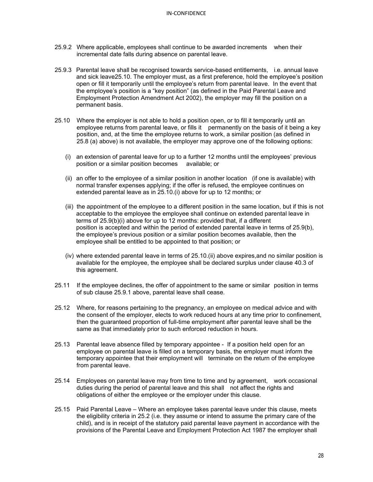- 25.9.2 Where applicable, employees shall continue to be awarded increments when their incremental date falls during absence on parental leave.
- 25.9.3 Parental leave shall be recognised towards service-based entitlements, i.e. annual leave and sick leave25.10. The employer must, as a first preference, hold the employee's position open or fill it temporarily until the employee's return from parental leave. In the event that the employee's position is a "key position" (as defined in the Paid Parental Leave and Employment Protection Amendment Act 2002), the employer may fill the position on a permanent basis.
- 25.10 Where the employer is not able to hold a position open, or to fill it temporarily until an employee returns from parental leave, or fills it permanently on the basis of it being a key position, and, at the time the employee returns to work, a similar position (as defined in 25.8 (a) above) is not available, the employer may approve one of the following options:
	- (i) an extension of parental leave for up to a further 12 months until the employees' previous position or a similar position becomes available; or
	- (ii) an offer to the employee of a similar position in another location (if one is available) with normal transfer expenses applying; if the offer is refused, the employee continues on extended parental leave as in 25.10.(i) above for up to 12 months; or
	- (iii) the appointment of the employee to a different position in the same location, but if this is not acceptable to the employee the employee shall continue on extended parental leave in terms of 25.9(b)(i) above for up to 12 months: provided that, if a different position is accepted and within the period of extended parental leave in terms of 25.9(b), the employee's previous position or a similar position becomes available, then the employee shall be entitled to be appointed to that position; or
	- (iv) where extended parental leave in terms of 25.10.(ii) above expires,and no similar position is available for the employee, the employee shall be declared surplus under clause 40.3 of this agreement.
- 25.11 If the employee declines, the offer of appointment to the same or similar position in terms of sub clause 25.9.1 above, parental leave shall cease.
- 25.12 Where, for reasons pertaining to the pregnancy, an employee on medical advice and with the consent of the employer, elects to work reduced hours at any time prior to confinement, then the guaranteed proportion of full-time employment after parental leave shall be the same as that immediately prior to such enforced reduction in hours.
- 25.13 Parental leave absence filled by temporary appointee If a position held open for an employee on parental leave is filled on a temporary basis, the employer must inform the temporary appointee that their employment will terminate on the return of the employee from parental leave.
- 25.14 Employees on parental leave may from time to time and by agreement, work occasional duties during the period of parental leave and this shall not affect the rights and obligations of either the employee or the employer under this clause.
- 25.15 Paid Parental Leave Where an employee takes parental leave under this clause, meets the eligibility criteria in 25.2 (i.e. they assume or intend to assume the primary care of the child), and is in receipt of the statutory paid parental leave payment in accordance with the provisions of the Parental Leave and Employment Protection Act 1987 the employer shall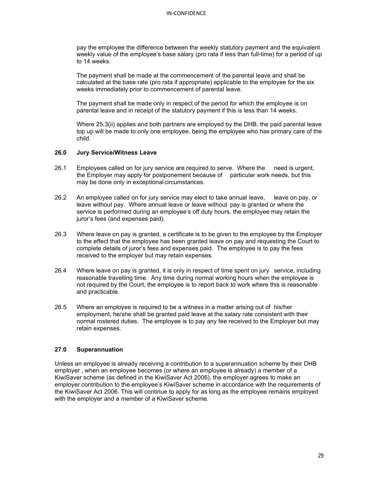pay the employee the difference between the weekly statutory payment and the equivalent weekly value of the employee's base salary (pro rata if less than full-time) for a period of up to 14 weeks.

The payment shall be made at the commencement of the parental leave and shall be calculated at the base rate (pro rata if appropriate) applicable to the employee for the six weeks immediately prior to commencement of parental leave.

The payment shall be made only in respect of the period for which the employee is on parental leave and in receipt of the statutory payment if this is less than 14 weeks.

Where 25.3(ii) applies and both partners are employed by the DHB, the paid parental leave top up will be made to only one employee, being the employee who has primary care of the child.

#### **26.0 Jury Service/Witness Leave**

- 26.1 Employees called on for jury service are required to serve. Where the need is urgent, the Employer may apply for postponement because of particular work needs, but this may be done only in exceptional circumstances.
- 26.2 An employee called on for jury service may elect to take annual leave, leave on pay, or leave without pay. Where annual leave or leave without pay is granted or where the service is performed during an employee's off duty hours, the employee may retain the juror's fees (and expenses paid).
- 26.3 Where leave on pay is granted, a certificate is to be given to the employee by the Employer to the effect that the employee has been granted leave on pay and requesting the Court to complete details of juror's fees and expenses paid. The employee is to pay the fees received to the employer but may retain expenses.
- 26.4 Where leave on pay is granted, it is only in respect of time spent on jury service, including reasonable travelling time. Any time during normal working hours when the employee is not required by the Court, the employee is to report back to work where this is reasonable and practicable.
- 26.5 Where an employee is required to be a witness in a matter arising out of his/her employment, he/she shall be granted paid leave at the salary rate consistent with their normal rostered duties. The employee is to pay any fee received to the Employer but may retain expenses.

## **27.0 Superannuation**

Unless an employee is already receiving a contribution to a superannuation scheme by their DHB employer , when an employee becomes (or where an employee is already) a member of a KiwiSaver scheme (as defined in the KiwiSaver Act 2006), the employer agrees to make an employer contribution to the employee's KiwiSaver scheme in accordance with the requirements of the KiwiSaver Act 2006. This will continue to apply for as long as the employee remains employed with the employer and a member of a KiwiSaver scheme.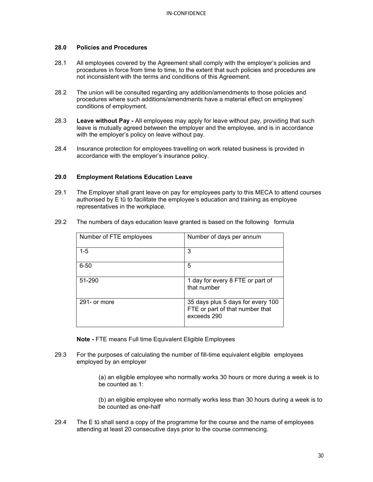#### **28.0 Policies and Procedures**

- 28.1 All employees covered by the Agreement shall comply with the employer's policies and procedures in force from time to time, to the extent that such policies and procedures are not inconsistent with the terms and conditions of this Agreement.
- 28.2 The union will be consulted regarding any addition/amendments to those policies and procedures where such additions/amendments have a material effect on employees' conditions of employment.
- 28.3 **Leave without Pay -** All employees may apply for leave without pay, providing that such leave is mutually agreed between the employer and the employee, and is in accordance with the employer's policy on leave without pay.
- 28.4 Insurance protection for employees travelling on work related business is provided in accordance with the employer's insurance policy.

## **29.0 Employment Relations Education Leave**

29.1 The Employer shall grant leave on pay for employees party to this MECA to attend courses authorised by E tū to facilitate the employee's education and training as employee representatives in the workplace.

| Number of FTE employees | Number of days per annum                                                            |
|-------------------------|-------------------------------------------------------------------------------------|
| 1-5                     | 3                                                                                   |
| $6 - 50$                | 5                                                                                   |
| 51-290                  | 1 day for every 8 FTE or part of<br>that number                                     |
| 291- or more            | 35 days plus 5 days for every 100<br>FTE or part of that number that<br>exceeds 290 |

29.2 The numbers of days education leave granted is based on the following formula

**Note -** FTE means Full time Equivalent Eligible Employees

29.3 For the purposes of calculating the number of fill-time equivalent eligible employees employed by an employer

> (a) an eligible employee who normally works 30 hours or more during a week is to be counted as 1:

(b) an eligible employee who normally works less than 30 hours during a week is to be counted as one-half

29.4 The E tū shall send a copy of the programme for the course and the name of employees attending at least 20 consecutive days prior to the course commencing.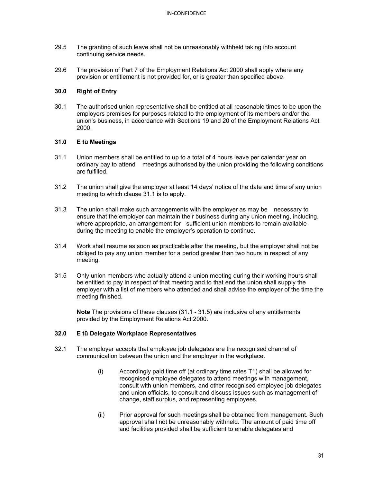- 29.5 The granting of such leave shall not be unreasonably withheld taking into account continuing service needs.
- 29.6 The provision of Part 7 of the Employment Relations Act 2000 shall apply where any provision or entitlement is not provided for, or is greater than specified above.

#### **30.0 Right of Entry**

30.1 The authorised union representative shall be entitled at all reasonable times to be upon the employers premises for purposes related to the employment of its members and/or the union's business, in accordance with Sections 19 and 20 of the Employment Relations Act 2000.

## **31.0 E tū Meetings**

- 31.1 Union members shall be entitled to up to a total of 4 hours leave per calendar year on ordinary pay to attend meetings authorised by the union providing the following conditions are fulfilled.
- 31.2 The union shall give the employer at least 14 days' notice of the date and time of any union meeting to which clause 31.1 is to apply.
- 31.3 The union shall make such arrangements with the employer as may be necessary to ensure that the employer can maintain their business during any union meeting, including, where appropriate, an arrangement for sufficient union members to remain available during the meeting to enable the employer's operation to continue.
- 31.4 Work shall resume as soon as practicable after the meeting, but the employer shall not be obliged to pay any union member for a period greater than two hours in respect of any meeting.
- 31.5 Only union members who actually attend a union meeting during their working hours shall be entitled to pay in respect of that meeting and to that end the union shall supply the employer with a list of members who attended and shall advise the employer of the time the meeting finished.

**Note** The provisions of these clauses (31.1 - 31.5) are inclusive of any entitlements provided by the Employment Relations Act 2000.

## **32.0 E tū Delegate Workplace Representatives**

- 32.1 The employer accepts that employee job delegates are the recognised channel of communication between the union and the employer in the workplace.
	- (i) Accordingly paid time off (at ordinary time rates T1) shall be allowed for recognised employee delegates to attend meetings with management, consult with union members, and other recognised employee job delegates and union officials, to consult and discuss issues such as management of change, staff surplus, and representing employees.
	- (ii) Prior approval for such meetings shall be obtained from management. Such approval shall not be unreasonably withheld. The amount of paid time off and facilities provided shall be sufficient to enable delegates and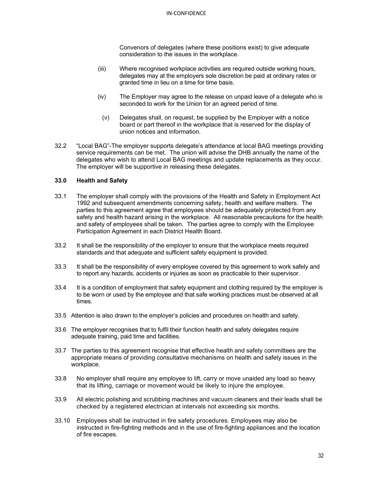Convenors of delegates (where these positions exist) to give adequate consideration to the issues in the workplace.

- (iii) Where recognised workplace activities are required outside working hours, delegates may at the employers sole discretion be paid at ordinary rates or granted time in lieu on a time for time basis.
- (iv) The Employer may agree to the release on unpaid leave of a delegate who is seconded to work for the Union for an agreed period of time.
	- (v) Delegates shall, on request, be supplied by the Employer with a notice board or part thereof in the workplace that is reserved for the display of union notices and information.
- 32.2 "Local BAG"-The employer supports delegate's attendance at local BAG meetings providing service requirements can be met. The union will advise the DHB annually the name of the delegates who wish to attend Local BAG meetings and update replacements as they occur. The employer will be supportive in releasing these delegates.

## **33.0 Health and Safety**

- 33.1 The employer shall comply with the provisions of the Health and Safety in Employment Act 1992 and subsequent amendments concerning safety, health and welfare matters. The parties to this agreement agree that employees should be adequately protected from any safety and health hazard arising in the workplace. All reasonable precautions for the health and safety of employees shall be taken. The parties agree to comply with the Employee Participation Agreement in each District Health Board.
- 33.2 It shall be the responsibility of the employer to ensure that the workplace meets required standards and that adequate and sufficient safety equipment is provided.
- 33.3 It shall be the responsibility of every employee covered by this agreement to work safely and to report any hazards, accidents or injuries as soon as practicable to their supervisor.
- 33.4 It is a condition of employment that safety equipment and clothing required by the employer is to be worn or used by the employee and that safe working practices must be observed at all times.
- 33.5 Attention is also drawn to the employer's policies and procedures on health and safety.
- 33.6 The employer recognises that to fulfil their function health and safety delegates require adequate training, paid time and facilities.
- 33.7 The parties to this agreement recognise that effective health and safety committees are the appropriate means of providing consultative mechanisms on health and safety issues in the workplace.
- 33.8 No employer shall require any employee to lift, carry or move unaided any load so heavy that its lifting, carriage or movement would be likely to injure the employee.
- 33.9 All electric polishing and scrubbing machines and vacuum cleaners and their leads shall be checked by a registered electrician at intervals not exceeding six months.
- 33.10 Employees shall be instructed in fire safety procedures. Employees may also be instructed in fire-fighting methods and in the use of fire-fighting appliances and the location of fire escapes.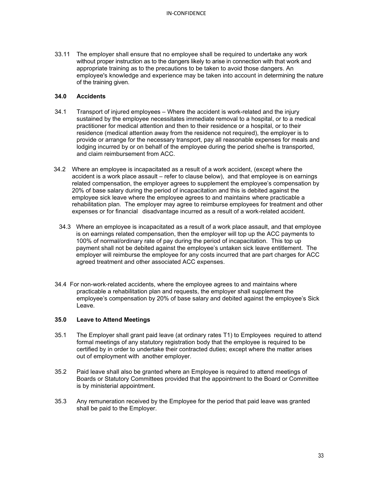33.11 The employer shall ensure that no employee shall be required to undertake any work without proper instruction as to the dangers likely to arise in connection with that work and appropriate training as to the precautions to be taken to avoid those dangers. An employee's knowledge and experience may be taken into account in determining the nature of the training given.

#### **34.0 Accidents**

- 34.1 Transport of injured employees Where the accident is work-related and the injury sustained by the employee necessitates immediate removal to a hospital, or to a medical practitioner for medical attention and then to their residence or a hospital, or to their residence (medical attention away from the residence not required), the employer is to provide or arrange for the necessary transport, pay all reasonable expenses for meals and lodging incurred by or on behalf of the employee during the period she/he is transported, and claim reimbursement from ACC.
- 34.2 Where an employee is incapacitated as a result of a work accident, (except where the accident is a work place assault – refer to clause below), and that employee is on earnings related compensation, the employer agrees to supplement the employee's compensation by 20% of base salary during the period of incapacitation and this is debited against the employee sick leave where the employee agrees to and maintains where practicable a rehabilitation plan. The employer may agree to reimburse employees for treatment and other expenses or for financial disadvantage incurred as a result of a work-related accident.
	- 34.3 Where an employee is incapacitated as a result of a work place assault, and that employee is on earnings related compensation, then the employer will top up the ACC payments to 100% of normal/ordinary rate of pay during the period of incapacitation. This top up payment shall not be debited against the employee's untaken sick leave entitlement. The employer will reimburse the employee for any costs incurred that are part charges for ACC agreed treatment and other associated ACC expenses.
- 34.4 For non-work-related accidents, where the employee agrees to and maintains where practicable a rehabilitation plan and requests, the employer shall supplement the employee's compensation by 20% of base salary and debited against the employee's Sick Leave.

## **35.0 Leave to Attend Meetings**

- 35.1 The Employer shall grant paid leave (at ordinary rates T1) to Employees required to attend formal meetings of any statutory registration body that the employee is required to be certified by in order to undertake their contracted duties; except where the matter arises out of employment with another employer.
- 35.2 Paid leave shall also be granted where an Employee is required to attend meetings of Boards or Statutory Committees provided that the appointment to the Board or Committee is by ministerial appointment.
- 35.3 Any remuneration received by the Employee for the period that paid leave was granted shall be paid to the Employer.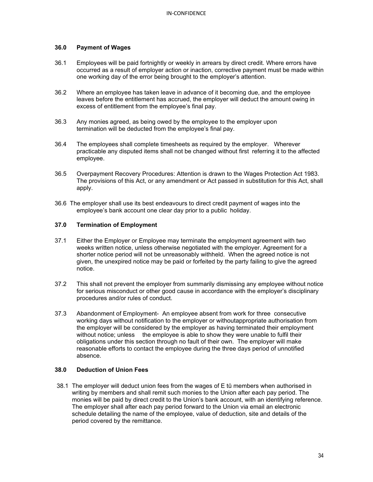## **36.0 Payment of Wages**

- 36.1 Employees will be paid fortnightly or weekly in arrears by direct credit. Where errors have occurred as a result of employer action or inaction, corrective payment must be made within one working day of the error being brought to the employer's attention.
- 36.2 Where an employee has taken leave in advance of it becoming due, and the employee leaves before the entitlement has accrued, the employer will deduct the amount owing in excess of entitlement from the employee's final pay.
- 36.3 Any monies agreed, as being owed by the employee to the employer upon termination will be deducted from the employee's final pay.
- 36.4 The employees shall complete timesheets as required by the employer. Wherever practicable any disputed items shall not be changed without first referring it to the affected employee.
- 36.5 Overpayment Recovery Procedures: Attention is drawn to the Wages Protection Act 1983. The provisions of this Act, or any amendment or Act passed in substitution for this Act, shall apply.
- 36.6 The employer shall use its best endeavours to direct credit payment of wages into the employee's bank account one clear day prior to a public holiday.

## **37.0 Termination of Employment**

- 37.1 Either the Employer or Employee may terminate the employment agreement with two weeks written notice, unless otherwise negotiated with the employer. Agreement for a shorter notice period will not be unreasonably withheld. When the agreed notice is not given, the unexpired notice may be paid or forfeited by the party failing to give the agreed notice.
- 37.2 This shall not prevent the employer from summarily dismissing any employee without notice for serious misconduct or other good cause in accordance with the employer's disciplinary procedures and/or rules of conduct.
- 37.3 Abandonment of Employment- An employee absent from work for three consecutive working days without notification to the employer or withoutappropriate authorisation from the employer will be considered by the employer as having terminated their employment without notice; unless the employee is able to show they were unable to fulfil their obligations under this section through no fault of their own. The employer will make reasonable efforts to contact the employee during the three days period of unnotified absence.

## **38.0 Deduction of Union Fees**

38.1 The employer will deduct union fees from the wages of E tū members when authorised in writing by members and shall remit such monies to the Union after each pay period. The monies will be paid by direct credit to the Union's bank account, with an identifying reference. The employer shall after each pay period forward to the Union via email an electronic schedule detailing the name of the employee, value of deduction, site and details of the period covered by the remittance.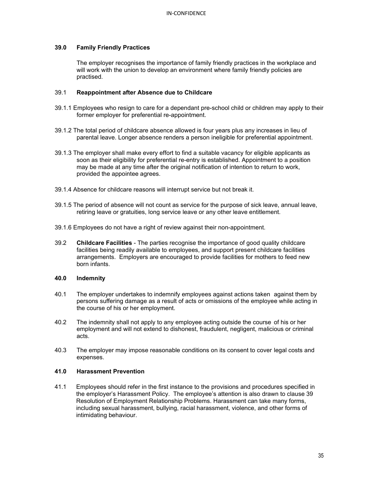## **39.0 Family Friendly Practices**

The employer recognises the importance of family friendly practices in the workplace and will work with the union to develop an environment where family friendly policies are practised.

#### 39.1 **Reappointment after Absence due to Childcare**

- 39.1.1 Employees who resign to care for a dependant pre-school child or children may apply to their former employer for preferential re-appointment.
- 39.1.2 The total period of childcare absence allowed is four years plus any increases in lieu of parental leave. Longer absence renders a person ineligible for preferential appointment.
- 39.1.3 The employer shall make every effort to find a suitable vacancy for eligible applicants as soon as their eligibility for preferential re-entry is established. Appointment to a position may be made at any time after the original notification of intention to return to work, provided the appointee agrees.
- 39.1.4 Absence for childcare reasons will interrupt service but not break it.
- 39.1.5 The period of absence will not count as service for the purpose of sick leave, annual leave, retiring leave or gratuities, long service leave or any other leave entitlement.
- 39.1.6 Employees do not have a right of review against their non-appointment.
- 39.2 **Childcare Facilities** The parties recognise the importance of good quality childcare facilities being readily available to employees, and support present childcare facilities arrangements. Employers are encouraged to provide facilities for mothers to feed new born infants.

## **40.0 Indemnity**

- 40.1 The employer undertakes to indemnify employees against actions taken against them by persons suffering damage as a result of acts or omissions of the employee while acting in the course of his or her employment.
- 40.2 The indemnity shall not apply to any employee acting outside the course of his or her employment and will not extend to dishonest, fraudulent, negligent, malicious or criminal acts.
- 40.3 The employer may impose reasonable conditions on its consent to cover legal costs and expenses.

## **41.0 Harassment Prevention**

41.1 Employees should refer in the first instance to the provisions and procedures specified in the employer's Harassment Policy. The employee's attention is also drawn to clause 39 Resolution of Employment Relationship Problems. Harassment can take many forms, including sexual harassment, bullying, racial harassment, violence, and other forms of intimidating behaviour.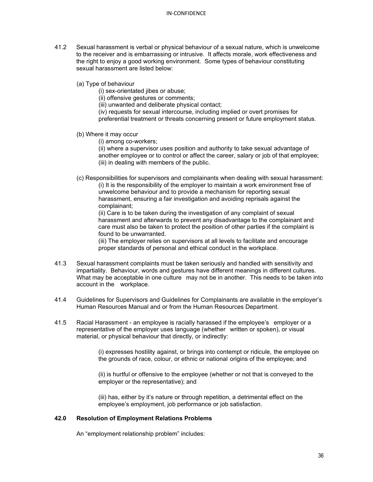- 41.2 Sexual harassment is verbal or physical behaviour of a sexual nature, which is unwelcome to the receiver and is embarrassing or intrusive. It affects morale, work effectiveness and the right to enjoy a good working environment. Some types of behaviour constituting sexual harassment are listed below:
	- (a) Type of behaviour
		- (i) sex-orientated jibes or abuse;
		- (ii) offensive gestures or comments;
		- (iii) unwanted and deliberate physical contact;
		- (iv) requests for sexual intercourse, including implied or overt promises for
		- preferential treatment or threats concerning present or future employment status.
	- (b) Where it may occur
		- (i) among co-workers;

(ii) where a supervisor uses position and authority to take sexual advantage of another employee or to control or affect the career, salary or job of that employee; (iii) in dealing with members of the public.

(c) Responsibilities for supervisors and complainants when dealing with sexual harassment:

 (i) It is the responsibility of the employer to maintain a work environment free of unwelcome behaviour and to provide a mechanism for reporting sexual harassment, ensuring a fair investigation and avoiding reprisals against the complainant;

(ii) Care is to be taken during the investigation of any complaint of sexual harassment and afterwards to prevent any disadvantage to the complainant and care must also be taken to protect the position of other parties if the complaint is found to be unwarranted.

(iii) The employer relies on supervisors at all levels to facilitate and encourage proper standards of personal and ethical conduct in the workplace.

- 41.3 Sexual harassment complaints must be taken seriously and handled with sensitivity and impartiality. Behaviour, words and gestures have different meanings in different cultures. What may be acceptable in one culture may not be in another. This needs to be taken into account in the workplace.
- 41.4 Guidelines for Supervisors and Guidelines for Complainants are available in the employer's Human Resources Manual and or from the Human Resources Department.
- 41.5 Racial Harassment an employee is racially harassed if the employee's employer or a representative of the employer uses language (whether written or spoken), or visual material, or physical behaviour that directly, or indirectly:

(i) expresses hostility against, or brings into contempt or ridicule, the employee on the grounds of race, colour, or ethnic or national origins of the employee; and

(ii) is hurtful or offensive to the employee (whether or not that is conveyed to the employer or the representative); and

(iii) has, either by it's nature or through repetition, a detrimental effect on the employee's employment, job performance or job satisfaction.

## **42.0 Resolution of Employment Relations Problems**

An "employment relationship problem" includes: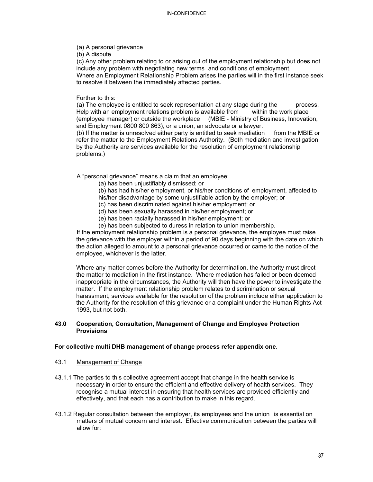(a) A personal grievance

(b) A dispute

(c) Any other problem relating to or arising out of the employment relationship but does not include any problem with negotiating new terms and conditions of employment. Where an Employment Relationship Problem arises the parties will in the first instance seek

to resolve it between the immediately affected parties.

Further to this:

(a) The employee is entitled to seek representation at any stage during the process. Help with an employment relations problem is available from within the work place (employee manager) or outside the workplace (MBIE - Ministry of Business, Innovation, and Employment 0800 800 863), or a union, an advocate or a lawyer. (b) If the matter is unresolved either party is entitled to seek mediation from the MBIE or

refer the matter to the Employment Relations Authority. (Both mediation and investigation by the Authority are services available for the resolution of employment relationship problems.)

A "personal grievance" means a claim that an employee:

(a) has been unjustifiably dismissed; or

(b) has had his/her employment, or his/her conditions of employment, affected to his/her disadvantage by some unjustifiable action by the employer; or

- (c) has been discriminated against his/her employment; or
- (d) has been sexually harassed in his/her employment; or
- (e) has been racially harassed in his/her employment; or
- (e) has been subjected to duress in relation to union membership.

If the employment relationship problem is a personal grievance, the employee must raise the grievance with the employer within a period of 90 days beginning with the date on which the action alleged to amount to a personal grievance occurred or came to the notice of the employee, whichever is the latter.

Where any matter comes before the Authority for determination, the Authority must direct the matter to mediation in the first instance. Where mediation has failed or been deemed inappropriate in the circumstances, the Authority will then have the power to investigate the matter. If the employment relationship problem relates to discrimination or sexual harassment, services available for the resolution of the problem include either application to the Authority for the resolution of this grievance or a complaint under the Human Rights Act 1993, but not both.

## **43.0 Cooperation, Consultation, Management of Change and Employee Protection Provisions**

## **For collective multi DHB management of change process refer appendix one.**

## 43.1 Management of Change

- 43.1.1 The parties to this collective agreement accept that change in the health service is necessary in order to ensure the efficient and effective delivery of health services. They recognise a mutual interest in ensuring that health services are provided efficiently and effectively, and that each has a contribution to make in this regard.
- 43.1.2 Regular consultation between the employer, its employees and the union is essential on matters of mutual concern and interest. Effective communication between the parties will allow for: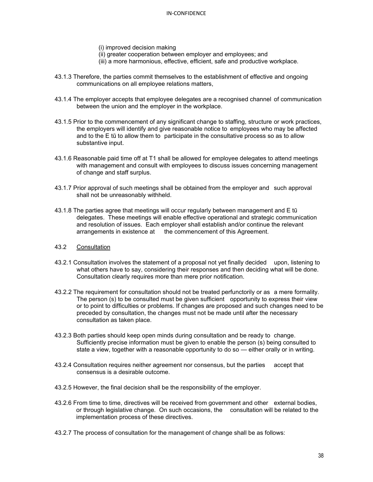- (i) improved decision making
- (ii) greater cooperation between employer and employees; and
- (iii) a more harmonious, effective, efficient, safe and productive workplace.
- 43.1.3 Therefore, the parties commit themselves to the establishment of effective and ongoing communications on all employee relations matters,
- 43.1.4 The employer accepts that employee delegates are a recognised channel of communication between the union and the employer in the workplace.
- 43.1.5 Prior to the commencement of any significant change to staffing, structure or work practices, the employers will identify and give reasonable notice to employees who may be affected and to the E tū to allow them to participate in the consultative process so as to allow substantive input.
- 43.1.6 Reasonable paid time off at T1 shall be allowed for employee delegates to attend meetings with management and consult with employees to discuss issues concerning management of change and staff surplus.
- 43.1.7 Prior approval of such meetings shall be obtained from the employer and such approval shall not be unreasonably withheld.
- 43.1.8 The parties agree that meetings will occur regularly between management and E tū delegates. These meetings will enable effective operational and strategic communication and resolution of issues. Each employer shall establish and/or continue the relevant arrangements in existence at the commencement of this Agreement.
- 43.2 Consultation
- 43.2.1 Consultation involves the statement of a proposal not yet finally decided upon, listening to what others have to say, considering their responses and then deciding what will be done. Consultation clearly requires more than mere prior notification.
- 43.2.2 The requirement for consultation should not be treated perfunctorily or as a mere formality. The person (s) to be consulted must be given sufficient opportunity to express their view or to point to difficulties or problems. If changes are proposed and such changes need to be preceded by consultation, the changes must not be made until after the necessary consultation as taken place.
- 43.2.3 Both parties should keep open minds during consultation and be ready to change. Sufficiently precise information must be given to enable the person (s) being consulted to state a view, together with a reasonable opportunity to do so — either orally or in writing.
- 43.2.4 Consultation requires neither agreement nor consensus, but the parties accept that consensus is a desirable outcome.
- 43.2.5 However, the final decision shall be the responsibility of the employer.
- 43.2.6 From time to time, directives will be received from government and other external bodies, or through legislative change. On such occasions, the consultation will be related to the implementation process of these directives.
- 43.2.7 The process of consultation for the management of change shall be as follows: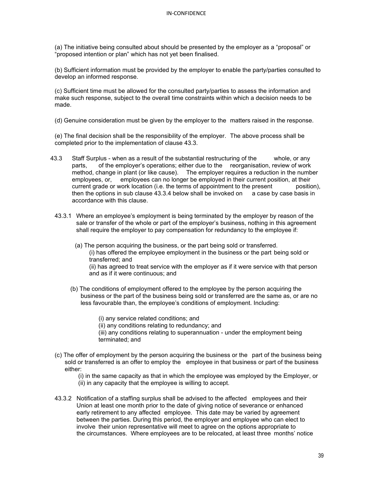(a) The initiative being consulted about should be presented by the employer as a "proposal" or "proposed intention or plan" which has not yet been finalised.

(b) Sufficient information must be provided by the employer to enable the party/parties consulted to develop an informed response.

(c) Sufficient time must be allowed for the consulted party/parties to assess the information and make such response, subject to the overall time constraints within which a decision needs to be made.

(d) Genuine consideration must be given by the employer to the matters raised in the response.

(e) The final decision shall be the responsibility of the employer. The above process shall be completed prior to the implementation of clause 43.3.

- 43.3 Staff Surplus when as a result of the substantial restructuring of the whole, or any parts, of the employer's operations; either due to the reorganisation, review of work method, change in plant (or like cause). The employer requires a reduction in the number employees, or, employees can no longer be employed in their current position, at their current grade or work location (i.e. the terms of appointment to the present position), then the options in sub clause 43.3.4 below shall be invoked on a case by case basis in accordance with this clause.
	- 43.3.1 Where an employee's employment is being terminated by the employer by reason of the sale or transfer of the whole or part of the employer's business, nothing in this agreement shall require the employer to pay compensation for redundancy to the employee if:
		- (a) The person acquiring the business, or the part being sold or transferred.

(i) has offered the employee employment in the business or the part being sold or transferred; and

(ii) has agreed to treat service with the employer as if it were service with that person and as if it were continuous; and

 (b) The conditions of employment offered to the employee by the person acquiring the business or the part of the business being sold or transferred are the same as, or are no less favourable than, the employee's conditions of employment. Including:

(i) any service related conditions; and

(ii) any conditions relating to redundancy; and

(iii) any conditions relating to superannuation - under the employment being terminated; and

(c) The offer of employment by the person acquiring the business or the part of the business being sold or transferred is an offer to employ the employee in that business or part of the business either:

 (i) in the same capacity as that in which the employee was employed by the Employer, or (ii) in any capacity that the employee is willing to accept.

43.3.2 Notification of a staffing surplus shall be advised to the affected employees and their Union at least one month prior to the date of giving notice of severance or enhanced early retirement to any affected employee. This date may be varied by agreement between the parties. During this period, the employer and employee who can elect to involve their union representative will meet to agree on the options appropriate to the circumstances. Where employees are to be relocated, at least three months' notice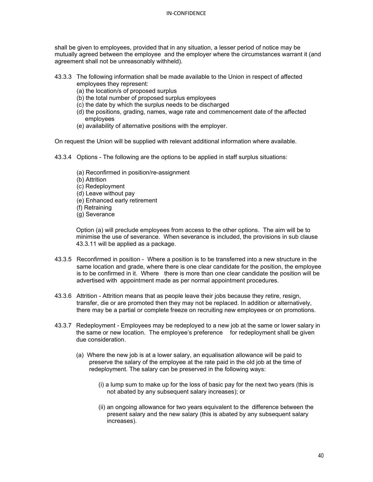shall be given to employees, provided that in any situation, a lesser period of notice may be mutually agreed between the employee and the employer where the circumstances warrant it (and agreement shall not be unreasonably withheld).

- 43.3.3 The following information shall be made available to the Union in respect of affected employees they represent:
	- (a) the location/s of proposed surplus
	- (b) the total number of proposed surplus employees
	- (c) the date by which the surplus needs to be discharged
	- (d) the positions, grading, names, wage rate and commencement date of the affected employees
	- (e) availability of alternative positions with the employer.

On request the Union will be supplied with relevant additional information where available.

- 43.3.4 Options The following are the options to be applied in staff surplus situations:
	- (a) Reconfirmed in position/re-assignment
	- (b) Attrition
	- (c) Redeployment
	- (d) Leave without pay
	- (e) Enhanced early retirement
	- (f) Retraining
	- (g) Severance

Option (a) will preclude employees from access to the other options. The aim will be to minimise the use of severance. When severance is included, the provisions in sub clause 43.3.11 will be applied as a package.

- 43.3.5 Reconfirmed in position Where a position is to be transferred into a new structure in the same location and grade, where there is one clear candidate for the position, the employee is to be confirmed in it. Where there is more than one clear candidate the position will be advertised with appointment made as per normal appointment procedures.
- 43.3.6 Attrition Attrition means that as people leave their jobs because they retire, resign, transfer, die or are promoted then they may not be replaced. In addition or alternatively, there may be a partial or complete freeze on recruiting new employees or on promotions.
- 43.3.7 Redeployment Employees may be redeployed to a new job at the same or lower salary in the same or new location. The employee's preference for redeployment shall be given due consideration.
	- (a) Where the new job is at a lower salary, an equalisation allowance will be paid to preserve the salary of the employee at the rate paid in the old job at the time of redeployment. The salary can be preserved in the following ways:
		- (i) a lump sum to make up for the loss of basic pay for the next two years (this is not abated by any subsequent salary increases); or
		- (ii) an ongoing allowance for two years equivalent to the difference between the present salary and the new salary (this is abated by any subsequent salary increases).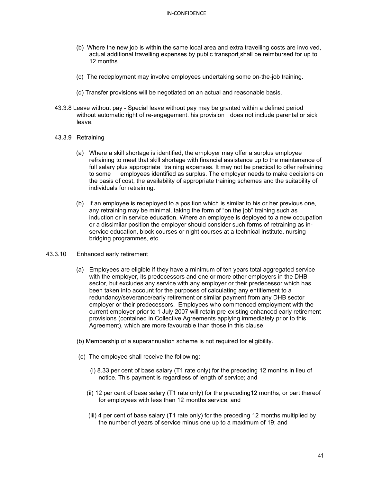- (b) Where the new job is within the same local area and extra travelling costs are involved, actual additional travelling expenses by public transport shall be reimbursed for up to 12 months.
- (c) The redeployment may involve employees undertaking some on-the-job training.
- (d) Transfer provisions will be negotiated on an actual and reasonable basis.
- 43.3.8 Leave without pay Special leave without pay may be granted within a defined period without automatic right of re-engagement. his provision does not include parental or sick leave.
- 43.3.9 Retraining
	- (a) Where a skill shortage is identified, the employer may offer a surplus employee refraining to meet that skill shortage with financial assistance up to the maintenance of full salary plus appropriate training expenses. It may not be practical to offer refraining to some employees identified as surplus. The employer needs to make decisions on the basis of cost, the availability of appropriate training schemes and the suitability of individuals for retraining.
	- (b) If an employee is redeployed to a position which is similar to his or her previous one, any retraining may be minimal, taking the form of "on the job" training such as induction or in service education. Where an employee is deployed to a new occupation or a dissimilar position the employer should consider such forms of retraining as inservice education, block courses or night courses at a technical institute, nursing bridging programmes, etc.

#### 43.3.10 Enhanced early retirement

- (a) Employees are eligible if they have a minimum of ten years total aggregated service with the employer, its predecessors and one or more other employers in the DHB sector, but excludes any service with any employer or their predecessor which has been taken into account for the purposes of calculating any entitlement to a redundancy/severance/early retirement or similar payment from any DHB sector employer or their predecessors. Employees who commenced employment with the current employer prior to 1 July 2007 will retain pre-existing enhanced early retirement provisions (contained in Collective Agreements applying immediately prior to this Agreement), which are more favourable than those in this clause.
- (b) Membership of a superannuation scheme is not required for eligibility.
- (c) The employee shall receive the following:
	- (i) 8.33 per cent of base salary (T1 rate only) for the preceding 12 months in lieu of notice. This payment is regardless of length of service; and
	- (ii) 12 per cent of base salary (T1 rate only) for the preceding12 months, or part thereof for employees with less than 12 months service; and
	- (iii) 4 per cent of base salary (T1 rate only) for the preceding 12 months multiplied by the number of years of service minus one up to a maximum of 19; and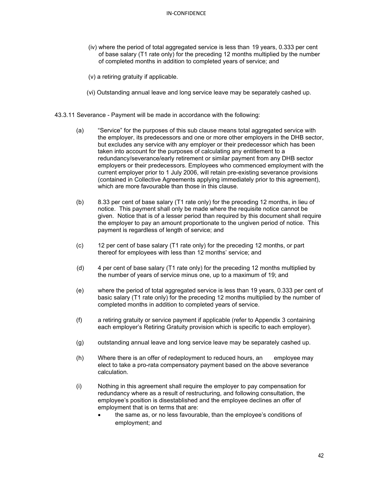- (iv) where the period of total aggregated service is less than 19 years, 0.333 per cent of base salary (T1 rate only) for the preceding 12 months multiplied by the number of completed months in addition to completed years of service; and
- (v) a retiring gratuity if applicable.
- (vi) Outstanding annual leave and long service leave may be separately cashed up.
- 43.3.11 Severance Payment will be made in accordance with the following:
	- (a) "Service" for the purposes of this sub clause means total aggregated service with the employer, its predecessors and one or more other employers in the DHB sector, but excludes any service with any employer or their predecessor which has been taken into account for the purposes of calculating any entitlement to a redundancy/severance/early retirement or similar payment from any DHB sector employers or their predecessors. Employees who commenced employment with the current employer prior to 1 July 2006, will retain pre-existing severance provisions (contained in Collective Agreements applying immediately prior to this agreement), which are more favourable than those in this clause.
	- (b) 8.33 per cent of base salary (T1 rate only) for the preceding 12 months, in lieu of notice. This payment shall only be made where the requisite notice cannot be given. Notice that is of a lesser period than required by this document shall require the employer to pay an amount proportionate to the ungiven period of notice. This payment is regardless of length of service; and
	- (c) 12 per cent of base salary (T1 rate only) for the preceding 12 months, or part thereof for employees with less than 12 months' service; and
	- (d) 4 per cent of base salary (T1 rate only) for the preceding 12 months multiplied by the number of years of service minus one, up to a maximum of 19; and
	- (e) where the period of total aggregated service is less than 19 years, 0.333 per cent of basic salary (T1 rate only) for the preceding 12 months multiplied by the number of completed months in addition to completed years of service.
	- (f) a retiring gratuity or service payment if applicable (refer to Appendix 3 containing each employer's Retiring Gratuity provision which is specific to each employer).
	- (g) outstanding annual leave and long service leave may be separately cashed up.
	- (h) Where there is an offer of redeployment to reduced hours, an employee may elect to take a pro-rata compensatory payment based on the above severance calculation.
	- (i) Nothing in this agreement shall require the employer to pay compensation for redundancy where as a result of restructuring, and following consultation, the employee's position is disestablished and the employee declines an offer of employment that is on terms that are:
		- the same as, or no less favourable, than the employee's conditions of employment; and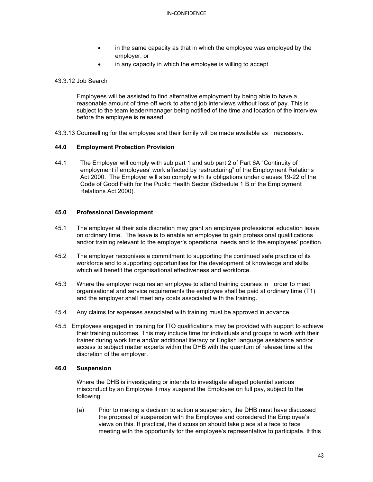- in the same capacity as that in which the employee was employed by the employer, or
- in any capacity in which the employee is willing to accept

## 43.3.12 Job Search

Employees will be assisted to find alternative employment by being able to have a reasonable amount of time off work to attend job interviews without loss of pay. This is subject to the team leader/manager being notified of the time and location of the interview before the employee is released,

43.3.13 Counselling for the employee and their family will be made available as necessary.

## **44.0 Employment Protection Provision**

44.1 The Employer will comply with sub part 1 and sub part 2 of Part 6A "Continuity of employment if employees' work affected by restructuring" of the Employment Relations Act 2000. The Employer will also comply with its obligations under clauses 19-22 of the Code of Good Faith for the Public Health Sector (Schedule 1 B of the Employment Relations Act 2000).

## **45.0 Professional Development**

- 45.1 The employer at their sole discretion may grant an employee professional education leave on ordinary time. The leave is to enable an employee to gain professional qualifications and/or training relevant to the employer's operational needs and to the employees' position.
- 45.2 The employer recognises a commitment to supporting the continued safe practice of its workforce and to supporting opportunities for the development of knowledge and skills, which will benefit the organisational effectiveness and workforce.
- 45.3 Where the employer requires an employee to attend training courses in order to meet organisational and service requirements the employee shall be paid at ordinary time (T1) and the employer shall meet any costs associated with the training.
- 45.4 Any claims for expenses associated with training must be approved in advance.
- 45.5 Employees engaged in training for ITO qualifications may be provided with support to achieve their training outcomes. This may include time for individuals and groups to work with their trainer during work time and/or additional literacy or English language assistance and/or access to subject matter experts within the DHB with the quantum of release time at the discretion of the employer.

## **46.0 Suspension**

Where the DHB is investigating or intends to investigate alleged potential serious misconduct by an Employee it may suspend the Employee on full pay, subject to the following:

(a) Prior to making a decision to action a suspension, the DHB must have discussed the proposal of suspension with the Employee and considered the Employee's views on this. If practical, the discussion should take place at a face to face meeting with the opportunity for the employee's representative to participate. If this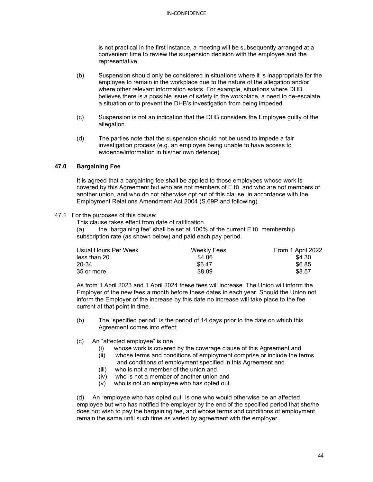is not practical in the first instance, a meeting will be subsequently arranged at a convenient time to review the suspension decision with the employee and the representative.

- (b) Suspension should only be considered in situations where it is inappropriate for the employee to remain in the workplace due to the nature of the allegation and/or where other relevant information exists. For example, situations where DHB believes there is a possible issue of safety in the workplace, a need to de-escalate a situation or to prevent the DHB's investigation from being impeded.
- (c) Suspension is not an indication that the DHB considers the Employee guilty of the allegation.
- (d) The parties note that the suspension should not be used to impede a fair investigation process (e.g. an employee being unable to have access to evidence/information in his/her own defence).

## **47.0 Bargaining Fee**

It is agreed that a bargaining fee shall be applied to those employees whose work is covered by this Agreement but who are not members of E tū and who are not members of another union, and who do not otherwise opt out of this clause, in accordance with the Employment Relations Amendment Act 2004 (S.69P and following).

## 47.1 For the purposes of this clause:

This clause takes effect from date of ratification.

(a) the "bargaining fee" shall be set at 100% of the current E tū membership subscription rate (as shown below) and paid each pay period.

| Usual Hours Per Week | Weekly Fees | From 1 April 2022 |
|----------------------|-------------|-------------------|
| less than 20         | \$4.06      | \$4.30            |
| 20-34                | \$6.47      | \$6.85            |
| 35 or more           | \$8.09      | \$8.57            |

As from 1 April 2023 and 1 April 2024 these fees will increase. The Union will inform the Employer of the new fees a month before these dates in each year. Should the Union not inform the Employer of the increase by this date no increase will take place to the fee current at that point in time. .

- (b) The "specified period" is the period of 14 days prior to the date on which this Agreement comes into effect;
- (c) An "affected employee" is one
	- (i) whose work is covered by the coverage clause of this Agreement and (ii) whose terms and conditions of employment comprise or include the te
	- whose terms and conditions of employment comprise or include the terms and conditions of employment specified in this Agreement and
	- (iii) who is not a member of the union and
	- (iv) who is not a member of another union and
	- (v) who is not an employee who has opted out.

(d) An "employee who has opted out" is one who would otherwise be an affected employee but who has notified the employer by the end of the specified period that she/he does not wish to pay the bargaining fee, and whose terms and conditions of employment remain the same until such time as varied by agreement with the employer.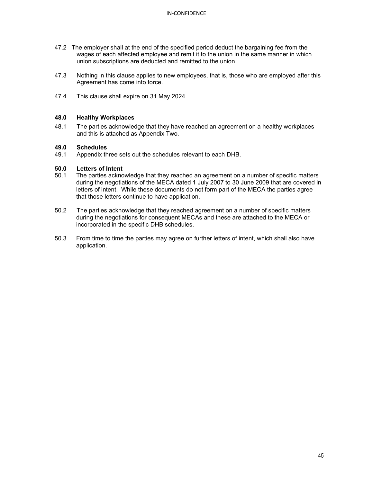- 47.2 The employer shall at the end of the specified period deduct the bargaining fee from the wages of each affected employee and remit it to the union in the same manner in which union subscriptions are deducted and remitted to the union.
- 47.3 Nothing in this clause applies to new employees, that is, those who are employed after this Agreement has come into force.
- 47.4 This clause shall expire on 31 May 2024.

## **48.0 Healthy Workplaces**

48.1 The parties acknowledge that they have reached an agreement on a healthy workplaces and this is attached as Appendix Two.

# **49.0 Schedules**

Appendix three sets out the schedules relevant to each DHB.

# **50.0 Letters of Intent**

- The parties acknowledge that they reached an agreement on a number of specific matters during the negotiations of the MECA dated 1 July 2007 to 30 June 2009 that are covered in letters of intent. While these documents do not form part of the MECA the parties agree that those letters continue to have application.
- 50.2 The parties acknowledge that they reached agreement on a number of specific matters during the negotiations for consequent MECAs and these are attached to the MECA or incorporated in the specific DHB schedules.
- 50.3 From time to time the parties may agree on further letters of intent, which shall also have application.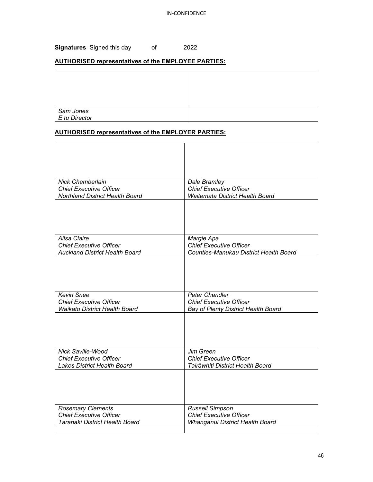**Signatures** Signed this day of 2022

## **AUTHORISED representatives of the EMPLOYEE PARTIES:**

| Sam Jones<br>Etū Director |  |
|---------------------------|--|

## **AUTHORISED representatives of the EMPLOYER PARTIES:**

| <b>Nick Chamberlain</b>               | Dale Bramley                           |
|---------------------------------------|----------------------------------------|
| <b>Chief Executive Officer</b>        | <b>Chief Executive Officer</b>         |
| Northland District Health Board       | Waitemata District Health Board        |
|                                       |                                        |
| <b>Ailsa Claire</b>                   | Margie Apa                             |
| <b>Chief Executive Officer</b>        | <b>Chief Executive Officer</b>         |
| <b>Auckland District Health Board</b> | Counties-Manukau District Health Board |
|                                       |                                        |
| <b>Kevin Snee</b>                     | <b>Peter Chandler</b>                  |
| <b>Chief Executive Officer</b>        | <b>Chief Executive Officer</b>         |
| <b>Waikato District Health Board</b>  | Bay of Plenty District Health Board    |
|                                       |                                        |
| <b>Nick Saville-Wood</b>              | Jim Green                              |
| <b>Chief Executive Officer</b>        | <b>Chief Executive Officer</b>         |
| <b>Lakes District Health Board</b>    | Tairāwhiti District Health Board       |
|                                       |                                        |
| <b>Rosemary Clements</b>              | Russell Simpson                        |
| <b>Chief Executive Officer</b>        | <b>Chief Executive Officer</b>         |
| Taranaki District Health Board        | Whanganui District Health Board        |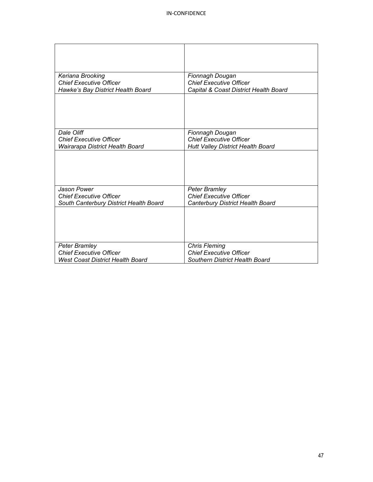| Keriana Brooking                        | Fionnagh Dougan                          |
|-----------------------------------------|------------------------------------------|
| <b>Chief Executive Officer</b>          | <b>Chief Executive Officer</b>           |
| Hawke's Bay District Health Board       | Capital & Coast District Health Board    |
|                                         |                                          |
| Dale Oliff                              | Fionnagh Dougan                          |
| <b>Chief Executive Officer</b>          | <b>Chief Executive Officer</b>           |
| Wairarapa District Health Board         | <b>Hutt Valley District Health Board</b> |
|                                         |                                          |
| Jason Power                             | <b>Peter Bramley</b>                     |
| <b>Chief Executive Officer</b>          | <b>Chief Executive Officer</b>           |
| South Canterbury District Health Board  | Canterbury District Health Board         |
|                                         |                                          |
| Peter Bramley                           | <b>Chris Fleming</b>                     |
| <b>Chief Executive Officer</b>          | <b>Chief Executive Officer</b>           |
| <b>West Coast District Health Board</b> | <b>Southern District Health Board</b>    |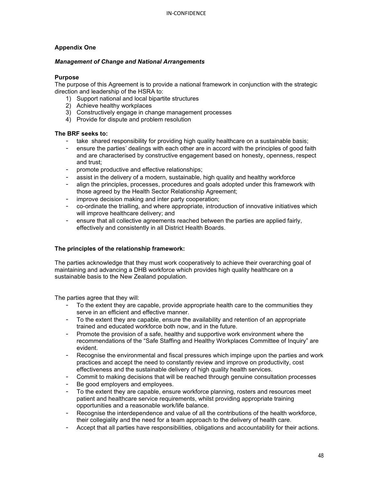## **Appendix One**

## *Management of Change and National Arrangements*

## **Purpose**

The purpose of this Agreement is to provide a national framework in conjunction with the strategic direction and leadership of the HSRA to:

- 1) Support national and local bipartite structures
- 2) Achieve healthy workplaces
- 3) Constructively engage in change management processes
- 4) Provide for dispute and problem resolution

## **The BRF seeks to:**

- take shared responsibility for providing high quality healthcare on a sustainable basis;
- ensure the parties' dealings with each other are in accord with the principles of good faith and are characterised by constructive engagement based on honesty, openness, respect and trust;
- promote productive and effective relationships;
- assist in the delivery of a modern, sustainable, high quality and healthy workforce
- align the principles, processes, procedures and goals adopted under this framework with those agreed by the Health Sector Relationship Agreement;
- improve decision making and inter party cooperation;
- co-ordinate the trialling, and where appropriate, introduction of innovative initiatives which will improve healthcare delivery; and
- ensure that all collective agreements reached between the parties are applied fairly, effectively and consistently in all District Health Boards.

## **The principles of the relationship framework:**

The parties acknowledge that they must work cooperatively to achieve their overarching goal of maintaining and advancing a DHB workforce which provides high quality healthcare on a sustainable basis to the New Zealand population.

The parties agree that they will:

- To the extent they are capable, provide appropriate health care to the communities they serve in an efficient and effective manner.
- To the extent they are capable, ensure the availability and retention of an appropriate trained and educated workforce both now, and in the future.
- Promote the provision of a safe, healthy and supportive work environment where the recommendations of the "Safe Staffing and Healthy Workplaces Committee of Inquiry" are evident.
- Recognise the environmental and fiscal pressures which impinge upon the parties and work practices and accept the need to constantly review and improve on productivity, cost effectiveness and the sustainable delivery of high quality health services.
- Commit to making decisions that will be reached through genuine consultation processes
- Be good employers and employees.
- To the extent they are capable, ensure workforce planning, rosters and resources meet patient and healthcare service requirements, whilst providing appropriate training opportunities and a reasonable work/life balance.
- Recognise the interdependence and value of all the contributions of the health workforce, their collegiality and the need for a team approach to the delivery of health care.
- Accept that all parties have responsibilities, obligations and accountability for their actions.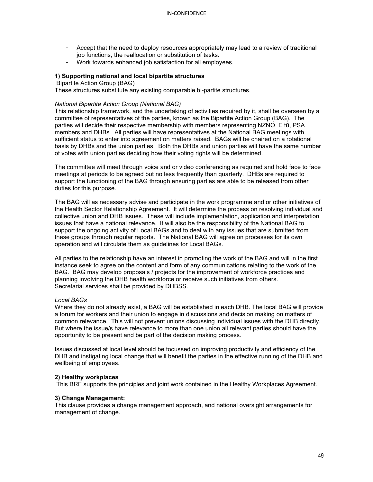- Accept that the need to deploy resources appropriately may lead to a review of traditional job functions, the reallocation or substitution of tasks.
- Work towards enhanced job satisfaction for all employees.

#### **1) Supporting national and local bipartite structures**

Bipartite Action Group (BAG)

These structures substitute any existing comparable bi-partite structures.

## *National Bipartite Action Group (National BAG)*

This relationship framework, and the undertaking of activities required by it, shall be overseen by a committee of representatives of the parties, known as the Bipartite Action Group (BAG). The parties will decide their respective membership with members representing NZNO, E tū, PSA members and DHBs. All parties will have representatives at the National BAG meetings with sufficient status to enter into agreement on matters raised. BAGs will be chaired on a rotational basis by DHBs and the union parties. Both the DHBs and union parties will have the same number of votes with union parties deciding how their voting rights will be determined.

The committee will meet through voice and or video conferencing as required and hold face to face meetings at periods to be agreed but no less frequently than quarterly. DHBs are required to support the functioning of the BAG through ensuring parties are able to be released from other duties for this purpose.

The BAG will as necessary advise and participate in the work programme and or other initiatives of the Health Sector Relationship Agreement. It will determine the process on resolving individual and collective union and DHB issues. These will include implementation, application and interpretation issues that have a national relevance. It will also be the responsibility of the National BAG to support the ongoing activity of Local BAGs and to deal with any issues that are submitted from these groups through regular reports. The National BAG will agree on processes for its own operation and will circulate them as guidelines for Local BAGs.

All parties to the relationship have an interest in promoting the work of the BAG and will in the first instance seek to agree on the content and form of any communications relating to the work of the BAG. BAG may develop proposals / projects for the improvement of workforce practices and planning involving the DHB health workforce or receive such initiatives from others. Secretarial services shall be provided by DHBSS.

## *Local BAGs*

Where they do not already exist, a BAG will be established in each DHB. The local BAG will provide a forum for workers and their union to engage in discussions and decision making on matters of common relevance. This will not prevent unions discussing individual issues with the DHB directly. But where the issue/s have relevance to more than one union all relevant parties should have the opportunity to be present and be part of the decision making process.

Issues discussed at local level should be focussed on improving productivity and efficiency of the DHB and instigating local change that will benefit the parties in the effective running of the DHB and wellbeing of employees.

#### **2) Healthy workplaces**

This BRF supports the principles and joint work contained in the Healthy Workplaces Agreement.

#### **3) Change Management:**

This clause provides a change management approach, and national oversight arrangements for management of change.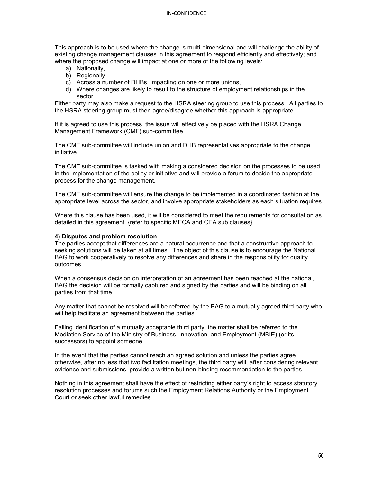This approach is to be used where the change is multi-dimensional and will challenge the ability of existing change management clauses in this agreement to respond efficiently and effectively; and where the proposed change will impact at one or more of the following levels:

- a) Nationally,
- b) Regionally,
- c) Across a number of DHBs, impacting on one or more unions,
- d) Where changes are likely to result to the structure of employment relationships in the sector.

Either party may also make a request to the HSRA steering group to use this process. All parties to the HSRA steering group must then agree/disagree whether this approach is appropriate.

If it is agreed to use this process, the issue will effectively be placed with the HSRA Change Management Framework (CMF) sub-committee.

The CMF sub-committee will include union and DHB representatives appropriate to the change initiative.

The CMF sub-committee is tasked with making a considered decision on the processes to be used in the implementation of the policy or initiative and will provide a forum to decide the appropriate process for the change management.

The CMF sub-committee will ensure the change to be implemented in a coordinated fashion at the appropriate level across the sector, and involve appropriate stakeholders as each situation requires.

Where this clause has been used, it will be considered to meet the requirements for consultation as detailed in this agreement. {refer to specific MECA and CEA sub clauses}

## **4) Disputes and problem resolution**

The parties accept that differences are a natural occurrence and that a constructive approach to seeking solutions will be taken at all times. The object of this clause is to encourage the National BAG to work cooperatively to resolve any differences and share in the responsibility for quality outcomes.

When a consensus decision on interpretation of an agreement has been reached at the national, BAG the decision will be formally captured and signed by the parties and will be binding on all parties from that time.

Any matter that cannot be resolved will be referred by the BAG to a mutually agreed third party who will help facilitate an agreement between the parties.

Failing identification of a mutually acceptable third party, the matter shall be referred to the Mediation Service of the Ministry of Business, Innovation, and Employment (MBIE) (or its successors) to appoint someone.

In the event that the parties cannot reach an agreed solution and unless the parties agree otherwise, after no less that two facilitation meetings, the third party will, after considering relevant evidence and submissions, provide a written but non-binding recommendation to the parties.

Nothing in this agreement shall have the effect of restricting either party's right to access statutory resolution processes and forums such the Employment Relations Authority or the Employment Court or seek other lawful remedies.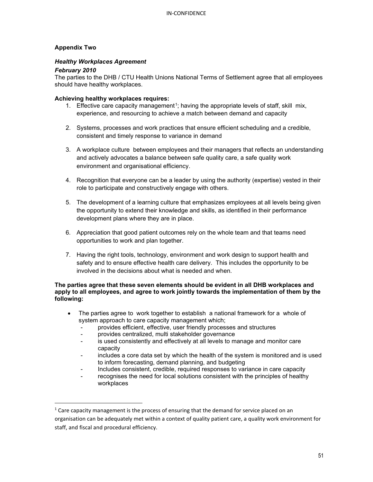## **Appendix Two**

## *Healthy Workplaces Agreement*

## *February 2010*

The parties to the DHB / CTU Health Unions National Terms of Settlement agree that all employees should have healthy workplaces.

## **Achieving healthy workplaces requires:**

- [1](#page-50-0). Effective care capacity management<sup>1</sup>; having the appropriate levels of staff, skill mix, experience, and resourcing to achieve a match between demand and capacity
- 2. Systems, processes and work practices that ensure efficient scheduling and a credible, consistent and timely response to variance in demand
- 3. A workplace culture between employees and their managers that reflects an understanding and actively advocates a balance between safe quality care, a safe quality work environment and organisational efficiency.
- 4. Recognition that everyone can be a leader by using the authority (expertise) vested in their role to participate and constructively engage with others.
- 5. The development of a learning culture that emphasizes employees at all levels being given the opportunity to extend their knowledge and skills, as identified in their performance development plans where they are in place.
- 6. Appreciation that good patient outcomes rely on the whole team and that teams need opportunities to work and plan together.
- 7. Having the right tools, technology, environment and work design to support health and safety and to ensure effective health care delivery. This includes the opportunity to be involved in the decisions about what is needed and when.

## **The parties agree that these seven elements should be evident in all DHB workplaces and apply to all employees, and agree to work jointly towards the implementation of them by the following:**

- The parties agree to work together to establish a national framework for a whole of system approach to care capacity management which;
	- provides efficient, effective, user friendly processes and structures
	- provides centralized, multi stakeholder governance
	- is used consistently and effectively at all levels to manage and monitor care capacity
	- includes a core data set by which the health of the system is monitored and is used to inform forecasting, demand planning, and budgeting
	- Includes consistent, credible, required responses to variance in care capacity
	- recognises the need for local solutions consistent with the principles of healthy workplaces

<span id="page-50-0"></span> $1$  Care capacity management is the process of ensuring that the demand for service placed on an organisation can be adequately met within a context of quality patient care, a quality work environment for staff, and fiscal and procedural efficiency.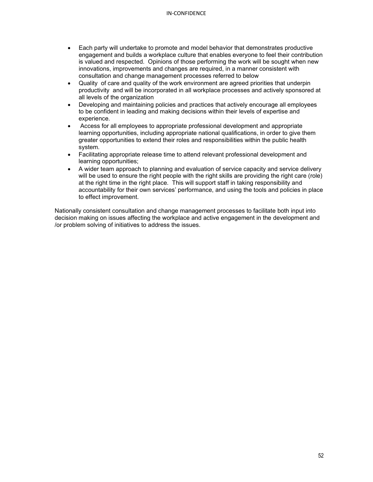- Each party will undertake to promote and model behavior that demonstrates productive engagement and builds a workplace culture that enables everyone to feel their contribution is valued and respected. Opinions of those performing the work will be sought when new innovations, improvements and changes are required, in a manner consistent with consultation and change management processes referred to below
- Quality of care and quality of the work environment are agreed priorities that underpin productivity and will be incorporated in all workplace processes and actively sponsored at all levels of the organization
- Developing and maintaining policies and practices that actively encourage all employees to be confident in leading and making decisions within their levels of expertise and experience.
- Access for all employees to appropriate professional development and appropriate learning opportunities, including appropriate national qualifications, in order to give them greater opportunities to extend their roles and responsibilities within the public health system.
- Facilitating appropriate release time to attend relevant professional development and learning opportunities;
- A wider team approach to planning and evaluation of service capacity and service delivery will be used to ensure the right people with the right skills are providing the right care (role) at the right time in the right place. This will support staff in taking responsibility and accountability for their own services' performance, and using the tools and policies in place to effect improvement.

Nationally consistent consultation and change management processes to facilitate both input into decision making on issues affecting the workplace and active engagement in the development and /or problem solving of initiatives to address the issues.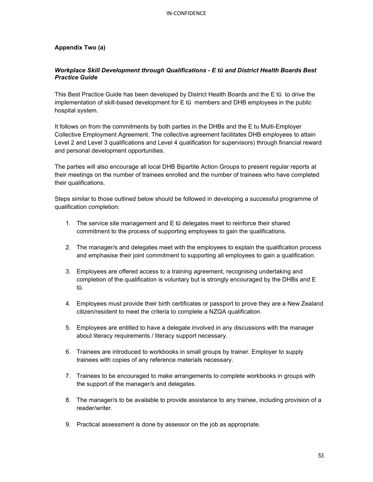## **Appendix Two (a)**

## *Workplace Skill Development through Qualifications - E tū and District Health Boards Best Practice Guide*

This Best Practice Guide has been developed by District Health Boards and the E tū to drive the implementation of skill-based development for E tū members and DHB employees in the public hospital system.

It follows on from the commitments by both parties in the DHBs and the E tu Multi-Employer Collective Employment Agreement. The collective agreement facilitates DHB employees to attain Level 2 and Level 3 qualifications and Level 4 qualification for supervisors) through financial reward and personal development opportunities.

The parties will also encourage all local DHB Bipartite Action Groups to present regular reports at their meetings on the number of trainees enrolled and the number of trainees who have completed their qualifications.

Steps similar to those outlined below should be followed in developing a successful programme of qualification completion:

- 1. The service site management and E tū delegates meet to reinforce their shared commitment to the process of supporting employees to gain the qualifications.
- 2. The manager/s and delegates meet with the employees to explain the qualification process and emphasise their joint commitment to supporting all employees to gain a qualification.
- 3. Employees are offered access to a training agreement, recognising undertaking and completion of the qualification is voluntary but is strongly encouraged by the DHBs and E tū.
- 4. Employees must provide their birth certificates or passport to prove they are a New Zealand citizen/resident to meet the criteria to complete a NZQA qualification.
- 5. Employees are entitled to have a delegate involved in any discussions with the manager about literacy requirements / literacy support necessary.
- 6. Trainees are introduced to workbooks in small groups by trainer. Employer to supply trainees with copies of any reference materials necessary.
- 7. Trainees to be encouraged to make arrangements to complete workbooks in groups with the support of the manager/s and delegates.
- 8. The manager/s to be available to provide assistance to any trainee, including provision of a reader/writer.
- 9. Practical assessment is done by assessor on the job as appropriate.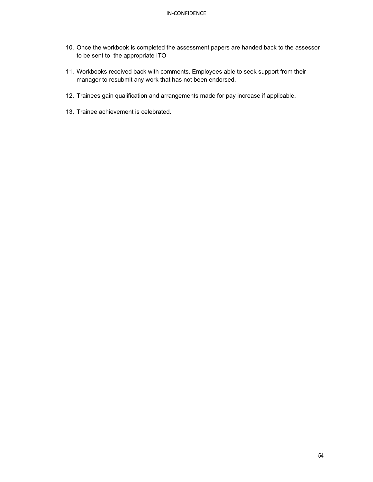- 10. Once the workbook is completed the assessment papers are handed back to the assessor to be sent to the appropriate ITO
- 11. Workbooks received back with comments. Employees able to seek support from their manager to resubmit any work that has not been endorsed.
- 12. Trainees gain qualification and arrangements made for pay increase if applicable.
- 13. Trainee achievement is celebrated.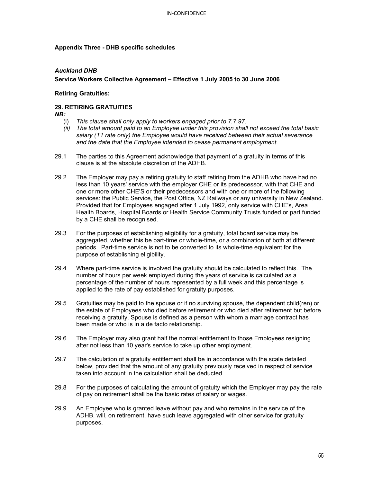## **Appendix Three - DHB specific schedules**

## *Auckland DHB*

## **Service Workers Collective Agreement – Effective 1 July 2005 to 30 June 2006**

## **Retiring Gratuities:**

## **29. RETIRING GRATUITIES**

*NB:* 

- (i) *This clause shall only apply to workers engaged prior to 7.7.97.*
- *(ii) The total amount paid to an Employee under this provision shall not exceed the total basic salary (T1 rate only) the Employee would have received between their actual severance and the date that the Employee intended to cease permanent employment.*
- 29.1 The parties to this Agreement acknowledge that payment of a gratuity in terms of this clause is at the absolute discretion of the ADHB.
- 29.2 The Employer may pay a retiring gratuity to staff retiring from the ADHB who have had no less than 10 years' service with the employer CHE or its predecessor, with that CHE and one or more other CHE'S or their predecessors and with one or more of the following services: the Public Service, the Post Office, NZ Railways or any university in New Zealand. Provided that for Employees engaged after 1 July 1992, only service with CHE's, Area Health Boards, Hospital Boards or Health Service Community Trusts funded or part funded by a CHE shall be recognised.
- 29.3 For the purposes of establishing eligibility for a gratuity, total board service may be aggregated, whether this be part-time or whole-time, or a combination of both at different periods. Part-time service is not to be converted to its whole-time equivalent for the purpose of establishing eligibility.
- 29.4 Where part-time service is involved the gratuity should be calculated to reflect this. The number of hours per week employed during the years of service is calculated as a percentage of the number of hours represented by a full week and this percentage is applied to the rate of pay established for gratuity purposes.
- 29.5 Gratuities may be paid to the spouse or if no surviving spouse, the dependent child(ren) or the estate of Employees who died before retirement or who died after retirement but before receiving a gratuity. Spouse is defined as a person with whom a marriage contract has been made or who is in a de facto relationship.
- 29.6 The Employer may also grant half the normal entitlement to those Employees resigning after not less than 10 year's service to take up other employment.
- 29.7 The calculation of a gratuity entitlement shall be in accordance with the scale detailed below, provided that the amount of any gratuity previously received in respect of service taken into account in the calculation shall be deducted.
- 29.8 For the purposes of calculating the amount of gratuity which the Employer may pay the rate of pay on retirement shall be the basic rates of salary or wages.
- 29.9 An Employee who is granted leave without pay and who remains in the service of the ADHB, will, on retirement, have such leave aggregated with other service for gratuity purposes.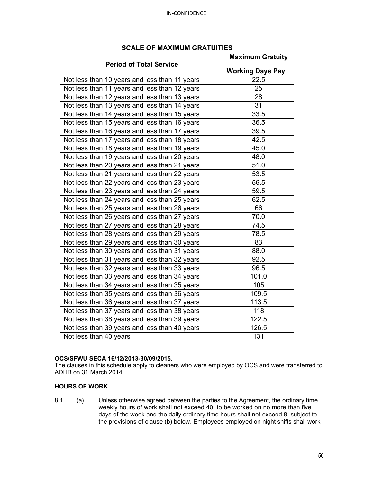| <b>SCALE OF MAXIMUM GRATUITIES</b>            |                         |  |
|-----------------------------------------------|-------------------------|--|
| <b>Period of Total Service</b>                | <b>Maximum Gratuity</b> |  |
|                                               | <b>Working Days Pay</b> |  |
| Not less than 10 years and less than 11 years | 22.5                    |  |
| Not less than 11 years and less than 12 years | 25                      |  |
| Not less than 12 years and less than 13 years | 28                      |  |
| Not less than 13 years and less than 14 years | 31                      |  |
| Not less than 14 years and less than 15 years | 33.5                    |  |
| Not less than 15 years and less than 16 years | 36.5                    |  |
| Not less than 16 years and less than 17 years | 39.5                    |  |
| Not less than 17 years and less than 18 years | 42.5                    |  |
| Not less than 18 years and less than 19 years | 45.0                    |  |
| Not less than 19 years and less than 20 years | 48.0                    |  |
| Not less than 20 years and less than 21 years | 51.0                    |  |
| Not less than 21 years and less than 22 years | 53.5                    |  |
| Not less than 22 years and less than 23 years | 56.5                    |  |
| Not less than 23 years and less than 24 years | 59.5                    |  |
| Not less than 24 years and less than 25 years | 62.5                    |  |
| Not less than 25 years and less than 26 years | 66                      |  |
| Not less than 26 years and less than 27 years | 70.0                    |  |
| Not less than 27 years and less than 28 years | 74.5                    |  |
| Not less than 28 years and less than 29 years | 78.5                    |  |
| Not less than 29 years and less than 30 years | 83                      |  |
| Not less than 30 years and less than 31 years | 88.0                    |  |
| Not less than 31 years and less than 32 years | 92.5                    |  |
| Not less than 32 years and less than 33 years | 96.5                    |  |
| Not less than 33 years and less than 34 years | 101.0                   |  |
| Not less than 34 years and less than 35 years | 105                     |  |
| Not less than 35 years and less than 36 years | 109.5                   |  |
| Not less than 36 years and less than 37 years | 113.5                   |  |
| Not less than 37 years and less than 38 years | 118                     |  |
| Not less than 38 years and less than 39 years | 122.5                   |  |
| Not less than 39 years and less than 40 years | 126.5                   |  |
| Not less than 40 years                        | 131                     |  |

## **OCS/SFWU SECA 16/12/2013-30/09/2015**.

The clauses in this schedule apply to cleaners who were employed by OCS and were transferred to ADHB on 31 March 2014.

## **HOURS OF WORK**

8.1 (a) Unless otherwise agreed between the parties to the Agreement, the ordinary time weekly hours of work shall not exceed 40, to be worked on no more than five days of the week and the daily ordinary time hours shall not exceed 8, subject to the provisions of clause (b) below. Employees employed on night shifts shall work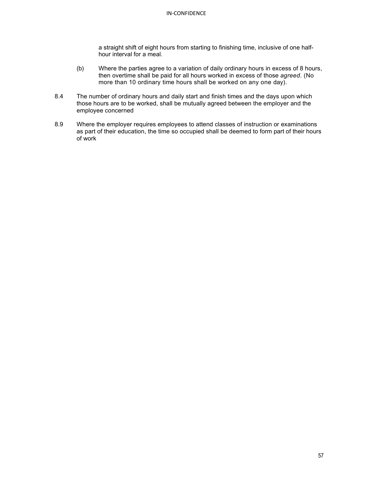a straight shift of eight hours from starting to finishing time, inclusive of one halfhour interval for a meal.

- (b) Where the parties agree to a variation of daily ordinary hours in excess of 8 hours, then overtime shall be paid for all hours worked in excess of those *agreed*. (No more than 10 ordinary time hours shall be worked on any one day).
- 8.4 The number of ordinary hours and daily start and finish times and the days upon which those hours are to be worked, shall be mutually agreed between the employer and the employee concerned
- 8.9 Where the employer requires employees to attend classes of instruction or examinations as part of their education, the time so occupied shall be deemed to form part of their hours of work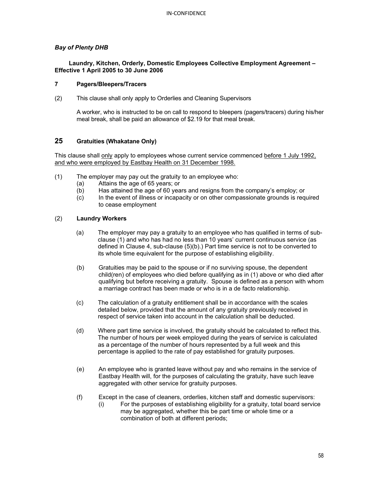## *Bay of Plenty DHB*

## **Laundry, Kitchen, Orderly, Domestic Employees Collective Employment Agreement – Effective 1 April 2005 to 30 June 2006**

## **7 Pagers/Bleepers/Tracers**

(2) This clause shall only apply to Orderlies and Cleaning Supervisors

A worker, who is instructed to be on call to respond to bleepers (pagers/tracers) during his/her meal break, shall be paid an allowance of \$2.19 for that meal break.

## **25 Gratuities (Whakatane Only)**

This clause shall only apply to employees whose current service commenced before 1 July 1992, and who were employed by Eastbay Health on 31 December 1998.

- (1) The employer may pay out the gratuity to an employee who:
	- (a) Attains the age of 65 years; or
	- Has attained the age of 60 years and resigns from the company's employ; or
	- (c) In the event of illness or incapacity or on other compassionate grounds is required to cease employment

## (2) **Laundry Workers**

- (a) The employer may pay a gratuity to an employee who has qualified in terms of subclause (1) and who has had no less than 10 years' current continuous service (as defined in Clause 4, sub-clause (5)(b).) Part time service is not to be converted to its whole time equivalent for the purpose of establishing eligibility.
- (b) Gratuities may be paid to the spouse or if no surviving spouse, the dependent child(ren) of employees who died before qualifying as in (1) above or who died after qualifying but before receiving a gratuity. Spouse is defined as a person with whom a marriage contract has been made or who is in a de facto relationship.
- (c) The calculation of a gratuity entitlement shall be in accordance with the scales detailed below, provided that the amount of any gratuity previously received in respect of service taken into account in the calculation shall be deducted.
- (d) Where part time service is involved, the gratuity should be calculated to reflect this. The number of hours per week employed during the years of service is calculated as a percentage of the number of hours represented by a full week and this percentage is applied to the rate of pay established for gratuity purposes.
- (e) An employee who is granted leave without pay and who remains in the service of Eastbay Health will, for the purposes of calculating the gratuity, have such leave aggregated with other service for gratuity purposes.
- (f) Except in the case of cleaners, orderlies, kitchen staff and domestic supervisors:
	- (i) For the purposes of establishing eligibility for a gratuity, total board service may be aggregated, whether this be part time or whole time or a combination of both at different periods;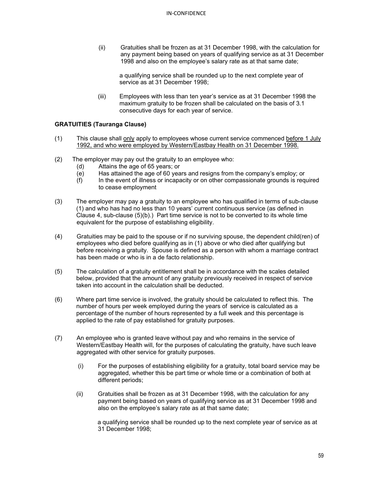(ii) Gratuities shall be frozen as at 31 December 1998, with the calculation for any payment being based on years of qualifying service as at 31 December 1998 and also on the employee's salary rate as at that same date;

a qualifying service shall be rounded up to the next complete year of service as at 31 December 1998;

(iii) Employees with less than ten year's service as at 31 December 1998 the maximum gratuity to be frozen shall be calculated on the basis of 3.1 consecutive days for each year of service.

## **GRATUITIES (Tauranga Clause)**

- (1) This clause shall only apply to employees whose current service commenced before 1 July 1992, and who were employed by Western/Eastbay Health on 31 December 1998.
- (2) The employer may pay out the gratuity to an employee who:
	-
	- (d) Attains the age of 65 years; or Has attained the age of 60 years and resigns from the company's employ; or
	- (f) In the event of illness or incapacity or on other compassionate grounds is required to cease employment
- (3) The employer may pay a gratuity to an employee who has qualified in terms of sub-clause (1) and who has had no less than 10 years' current continuous service (as defined in Clause 4, sub-clause (5)(b).) Part time service is not to be converted to its whole time equivalent for the purpose of establishing eligibility.
- (4) Gratuities may be paid to the spouse or if no surviving spouse, the dependent child(ren) of employees who died before qualifying as in (1) above or who died after qualifying but before receiving a gratuity. Spouse is defined as a person with whom a marriage contract has been made or who is in a de facto relationship.
- (5) The calculation of a gratuity entitlement shall be in accordance with the scales detailed below, provided that the amount of any gratuity previously received in respect of service taken into account in the calculation shall be deducted.
- (6) Where part time service is involved, the gratuity should be calculated to reflect this. The number of hours per week employed during the years of service is calculated as a percentage of the number of hours represented by a full week and this percentage is applied to the rate of pay established for gratuity purposes.
- (7) An employee who is granted leave without pay and who remains in the service of Western/Eastbay Health will, for the purposes of calculating the gratuity, have such leave aggregated with other service for gratuity purposes.
	- (i) For the purposes of establishing eligibility for a gratuity, total board service may be aggregated, whether this be part time or whole time or a combination of both at different periods;
	- (ii) Gratuities shall be frozen as at 31 December 1998, with the calculation for any payment being based on years of qualifying service as at 31 December 1998 and also on the employee's salary rate as at that same date;

a qualifying service shall be rounded up to the next complete year of service as at 31 December 1998;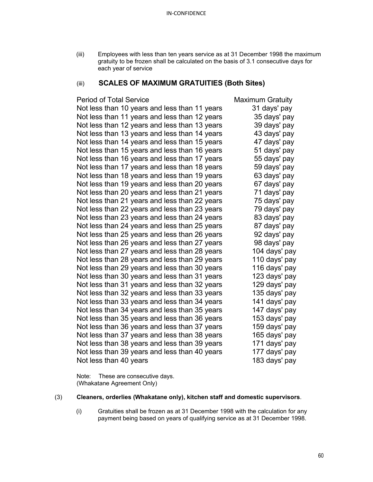(iii) Employees with less than ten years service as at 31 December 1998 the maximum gratuity to be frozen shall be calculated on the basis of 3.1 consecutive days for each year of service

## (iii) **SCALES OF MAXIMUM GRATUITIES (Both Sites)**

## Period of Total Service Maximum Gratuity

|                        | Not less than 10 years and less than 11 years | 31 days' pay  |
|------------------------|-----------------------------------------------|---------------|
|                        | Not less than 11 years and less than 12 years | 35 days' pay  |
|                        | Not less than 12 years and less than 13 years | 39 days' pay  |
|                        | Not less than 13 years and less than 14 years | 43 days' pay  |
|                        | Not less than 14 years and less than 15 years | 47 days' pay  |
|                        | Not less than 15 years and less than 16 years | 51 days' pay  |
|                        | Not less than 16 years and less than 17 years | 55 days' pay  |
|                        | Not less than 17 years and less than 18 years | 59 days' pay  |
|                        | Not less than 18 years and less than 19 years | 63 days' pay  |
|                        | Not less than 19 years and less than 20 years | 67 days' pay  |
|                        | Not less than 20 years and less than 21 years | 71 days' pay  |
|                        | Not less than 21 years and less than 22 years | 75 days' pay  |
|                        | Not less than 22 years and less than 23 years | 79 days' pay  |
|                        | Not less than 23 years and less than 24 years | 83 days' pay  |
|                        | Not less than 24 years and less than 25 years | 87 days' pay  |
|                        | Not less than 25 years and less than 26 years | 92 days' pay  |
|                        | Not less than 26 years and less than 27 years | 98 days' pay  |
|                        | Not less than 27 years and less than 28 years | 104 days' pay |
|                        | Not less than 28 years and less than 29 years | 110 days' pay |
|                        | Not less than 29 years and less than 30 years | 116 days' pay |
|                        | Not less than 30 years and less than 31 years | 123 days' pay |
|                        | Not less than 31 years and less than 32 years | 129 days' pay |
|                        | Not less than 32 years and less than 33 years | 135 days' pay |
|                        | Not less than 33 years and less than 34 years | 141 days' pay |
|                        | Not less than 34 years and less than 35 years | 147 days' pay |
|                        | Not less than 35 years and less than 36 years | 153 days' pay |
|                        | Not less than 36 years and less than 37 years | 159 days' pay |
|                        | Not less than 37 years and less than 38 years | 165 days' pay |
|                        | Not less than 38 years and less than 39 years | 171 days' pay |
|                        | Not less than 39 years and less than 40 years | 177 days' pay |
| Not less than 40 years |                                               | 183 days' pay |

Note: These are consecutive days. (Whakatane Agreement Only)

## (3) **Cleaners, orderlies (Whakatane only), kitchen staff and domestic supervisors**.

(i) Gratuities shall be frozen as at 31 December 1998 with the calculation for any payment being based on years of qualifying service as at 31 December 1998.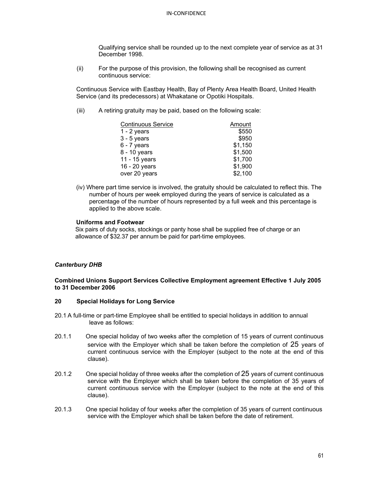Qualifying service shall be rounded up to the next complete year of service as at 31 December 1998.

(ii) For the purpose of this provision, the following shall be recognised as current continuous service:

Continuous Service with Eastbay Health, Bay of Plenty Area Health Board, United Health Service (and its predecessors) at Whakatane or Opotiki Hospitals.

(iii) A retiring gratuity may be paid, based on the following scale:

| <b>Continuous Service</b> | Amount  |
|---------------------------|---------|
| $1 - 2$ years             | \$550   |
| $3 - 5$ years             | \$950   |
| $6 - 7$ years             | \$1,150 |
| 8 - 10 years              | \$1,500 |
| 11 - 15 years             | \$1,700 |
| 16 - 20 years             | \$1,900 |
| over 20 years             | \$2,100 |

(iv) Where part time service is involved, the gratuity should be calculated to reflect this. The number of hours per week employed during the years of service is calculated as a percentage of the number of hours represented by a full week and this percentage is applied to the above scale.

## **Uniforms and Footwear**

Six pairs of duty socks, stockings or panty hose shall be supplied free of charge or an allowance of \$32.37 per annum be paid for part-time employees.

## *Canterbury DHB*

## **Combined Unions Support Services Collective Employment agreement Effective 1 July 2005 to 31 December 2006**

## **20 Special Holidays for Long Service**

- 20.1 A full-time or part-time Employee shall be entitled to special holidays in addition to annual leave as follows:
- 20.1.1 One special holiday of two weeks after the completion of 15 years of current continuous service with the Employer which shall be taken before the completion of 25 years of current continuous service with the Employer (subject to the note at the end of this clause).
- 20.1.2 One special holiday of three weeks after the completion of 25 years of current continuous service with the Employer which shall be taken before the completion of 35 years of current continuous service with the Employer (subject to the note at the end of this clause).
- 20.1.3 One special holiday of four weeks after the completion of 35 years of current continuous service with the Employer which shall be taken before the date of retirement.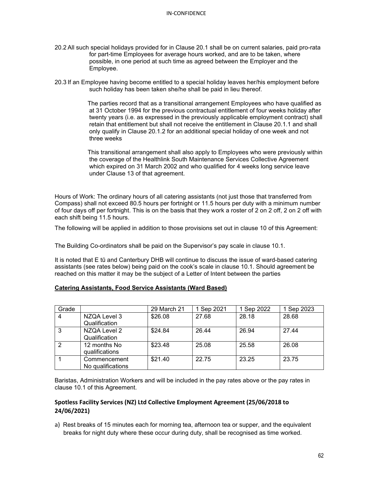- 20.2 All such special holidays provided for in Clause 20.1 shall be on current salaries, paid pro-rata for part-time Employees for average hours worked, and are to be taken, where possible, in one period at such time as agreed between the Employer and the Employee.
- 20.3 If an Employee having become entitled to a special holiday leaves her/his employment before such holiday has been taken she/he shall be paid in lieu thereof.

The parties record that as a transitional arrangement Employees who have qualified as at 31 October 1994 for the previous contractual entitlement of four weeks holiday after twenty years (i.e. as expressed in the previously applicable employment contract) shall retain that entitlement but shall not receive the entitlement in Clause 20.1.1 and shall only qualify in Clause 20.1.2 for an additional special holiday of one week and not three weeks

This transitional arrangement shall also apply to Employees who were previously within the coverage of the Healthlink South Maintenance Services Collective Agreement which expired on 31 March 2002 and who qualified for 4 weeks long service leave under Clause 13 of that agreement.

Hours of Work: The ordinary hours of all catering assistants (not just those that transferred from Compass) shall not exceed 80.5 hours per fortnight or 11.5 hours per duty with a minimum number of four days off per fortnight. This is on the basis that they work a roster of 2 on 2 off, 2 on 2 off with each shift being 11.5 hours.

The following will be applied in addition to those provisions set out in clause 10 of this Agreement:

The Building Co-ordinators shall be paid on the Supervisor's pay scale in clause 10.1.

It is noted that E tū and Canterbury DHB will continue to discuss the issue of ward-based catering assistants (see rates below) being paid on the cook's scale in clause 10.1. Should agreement be reached on this matter it may be the subject of a Letter of Intent between the parties

| Grade |                                   | 29 March 21 | 1 Sep 2021 | Sep 2022 | 1 Sep 2023 |
|-------|-----------------------------------|-------------|------------|----------|------------|
| 4     | NZQA Level 3<br>Qualification     | \$26.08     | 27.68      | 28.18    | 28.68      |
| 3     | NZQA Level 2<br>Qualification     | \$24.84     | 26.44      | 26.94    | 27.44      |
| 2     | 12 months No<br>qualifications    | \$23.48     | 25.08      | 25.58    | 26.08      |
|       | Commencement<br>No qualifications | \$21.40     | 22.75      | 23.25    | 23.75      |

## **Catering Assistants, Food Service Assistants (Ward Based)**

Baristas, Administration Workers and will be included in the pay rates above or the pay rates in clause 10.1 of this Agreement.

## **Spotless Facility Services (NZ) Ltd Collective Employment Agreement (25/06/2018 to 24/06/2021)**

a) Rest breaks of 15 minutes each for morning tea, afternoon tea or supper, and the equivalent breaks for night duty where these occur during duty, shall be recognised as time worked.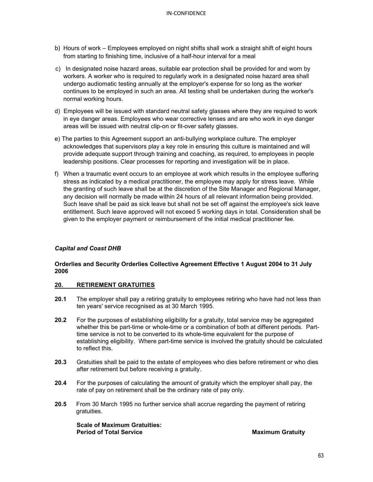- b) Hours of work Employees employed on night shifts shall work a straight shift of eight hours from starting to finishing time, inclusive of a half-hour interval for a meal
- c) In designated noise hazard areas, suitable ear protection shall be provided for and worn by workers. A worker who is required to regularly work in a designated noise hazard area shall undergo audiomatic testing annually at the employer's expense for so long as the worker continues to be employed in such an area. All testing shall be undertaken during the worker's normal working hours.
- d) Employees will be issued with standard neutral safety glasses where they are required to work in eye danger areas. Employees who wear corrective lenses and are who work in eye danger areas will be issued with neutral clip-on or fit-over safety glasses.
- e) The parties to this Agreement support an anti-bullying workplace culture. The employer acknowledges that supervisors play a key role in ensuring this culture is maintained and will provide adequate support through training and coaching, as required, to employees in people leadership positions. Clear processes for reporting and investigation will be in place.
- f) When a traumatic event occurs to an employee at work which results in the employee suffering stress as indicated by a medical practitioner, the employee may apply for stress leave. While the granting of such leave shall be at the discretion of the Site Manager and Regional Manager, any decision will normally be made within 24 hours of all relevant information being provided. Such leave shall be paid as sick leave but shall not be set off against the employee's sick leave entitlement. Such leave approved will not exceed 5 working days in total. Consideration shall be given to the employer payment or reimbursement of the initial medical practitioner fee.

## *Capital and Coast DHB*

## **Orderlies and Security Orderlies Collective Agreement Effective 1 August 2004 to 31 July 2006**

## **20. RETIREMENT GRATUITIES**

- **20.1** The employer shall pay a retiring gratuity to employees retiring who have had not less than ten years' service recognised as at 30 March 1995.
- **20.2** For the purposes of establishing eligibility for a gratuity, total service may be aggregated whether this be part-time or whole-time or a combination of both at different periods. Parttime service is not to be converted to its whole-time equivalent for the purpose of establishing eligibility. Where part-time service is involved the gratuity should be calculated to reflect this.
- **20.3** Gratuities shall be paid to the estate of employees who dies before retirement or who dies after retirement but before receiving a gratuity.
- **20.4** For the purposes of calculating the amount of gratuity which the employer shall pay, the rate of pay on retirement shall be the ordinary rate of pay only.
- **20.5** From 30 March 1995 no further service shall accrue regarding the payment of retiring gratuities.

**Scale of Maximum Gratuities: Period of Total Service**  Maximum Gratuity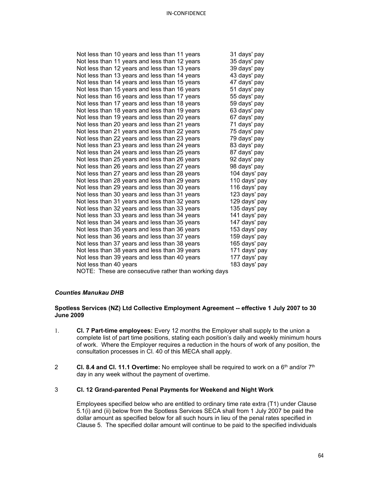| Not less than 10 years and less than 11 years        | 31 days' pay  |
|------------------------------------------------------|---------------|
| Not less than 11 years and less than 12 years        | 35 days' pay  |
| Not less than 12 years and less than 13 years        | 39 days' pay  |
| Not less than 13 years and less than 14 years        | 43 days' pay  |
| Not less than 14 years and less than 15 years        | 47 days' pay  |
| Not less than 15 years and less than 16 years        | 51 days' pay  |
| Not less than 16 years and less than 17 years        | 55 days' pay  |
| Not less than 17 years and less than 18 years        | 59 days' pay  |
| Not less than 18 years and less than 19 years        | 63 days' pay  |
| Not less than 19 years and less than 20 years        | 67 days' pay  |
| Not less than 20 years and less than 21 years        | 71 days' pay  |
| Not less than 21 years and less than 22 years        | 75 days' pay  |
| Not less than 22 years and less than 23 years        | 79 days' pay  |
| Not less than 23 years and less than 24 years        | 83 days' pay  |
| Not less than 24 years and less than 25 years        | 87 days' pay  |
| Not less than 25 years and less than 26 years        | 92 days' pay  |
| Not less than 26 years and less than 27 years        | 98 days' pay  |
| Not less than 27 years and less than 28 years        | 104 days' pay |
| Not less than 28 years and less than 29 years        | 110 days' pay |
| Not less than 29 years and less than 30 years        | 116 days' pay |
| Not less than 30 years and less than 31 years        | 123 days' pay |
| Not less than 31 years and less than 32 years        | 129 days' pay |
| Not less than 32 years and less than 33 years        | 135 days' pay |
| Not less than 33 years and less than 34 years        | 141 days' pay |
| Not less than 34 years and less than 35 years        | 147 days' pay |
| Not less than 35 years and less than 36 years        | 153 days' pay |
| Not less than 36 years and less than 37 years        | 159 days' pay |
| Not less than 37 years and less than 38 years        | 165 days' pay |
| Not less than 38 years and less than 39 years        | 171 days' pay |
| Not less than 39 years and less than 40 years        | 177 days' pay |
| Not less than 40 years                               | 183 days' pay |
| NOTE: These are consecutive rather than working days |               |

## *Counties Manukau DHB*

## **Spotless Services (NZ) Ltd Collective Employment Agreement -- effective 1 July 2007 to 30 June 2009**

- 1. **Cl. 7 Part-time employees:** Every 12 months the Employer shall supply to the union a complete list of part time positions, stating each position's daily and weekly minimum hours of work. Where the Employer requires a reduction in the hours of work of any position, the consultation processes in Cl. 40 of this MECA shall apply.
- 2 **Cl. 8.4 and Cl. 11.1 Overtime:** No employee shall be required to work on a 6<sup>th</sup> and/or 7<sup>th</sup> day in any week without the payment of overtime.

## 3 **Cl. 12 Grand-parented Penal Payments for Weekend and Night Work**

Employees specified below who are entitled to ordinary time rate extra (T1) under Clause 5.1(i) and (ii) below from the Spotless Services SECA shall from 1 July 2007 be paid the dollar amount as specified below for all such hours in lieu of the penal rates specified in Clause 5. The specified dollar amount will continue to be paid to the specified individuals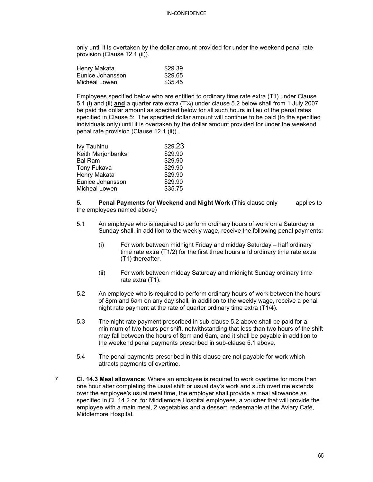only until it is overtaken by the dollar amount provided for under the weekend penal rate provision (Clause 12.1 (ii)).

| Henry Makata     | \$29.39 |
|------------------|---------|
| Eunice Johansson | \$29.65 |
| Micheal Lowen    | \$35.45 |

Employees specified below who are entitled to ordinary time rate extra (T1) under Clause 5.1 (i) and (ii) **and** a quarter rate extra (T¼) under clause 5.2 below shall from 1 July 2007 be paid the dollar amount as specified below for all such hours in lieu of the penal rates specified in Clause 5: The specified dollar amount will continue to be paid (to the specified individuals only) until it is overtaken by the dollar amount provided for under the weekend penal rate provision (Clause 12.1 (ii)).

| Ivy Tauhinu        | \$29.23 |
|--------------------|---------|
| Keith Marjoribanks | \$29.90 |
| <b>Bal Ram</b>     | \$29.90 |
| Tony Fukava        | \$29.90 |
| Henry Makata       | \$29.90 |
| Eunice Johansson   | \$29.90 |
| Micheal Lowen      | \$35.75 |

**5. Penal Payments for Weekend and Night Work** (This clause only applies to the employees named above)

- 5.1 An employee who is required to perform ordinary hours of work on a Saturday or Sunday shall, in addition to the weekly wage, receive the following penal payments:
	- (i) For work between midnight Friday and midday Saturday half ordinary time rate extra (T1/2) for the first three hours and ordinary time rate extra (T1) thereafter.
	- (ii) For work between midday Saturday and midnight Sunday ordinary time rate extra (T1).
- 5.2 An employee who is required to perform ordinary hours of work between the hours of 8pm and 6am on any day shall, in addition to the weekly wage, receive a penal night rate payment at the rate of quarter ordinary time extra (T1/4).
- 5.3 The night rate payment prescribed in sub-clause 5.2 above shall be paid for a minimum of two hours per shift, notwithstanding that less than two hours of the shift may fall between the hours of 8pm and 6am, and it shall be payable in addition to the weekend penal payments prescribed in sub-clause 5.1 above.
- 5.4 The penal payments prescribed in this clause are not payable for work which attracts payments of overtime.
- 7 **Cl. 14.3 Meal allowance:** Where an employee is required to work overtime for more than one hour after completing the usual shift or usual day's work and such overtime extends over the employee's usual meal time, the employer shall provide a meal allowance as specified in Cl. 14.2 or, for Middlemore Hospital employees, a voucher that will provide the employee with a main meal, 2 vegetables and a dessert, redeemable at the Aviary Café, Middlemore Hospital.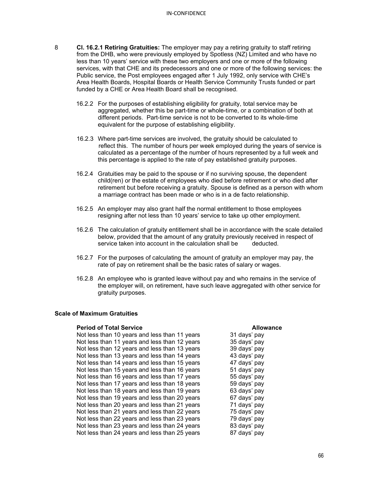- 8 **Cl. 16.2.1 Retiring Gratuities:** The employer may pay a retiring gratuity to staff retiring from the DHB, who were previously employed by Spotless (NZ) Limited and who have no less than 10 years' service with these two employers and one or more of the following services, with that CHE and its predecessors and one or more of the following services: the Public service, the Post employees engaged after 1 July 1992, only service with CHE's Area Health Boards, Hospital Boards or Health Service Community Trusts funded or part funded by a CHE or Area Health Board shall be recognised.
	- 16.2.2 For the purposes of establishing eligibility for gratuity, total service may be aggregated, whether this be part-time or whole-time, or a combination of both at different periods. Part-time service is not to be converted to its whole-time equivalent for the purpose of establishing eligibility.
	- 16.2.3 Where part-time services are involved, the gratuity should be calculated to reflect this. The number of hours per week employed during the years of service is calculated as a percentage of the number of hours represented by a full week and this percentage is applied to the rate of pay established gratuity purposes.
	- 16.2.4 Gratuities may be paid to the spouse or if no surviving spouse, the dependent child(ren) or the estate of employees who died before retirement or who died after retirement but before receiving a gratuity. Spouse is defined as a person with whom a marriage contract has been made or who is in a de facto relationship.
	- 16.2.5 An employer may also grant half the normal entitlement to those employees resigning after not less than 10 years' service to take up other employment.
	- 16.2.6 The calculation of gratuity entitlement shall be in accordance with the scale detailed below, provided that the amount of any gratuity previously received in respect of service taken into account in the calculation shall be deducted. service taken into account in the calculation shall be
	- 16.2.7 For the purposes of calculating the amount of gratuity an employer may pay, the rate of pay on retirement shall be the basic rates of salary or wages.
	- 16.2.8 An employee who is granted leave without pay and who remains in the service of the employer will, on retirement, have such leave aggregated with other service for gratuity purposes.

#### **Scale of Maximum Gratuities**

**Period of Total Service**<br>Not less than 10 years and less than 11 years **Allowance**<br>31 days' pay Not less than 10 years and less than 11 years 31 days' pay<br>Not less than 11 years and less than 12 years 35 days' pay Not less than 11 years and less than 12 years Not less than 12 years and less than 13 years 39 days' pay Not less than 13 years and less than 14 years 43 days' pay<br>Not less than 14 years and less than 15 years 47 days' pay Not less than 14 years and less than 15 years Not less than 15 years and less than 16 years 51 days' pay Not less than 16 years and less than 17 years 55 days' pay Not less than 17 years and less than 18 years 59 days' pay Not less than 18 years and less than 19 years 63 days' pay Not less than 19 years and less than 20 years 67 days' pay<br>Not less than 20 years and less than 21 years 71 days' pay Not less than 20 years and less than 21 years Not less than 21 years and less than 22 years 75 days' pay<br>Not less than 22 years and less than 23 years 79 days' pay Not less than 22 years and less than 23 years 79 days' pay<br>Not less than 23 years and less than 24 years 83 days' pay Not less than 23 years and less than 24 years Not less than 24 years and less than 25 years 87 days' pay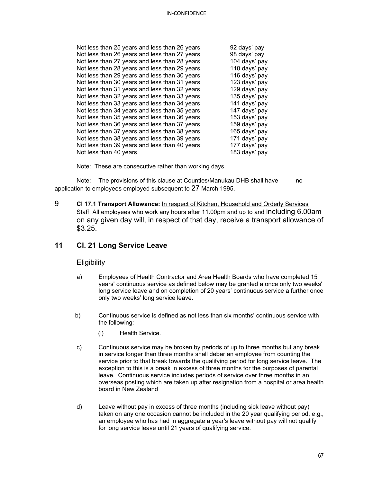| Not less than 25 years and less than 26 years | 92 days' pay  |
|-----------------------------------------------|---------------|
| Not less than 26 years and less than 27 years | 98 days' pay  |
| Not less than 27 years and less than 28 years | 104 days' pay |
| Not less than 28 years and less than 29 years | 110 days' pay |
| Not less than 29 years and less than 30 years | 116 days' pay |
| Not less than 30 years and less than 31 years | 123 days' pay |
| Not less than 31 years and less than 32 years | 129 days' pay |
| Not less than 32 years and less than 33 years | 135 days' pay |
| Not less than 33 years and less than 34 years | 141 days' pay |
| Not less than 34 years and less than 35 years | 147 days' pay |
| Not less than 35 years and less than 36 years | 153 days' pay |
| Not less than 36 years and less than 37 years | 159 days' pay |
| Not less than 37 years and less than 38 years | 165 days' pay |
| Not less than 38 years and less than 39 years | 171 days' pay |
| Not less than 39 years and less than 40 years | 177 days' pay |
| Not less than 40 years                        | 183 days' pay |
|                                               |               |

Note: These are consecutive rather than working days.

Note: The provisions of this clause at Counties/Manukau DHB shall have no application to employees employed subsequent to 27 March 1995.

9 **Cl 17.1 Transport Allowance:** In respect of Kitchen, Household and Orderly Services Staff: All employees who work any hours after 11.00pm and up to and including 6.00am on any given day will, in respect of that day, receive a transport allowance of \$3.25.

## **11 Cl. 21 Long Service Leave**

## **Eligibility**

- a) Employees of Health Contractor and Area Health Boards who have completed 15 years' continuous service as defined below may be granted a once only two weeks' long service leave and on completion of 20 years' continuous service a further once only two weeks' long service leave.
- b) Continuous service is defined as not less than six months' continuous service with the following:
	- (i) Health Service.
- c) Continuous service may be broken by periods of up to three months but any break in service longer than three months shall debar an employee from counting the service prior to that break towards the qualifying period for long service leave. The exception to this is a break in excess of three months for the purposes of parental leave. Continuous service includes periods of service over three months in an overseas posting which are taken up after resignation from a hospital or area health board in New Zealand
- d) Leave without pay in excess of three months (including sick leave without pay) taken on any one occasion cannot be included in the 20 year qualifying period, e.g., an employee who has had in aggregate a year's leave without pay will not qualify for long service leave until 21 years of qualifying service.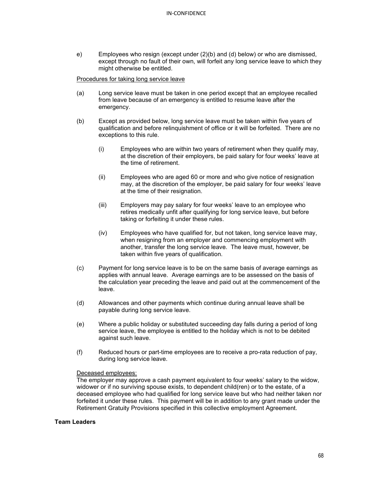e) Employees who resign (except under (2)(b) and (d) below) or who are dismissed, except through no fault of their own, will forfeit any long service leave to which they might otherwise be entitled.

Procedures for taking long service leave

- (a) Long service leave must be taken in one period except that an employee recalled from leave because of an emergency is entitled to resume leave after the emergency.
- (b) Except as provided below, long service leave must be taken within five years of qualification and before relinquishment of office or it will be forfeited. There are no exceptions to this rule.
	- (i) Employees who are within two years of retirement when they qualify may, at the discretion of their employers, be paid salary for four weeks' leave at the time of retirement.
	- (ii) Employees who are aged 60 or more and who give notice of resignation may, at the discretion of the employer, be paid salary for four weeks' leave at the time of their resignation.
	- (iii) Employers may pay salary for four weeks' leave to an employee who retires medically unfit after qualifying for long service leave, but before taking or forfeiting it under these rules.
	- (iv) Employees who have qualified for, but not taken, long service leave may, when resigning from an employer and commencing employment with another, transfer the long service leave. The leave must, however, be taken within five years of qualification.
- (c) Payment for long service leave is to be on the same basis of average earnings as applies with annual leave. Average earnings are to be assessed on the basis of the calculation year preceding the leave and paid out at the commencement of the leave.
- (d) Allowances and other payments which continue during annual leave shall be payable during long service leave.
- (e) Where a public holiday or substituted succeeding day falls during a period of long service leave, the employee is entitled to the holiday which is not to be debited against such leave.
- (f) Reduced hours or part-time employees are to receive a pro-rata reduction of pay, during long service leave.

#### Deceased employees:

The employer may approve a cash payment equivalent to four weeks' salary to the widow, widower or if no surviving spouse exists, to dependent child(ren) or to the estate, of a deceased employee who had qualified for long service leave but who had neither taken nor forfeited it under these rules. This payment will be in addition to any grant made under the Retirement Gratuity Provisions specified in this collective employment Agreement.

## **Team Leaders**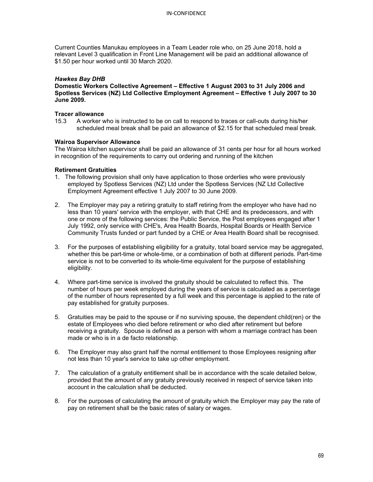Current Counties Manukau employees in a Team Leader role who, on 25 June 2018, hold a relevant Level 3 qualification in Front Line Management will be paid an additional allowance of \$1.50 per hour worked until 30 March 2020.

## *Hawkes Bay DHB*

**Domestic Workers Collective Agreement – Effective 1 August 2003 to 31 July 2006 and Spotless Services (NZ) Ltd Collective Employment Agreement – Effective 1 July 2007 to 30 June 2009.**

## **Tracer allowance**

15.3 A worker who is instructed to be on call to respond to traces or call-outs during his/her scheduled meal break shall be paid an allowance of \$2.15 for that scheduled meal break.

## **Wairoa Supervisor Allowance**

The Wairoa kitchen supervisor shall be paid an allowance of 31 cents per hour for all hours worked in recognition of the requirements to carry out ordering and running of the kitchen

## **Retirement Gratuities**

- 1. The following provision shall only have application to those orderlies who were previously employed by Spotless Services (NZ) Ltd under the Spotless Services (NZ Ltd Collective Employment Agreement effective 1 July 2007 to 30 June 2009.
- 2. The Employer may pay a retiring gratuity to staff retiring from the employer who have had no less than 10 years' service with the employer, with that CHE and its predecessors, and with one or more of the following services: the Public Service, the Post employees engaged after 1 July 1992, only service with CHE's, Area Health Boards, Hospital Boards or Health Service Community Trusts funded or part funded by a CHE or Area Health Board shall be recognised.
- 3. For the purposes of establishing eligibility for a gratuity, total board service may be aggregated, whether this be part-time or whole-time, or a combination of both at different periods. Part-time service is not to be converted to its whole-time equivalent for the purpose of establishing eligibility.
- 4. Where part-time service is involved the gratuity should be calculated to reflect this. The number of hours per week employed during the years of service is calculated as a percentage of the number of hours represented by a full week and this percentage is applied to the rate of pay established for gratuity purposes.
- 5. Gratuities may be paid to the spouse or if no surviving spouse, the dependent child(ren) or the estate of Employees who died before retirement or who died after retirement but before receiving a gratuity. Spouse is defined as a person with whom a marriage contract has been made or who is in a de facto relationship.
- 6. The Employer may also grant half the normal entitlement to those Employees resigning after not less than 10 year's service to take up other employment.
- 7. The calculation of a gratuity entitlement shall be in accordance with the scale detailed below, provided that the amount of any gratuity previously received in respect of service taken into account in the calculation shall be deducted.
- 8. For the purposes of calculating the amount of gratuity which the Employer may pay the rate of pay on retirement shall be the basic rates of salary or wages.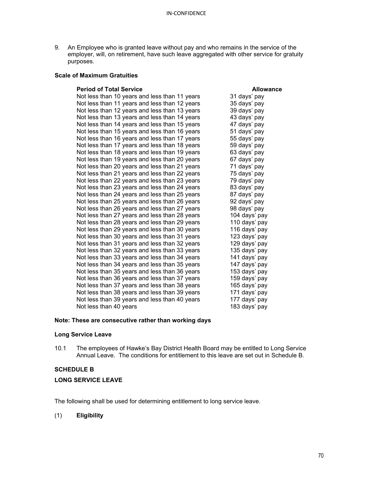9. An Employee who is granted leave without pay and who remains in the service of the employer, will, on retirement, have such leave aggregated with other service for gratuity purposes.

## **Scale of Maximum Gratuities**

| <b>Period of Total Service</b>                | <b>Allowance</b> |
|-----------------------------------------------|------------------|
| Not less than 10 years and less than 11 years | 31 days' pay     |
| Not less than 11 years and less than 12 years | 35 days' pay     |
| Not less than 12 years and less than 13 years | 39 days' pay     |
| Not less than 13 years and less than 14 years | 43 days' pay     |
| Not less than 14 years and less than 15 years | 47 days' pay     |
| Not less than 15 years and less than 16 years | 51 days' pay     |
| Not less than 16 years and less than 17 years | 55 days' pay     |
| Not less than 17 years and less than 18 years | 59 days' pay     |
| Not less than 18 years and less than 19 years | 63 days' pay     |
| Not less than 19 years and less than 20 years | 67 days' pay     |
| Not less than 20 years and less than 21 years | 71 days' pay     |
| Not less than 21 years and less than 22 years | 75 days' pay     |
| Not less than 22 years and less than 23 years | 79 days' pay     |
| Not less than 23 years and less than 24 years | 83 days' pay     |
| Not less than 24 years and less than 25 years | 87 days' pay     |
| Not less than 25 years and less than 26 years | 92 days' pay     |
| Not less than 26 years and less than 27 years | 98 days' pay     |
| Not less than 27 years and less than 28 years | 104 days' pay    |
| Not less than 28 years and less than 29 years | 110 days' pay    |
| Not less than 29 years and less than 30 years | 116 days' pay    |
| Not less than 30 years and less than 31 years | 123 days' pay    |
| Not less than 31 years and less than 32 years | 129 days' pay    |
| Not less than 32 years and less than 33 years | 135 days' pay    |
| Not less than 33 years and less than 34 years | 141 days' pay    |
| Not less than 34 years and less than 35 years | 147 days' pay    |
| Not less than 35 years and less than 36 years | 153 days' pay    |
| Not less than 36 years and less than 37 years | 159 days' pay    |
| Not less than 37 years and less than 38 years | 165 days' pay    |
| Not less than 38 years and less than 39 years | 171 days' pay    |
| Not less than 39 years and less than 40 years | 177 days' pay    |
| Not less than 40 years                        | 183 days' pay    |

## **Note: These are consecutive rather than working days**

## **Long Service Leave**

10.1 The employees of Hawke's Bay District Health Board may be entitled to Long Service Annual Leave. The conditions for entitlement to this leave are set out in Schedule B.

## **SCHEDULE B**

## **LONG SERVICE LEAVE**

The following shall be used for determining entitlement to long service leave.

## (1) **Eligibility**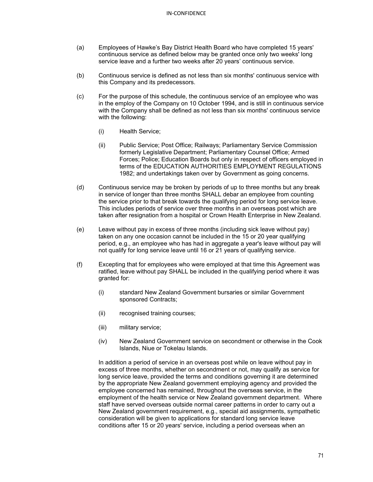- (a) Employees of Hawke's Bay District Health Board who have completed 15 years' continuous service as defined below may be granted once only two weeks' long service leave and a further two weeks after 20 years' continuous service.
- (b) Continuous service is defined as not less than six months' continuous service with this Company and its predecessors.
- (c) For the purpose of this schedule, the continuous service of an employee who was in the employ of the Company on 10 October 1994, and is still in continuous service with the Company shall be defined as not less than six months' continuous service with the following:
	- (i) Health Service;
	- (ii) Public Service; Post Office; Railways; Parliamentary Service Commission formerly Legislative Department; Parliamentary Counsel Office; Armed Forces; Police; Education Boards but only in respect of officers employed in terms of the EDUCATION AUTHORITIES EMPLOYMENT REGULATIONS 1982; and undertakings taken over by Government as going concerns.
- (d) Continuous service may be broken by periods of up to three months but any break in service of longer than three months SHALL debar an employee from counting the service prior to that break towards the qualifying period for long service leave. This includes periods of service over three months in an overseas post which are taken after resignation from a hospital or Crown Health Enterprise in New Zealand.
- (e) Leave without pay in excess of three months (including sick leave without pay) taken on any one occasion cannot be included in the 15 or 20 year qualifying period, e.g., an employee who has had in aggregate a year's leave without pay will not qualify for long service leave until 16 or 21 years of qualifying service.
- (f) Excepting that for employees who were employed at that time this Agreement was ratified, leave without pay SHALL be included in the qualifying period where it was granted for:
	- (i) standard New Zealand Government bursaries or similar Government sponsored Contracts;
	- (ii) recognised training courses;
	- (iii) military service;
	- (iv) New Zealand Government service on secondment or otherwise in the Cook Islands, Niue or Tokelau Islands.

In addition a period of service in an overseas post while on leave without pay in excess of three months, whether on secondment or not, may qualify as service for long service leave, provided the terms and conditions governing it are determined by the appropriate New Zealand government employing agency and provided the employee concerned has remained, throughout the overseas service, in the employment of the health service or New Zealand government department. Where staff have served overseas outside normal career patterns in order to carry out a New Zealand government requirement, e.g., special aid assignments, sympathetic consideration will be given to applications for standard long service leave conditions after 15 or 20 years' service, including a period overseas when an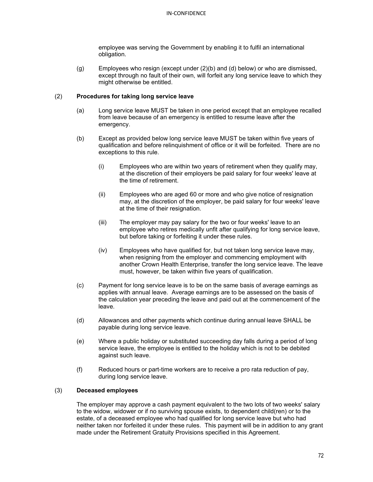employee was serving the Government by enabling it to fulfil an international obligation.

(g) Employees who resign (except under (2)(b) and (d) below) or who are dismissed, except through no fault of their own, will forfeit any long service leave to which they might otherwise be entitled.

## (2) **Procedures for taking long service leave**

- (a) Long service leave MUST be taken in one period except that an employee recalled from leave because of an emergency is entitled to resume leave after the emergency.
- (b) Except as provided below long service leave MUST be taken within five years of qualification and before relinquishment of office or it will be forfeited. There are no exceptions to this rule.
	- (i) Employees who are within two years of retirement when they qualify may, at the discretion of their employers be paid salary for four weeks' leave at the time of retirement.
	- (ii) Employees who are aged 60 or more and who give notice of resignation may, at the discretion of the employer, be paid salary for four weeks' leave at the time of their resignation.
	- (iii) The employer may pay salary for the two or four weeks' leave to an employee who retires medically unfit after qualifying for long service leave, but before taking or forfeiting it under these rules.
	- (iv) Employees who have qualified for, but not taken long service leave may, when resigning from the employer and commencing employment with another Crown Health Enterprise, transfer the long service leave. The leave must, however, be taken within five years of qualification.
- (c) Payment for long service leave is to be on the same basis of average earnings as applies with annual leave. Average earnings are to be assessed on the basis of the calculation year preceding the leave and paid out at the commencement of the leave.
- (d) Allowances and other payments which continue during annual leave SHALL be payable during long service leave.
- (e) Where a public holiday or substituted succeeding day falls during a period of long service leave, the employee is entitled to the holiday which is not to be debited against such leave.
- (f) Reduced hours or part-time workers are to receive a pro rata reduction of pay, during long service leave.

## (3) **Deceased employees**

The employer may approve a cash payment equivalent to the two lots of two weeks' salary to the widow, widower or if no surviving spouse exists, to dependent child(ren) or to the estate, of a deceased employee who had qualified for long service leave but who had neither taken nor forfeited it under these rules. This payment will be in addition to any grant made under the Retirement Gratuity Provisions specified in this Agreement.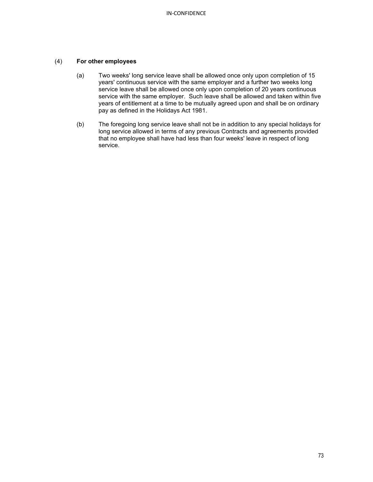# (4) **For other employees**

- (a) Two weeks' long service leave shall be allowed once only upon completion of 15 years' continuous service with the same employer and a further two weeks long service leave shall be allowed once only upon completion of 20 years continuous service with the same employer. Such leave shall be allowed and taken within five years of entitlement at a time to be mutually agreed upon and shall be on ordinary pay as defined in the Holidays Act 1981.
- (b) The foregoing long service leave shall not be in addition to any special holidays for long service allowed in terms of any previous Contracts and agreements provided that no employee shall have had less than four weeks' leave in respect of long service.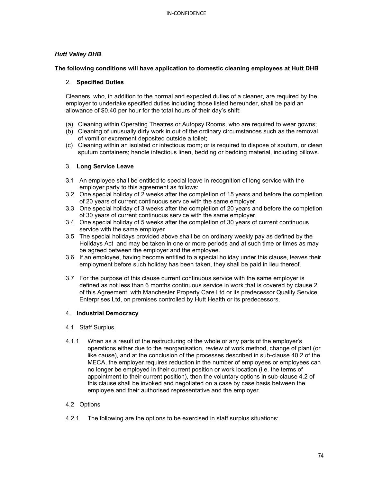# *Hutt Valley DHB*

# **The following conditions will have application to domestic cleaning employees at Hutt DHB**

# 2. **Specified Duties**

Cleaners, who, in addition to the normal and expected duties of a cleaner, are required by the employer to undertake specified duties including those listed hereunder, shall be paid an allowance of \$0.40 per hour for the total hours of their day's shift:

- (a) Cleaning within Operating Theatres or Autopsy Rooms, who are required to wear gowns;
- (b) Cleaning of unusually dirty work in out of the ordinary circumstances such as the removal of vomit or excrement deposited outside a toilet;
- (c) Cleaning within an isolated or infectious room; or is required to dispose of sputum, or clean sputum containers; handle infectious linen, bedding or bedding material, including pillows.

# 3. **Long Service Leave**

- 3.1 An employee shall be entitled to special leave in recognition of long service with the employer party to this agreement as follows:
- 3.2 One special holiday of 2 weeks after the completion of 15 years and before the completion of 20 years of current continuous service with the same employer.
- 3.3 One special holiday of 3 weeks after the completion of 20 years and before the completion of 30 years of current continuous service with the same employer.
- 3.4 One special holiday of 5 weeks after the completion of 30 years of current continuous service with the same employer
- 3.5 The special holidays provided above shall be on ordinary weekly pay as defined by the Holidays Act and may be taken in one or more periods and at such time or times as may be agreed between the employer and the employee.
- 3.6 If an employee, having become entitled to a special holiday under this clause, leaves their employment before such holiday has been taken, they shall be paid in lieu thereof.
- 3.7 For the purpose of this clause current continuous service with the same employer is defined as not less than 6 months continuous service in work that is covered by clause 2 of this Agreement, with Manchester Property Care Ltd or its predecessor Quality Service Enterprises Ltd, on premises controlled by Hutt Health or its predecessors.

#### 4. **Industrial Democracy**

#### 4.1 Staff Surplus

4.1.1 When as a result of the restructuring of the whole or any parts of the employer's operations either due to the reorganisation, review of work method, change of plant (or like cause), and at the conclusion of the processes described in sub-clause 40.2 of the MECA, the employer requires reduction in the number of employees or employees can no longer be employed in their current position or work location (i.e. the terms of appointment to their current position), then the voluntary options in sub-clause 4.2 of this clause shall be invoked and negotiated on a case by case basis between the employee and their authorised representative and the employer.

# 4.2 Options

4.2.1 The following are the options to be exercised in staff surplus situations: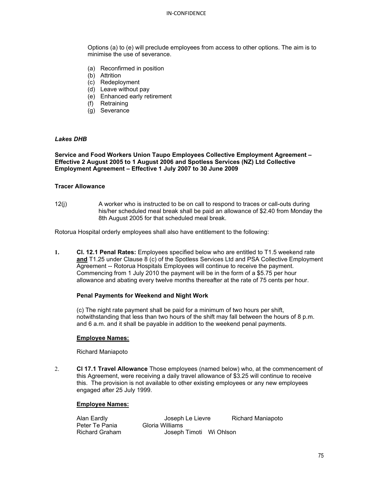Options (a) to (e) will preclude employees from access to other options. The aim is to minimise the use of severance.

- (a) Reconfirmed in position
- (b) Attrition
- (c) Redeployment
- (d) Leave without pay
- (e) Enhanced early retirement
- (f) Retraining
- (g) Severance

### *Lakes DHB*

**Service and Food Workers Union Taupo Employees Collective Employment Agreement – Effective 2 August 2005 to 1 August 2006 and Spotless Services (NZ) Ltd Collective Employment Agreement – Effective 1 July 2007 to 30 June 2009**

#### **Tracer Allowance**

12(j) A worker who is instructed to be on call to respond to traces or call-outs during his/her scheduled meal break shall be paid an allowance of \$2.40 from Monday the 8th August 2005 for that scheduled meal break.

Rotorua Hospital orderly employees shall also have entitlement to the following:

**1. Cl. 12.1 Penal Rates:** Employees specified below who are entitled to T1.5 weekend rate **and** T1.25 under Clause 8 (c) of the Spotless Services Ltd and PSA Collective Employment Agreement -- Rotorua Hospitals Employees will continue to receive the payment. Commencing from 1 July 2010 the payment will be in the form of a \$5.75 per hour allowance and abating every twelve months thereafter at the rate of 75 cents per hour.

#### **Penal Payments for Weekend and Night Work**

(c) The night rate payment shall be paid for a minimum of two hours per shift, notwithstanding that less than two hours of the shift may fall between the hours of 8 p.m. and 6 a.m. and it shall be payable in addition to the weekend penal payments.

#### **Employee Names:**

Richard Maniapoto

2. **Cl 17.1 Travel Allowance** Those employees (named below) who, at the commencement of this Agreement, were receiving a daily travel allowance of \$3.25 will continue to receive this. The provision is not available to other existing employees or any new employees engaged after 25 July 1999.

#### **Employee Names:**

| Alan Eardly           | Joseph Le Lievre        | <b>Richard Maniapoto</b> |
|-----------------------|-------------------------|--------------------------|
| Peter Te Pania        | Gloria Williams         |                          |
| <b>Richard Graham</b> | Joseph Timoti Wi Ohlson |                          |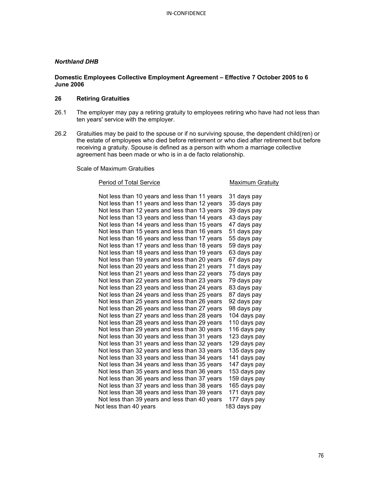### *Northland DHB*

### **Domestic Employees Collective Employment Agreement – Effective 7 October 2005 to 6 June 2006**

# **26 Retiring Gratuities**

- 26.1 The employer may pay a retiring gratuity to employees retiring who have had not less than ten years' service with the employer.
- 26.2 Gratuities may be paid to the spouse or if no surviving spouse, the dependent child(ren) or the estate of employees who died before retirement or who died after retirement but before receiving a gratuity. Spouse is defined as a person with whom a marriage collective agreement has been made or who is in a de facto relationship.

Scale of Maximum Gratuities

#### Period of Total Service **Maximum Gratuity**

| Not less than 10 years and less than 11 years |  |  |  |              | 31 days pay  |  |
|-----------------------------------------------|--|--|--|--------------|--------------|--|
| Not less than 11 years and less than 12 years |  |  |  |              | 35 days pay  |  |
| Not less than 12 years and less than 13 years |  |  |  |              | 39 days pay  |  |
| Not less than 13 years and less than 14 years |  |  |  |              | 43 days pay  |  |
| Not less than 14 years and less than 15 years |  |  |  |              | 47 days pay  |  |
| Not less than 15 years and less than 16 years |  |  |  |              | 51 days pay  |  |
| Not less than 16 years and less than 17 years |  |  |  |              | 55 days pay  |  |
| Not less than 17 years and less than 18 years |  |  |  |              | 59 days pay  |  |
| Not less than 18 years and less than 19 years |  |  |  |              | 63 days pay  |  |
| Not less than 19 years and less than 20 years |  |  |  |              | 67 days pay  |  |
| Not less than 20 years and less than 21 years |  |  |  |              | 71 days pay  |  |
| Not less than 21 years and less than 22 years |  |  |  |              | 75 days pay  |  |
| Not less than 22 years and less than 23 years |  |  |  |              | 79 days pay  |  |
| Not less than 23 years and less than 24 years |  |  |  |              | 83 days pay  |  |
| Not less than 24 years and less than 25 years |  |  |  |              | 87 days pay  |  |
| Not less than 25 years and less than 26 years |  |  |  |              | 92 days pay  |  |
| Not less than 26 years and less than 27 years |  |  |  |              | 98 days pay  |  |
| Not less than 27 years and less than 28 years |  |  |  |              | 104 days pay |  |
| Not less than 28 years and less than 29 years |  |  |  |              | 110 days pay |  |
| Not less than 29 years and less than 30 years |  |  |  |              | 116 days pay |  |
| Not less than 30 years and less than 31 years |  |  |  |              | 123 days pay |  |
| Not less than 31 years and less than 32 years |  |  |  |              | 129 days pay |  |
| Not less than 32 years and less than 33 years |  |  |  |              | 135 days pay |  |
| Not less than 33 years and less than 34 years |  |  |  |              | 141 days pay |  |
| Not less than 34 years and less than 35 years |  |  |  |              | 147 days pay |  |
| Not less than 35 years and less than 36 years |  |  |  |              | 153 days pay |  |
| Not less than 36 years and less than 37 years |  |  |  |              | 159 days pay |  |
| Not less than 37 years and less than 38 years |  |  |  |              | 165 days pay |  |
| Not less than 38 years and less than 39 years |  |  |  |              | 171 days pay |  |
| Not less than 39 years and less than 40 years |  |  |  |              | 177 days pay |  |
| Not less than 40 years                        |  |  |  | 183 days pay |              |  |
|                                               |  |  |  |              |              |  |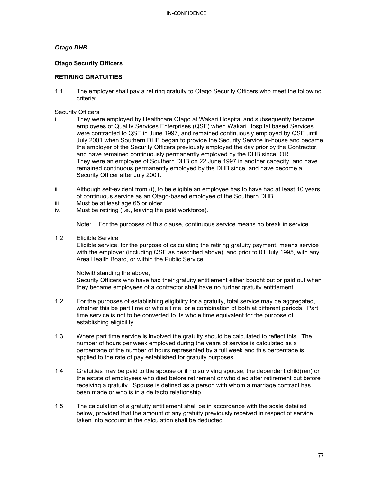# *Otago DHB*

### **Otago Security Officers**

# **RETIRING GRATUITIES**

1.1 The employer shall pay a retiring gratuity to Otago Security Officers who meet the following criteria:

### Security Officers

- i. They were employed by Healthcare Otago at Wakari Hospital and subsequently became employees of Quality Services Enterprises (QSE) when Wakari Hospital based Services were contracted to QSE in June 1997, and remained continuously employed by QSE until July 2001 when Southern DHB began to provide the Security Service in-house and became the employer of the Security Officers previously employed the day prior by the Contractor, and have remained continuously permanently employed by the DHB since; OR They were an employee of Southern DHB on 22 June 1997 in another capacity, and have remained continuous permanently employed by the DHB since, and have become a Security Officer after July 2001.
- ii. Although self-evident from (i), to be eligible an employee has to have had at least 10 years of continuous service as an Otago-based employee of the Southern DHB.
- iii. Must be at least age 65 or older
- iv. Must be retiring (i.e., leaving the paid workforce).

Note: For the purposes of this clause, continuous service means no break in service.

1.2 Eligible Service

Eligible service, for the purpose of calculating the retiring gratuity payment, means service with the employer (including QSE as described above), and prior to 01 July 1995, with any Area Health Board, or within the Public Service.

Notwithstanding the above,

Security Officers who have had their gratuity entitlement either bought out or paid out when they became employees of a contractor shall have no further gratuity entitlement.

- 1.2 For the purposes of establishing eligibility for a gratuity, total service may be aggregated, whether this be part time or whole time, or a combination of both at different periods. Part time service is not to be converted to its whole time equivalent for the purpose of establishing eligibility.
- 1.3 Where part time service is involved the gratuity should be calculated to reflect this. The number of hours per week employed during the years of service is calculated as a percentage of the number of hours represented by a full week and this percentage is applied to the rate of pay established for gratuity purposes.
- 1.4 Gratuities may be paid to the spouse or if no surviving spouse, the dependent child(ren) or the estate of employees who died before retirement or who died after retirement but before receiving a gratuity. Spouse is defined as a person with whom a marriage contract has been made or who is in a de facto relationship.
- 1.5 The calculation of a gratuity entitlement shall be in accordance with the scale detailed below, provided that the amount of any gratuity previously received in respect of service taken into account in the calculation shall be deducted.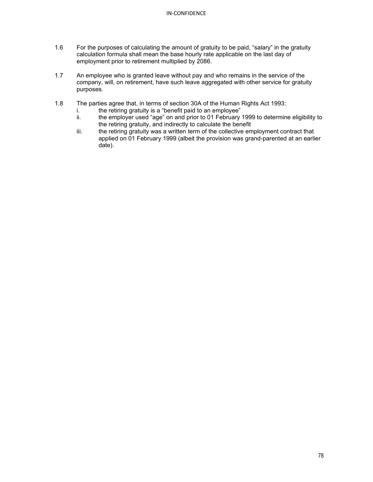- 1.6 For the purposes of calculating the amount of gratuity to be paid, "salary" in the gratuity calculation formula shall mean the base hourly rate applicable on the last day of employment prior to retirement multiplied by 2086.
- 1.7 An employee who is granted leave without pay and who remains in the service of the company, will, on retirement, have such leave aggregated with other service for gratuity purposes.
- 1.8 The parties agree that, in terms of section 30A of the Human Rights Act 1993:
	- i. the retiring gratuity is a "benefit paid to an employee"<br>ii. the employer used "age" on and prior to 01 February
	- the employer used "age" on and prior to 01 February 1999 to determine eligibility to the retiring gratuity, and indirectly to calculate the benefit
	- iii. the retiring gratuity was a written term of the collective employment contract that applied on 01 February 1999 (albeit the provision was grand-parented at an earlier date).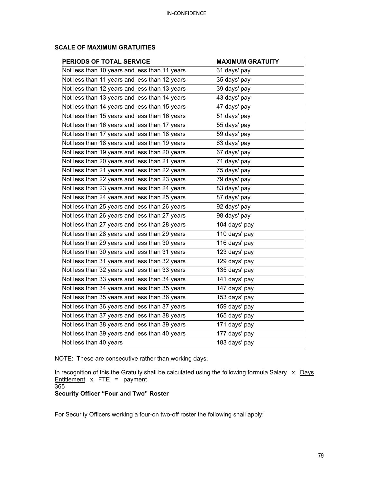| <b>PERIODS OF TOTAL SERVICE</b>               | <b>MAXIMUM GRATUITY</b> |
|-----------------------------------------------|-------------------------|
| Not less than 10 years and less than 11 years | 31 days' pay            |
| Not less than 11 years and less than 12 years | 35 days' pay            |
| Not less than 12 years and less than 13 years | 39 days' pay            |
| Not less than 13 years and less than 14 years | 43 days' pay            |
| Not less than 14 years and less than 15 years | 47 days' pay            |
| Not less than 15 years and less than 16 years | 51 days' pay            |
| Not less than 16 years and less than 17 years | 55 days' pay            |
| Not less than 17 years and less than 18 years | 59 days' pay            |
| Not less than 18 years and less than 19 years | 63 days' pay            |
| Not less than 19 years and less than 20 years | 67 days' pay            |
| Not less than 20 years and less than 21 years | 71 days' pay            |
| Not less than 21 years and less than 22 years | 75 days' pay            |
| Not less than 22 years and less than 23 years | 79 days' pay            |
| Not less than 23 years and less than 24 years | 83 days' pay            |
| Not less than 24 years and less than 25 years | 87 days' pay            |
| Not less than 25 years and less than 26 years | 92 days' pay            |
| Not less than 26 years and less than 27 years | 98 days' pay            |
| Not less than 27 years and less than 28 years | 104 days' pay           |
| Not less than 28 years and less than 29 years | 110 days' pay           |
| Not less than 29 years and less than 30 years | 116 days' pay           |
| Not less than 30 years and less than 31 years | 123 days' pay           |
| Not less than 31 years and less than 32 years | 129 days' pay           |
| Not less than 32 years and less than 33 years | 135 days' pay           |
| Not less than 33 years and less than 34 years | 141 days' pay           |
| Not less than 34 years and less than 35 years | 147 days' pay           |
| Not less than 35 years and less than 36 years | 153 days' pay           |
| Not less than 36 years and less than 37 years | 159 days' pay           |
| Not less than 37 years and less than 38 years | 165 days' pay           |
| Not less than 38 years and less than 39 years | 171 days' pay           |
| Not less than 39 years and less than 40 years | 177 days' pay           |
| Not less than 40 years                        | 183 days' pay           |

# **SCALE OF MAXIMUM GRATUITIES**

NOTE: These are consecutive rather than working days.

In recognition of this the Gratuity shall be calculated using the following formula Salary  $x$  Days Entitlement x FTE = payment

# **Security Officer "Four and Two" Roster**

For Security Officers working a four-on two-off roster the following shall apply:

<sup>365</sup>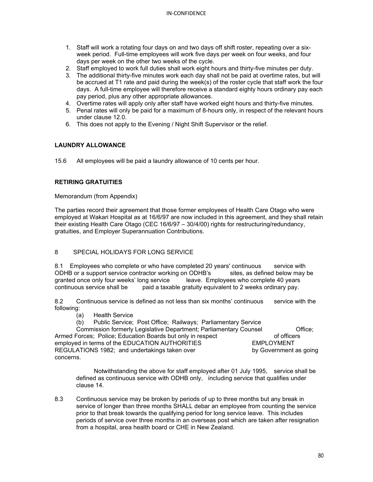- 1. Staff will work a rotating four days on and two days off shift roster, repeating over a sixweek period. Full-time employees will work five days per week on four weeks, and four days per week on the other two weeks of the cycle.
- 2. Staff employed to work full duties shall work eight hours and thirty-five minutes per duty.
- 3. The additional thirty-five minutes work each day shall not be paid at overtime rates, but will be accrued at T1 rate and paid during the week(s) of the roster cycle that staff work the four days. A full-time employee will therefore receive a standard eighty hours ordinary pay each pay period, plus any other appropriate allowances.
- 4. Overtime rates will apply only after staff have worked eight hours and thirty-five minutes.
- 5. Penal rates will only be paid for a maximum of 8-hours only, in respect of the relevant hours under clause 12.0.
- 6. This does not apply to the Evening / Night Shift Supervisor or the relief.

# **LAUNDRY ALLOWANCE**

15.6 All employees will be paid a laundry allowance of 10 cents per hour.

# **RETIRING GRATUITIES**

Memorandum (from Appendix)

The parties record their agreement that those former employees of Health Care Otago who were employed at Wakari Hospital as at 16/6/97 are now included in this agreement, and they shall retain their existing Health Care Otago (CEC 16/6/97 – 30/4/00) rights for restructuring/redundancy, gratuities, and Employer Superannuation Contributions.

# 8 SPECIAL HOLIDAYS FOR LONG SERVICE

8.1 Employees who complete or who have completed 20 years' continuous service with ODHB or a support service contractor working on ODHB's sites, as defined below may be granted once only four weeks' long service leave. Employees who complete 40 years continuous service shall be paid a taxable gratuity equivalent to 2 weeks ordinary pay.

8.2 Continuous service is defined as not less than six months' continuous service with the following:

- (a) Health Service
- (b) Public Service; Post Office; Railways; Parliamentary Service

Commission formerly Legislative Department; Parliamentary Counsel **Office**; Commission formerly Legislative Department; Parliamentary Counsel of officers Armed Forces; Police; Education Boards but only in respect only the state of officers of officers<br>EMPLOYMENT (employed in terms of the EDUCATION AUTHORITIES employed in terms of the EDUCATION AUTHORITIES REGULATIONS 1982; and undertakings taken over by Government as going concerns.

Notwithstanding the above for staff employed after 01 July 1995, service shall be defined as continuous service with ODHB only, including service that qualifies under clause 14.

8.3 Continuous service may be broken by periods of up to three months but any break in service of longer than three months SHALL debar an employee from counting the service prior to that break towards the qualifying period for long service leave. This includes periods of service over three months in an overseas post which are taken after resignation from a hospital, area health board or CHE in New Zealand.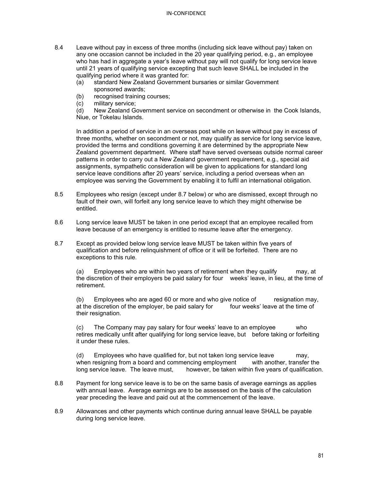- 8.4 Leave without pay in excess of three months (including sick leave without pay) taken on any one occasion cannot be included in the 20 year qualifying period, e.g., an employee who has had in aggregate a year's leave without pay will not qualify for long service leave until 21 years of qualifying service excepting that such leave SHALL be included in the qualifying period where it was granted for:
	- (a) standard New Zealand Government bursaries or similar Government sponsored awards;
	- (b) recognised training courses;<br>(c) military service;
	- (c) military service;<br>(d) New Zealand G

New Zealand Government service on secondment or otherwise in the Cook Islands, Niue, or Tokelau Islands.

In addition a period of service in an overseas post while on leave without pay in excess of three months, whether on secondment or not, may qualify as service for long service leave, provided the terms and conditions governing it are determined by the appropriate New Zealand government department. Where staff have served overseas outside normal career patterns in order to carry out a New Zealand government requirement, e.g., special aid assignments, sympathetic consideration will be given to applications for standard long service leave conditions after 20 years' service, including a period overseas when an employee was serving the Government by enabling it to fulfil an international obligation.

- 8.5 Employees who resign (except under 8.7 below) or who are dismissed, except through no fault of their own, will forfeit any long service leave to which they might otherwise be entitled.
- 8.6 Long service leave MUST be taken in one period except that an employee recalled from leave because of an emergency is entitled to resume leave after the emergency.
- 8.7 Except as provided below long service leave MUST be taken within five years of qualification and before relinquishment of office or it will be forfeited. There are no exceptions to this rule.

(a) Employees who are within two years of retirement when they qualify may, at the discretion of their employers be paid salary for four weeks' leave, in lieu, at the time of retirement.

(b) Employees who are aged 60 or more and who give notice of resignation may, at the discretion of the employer, be paid salary for four weeks' leave at the time of at the discretion of the employer, be paid salary for their resignation.

(c) The Company may pay salary for four weeks' leave to an employee who retires medically unfit after qualifying for long service leave, but before taking or forfeiting it under these rules.

(d) Employees who have qualified for, but not taken long service leave may, when resigning from a board and commencing employment with another, transfer the long service leave. The leave must, however, be taken within five years of qualification.

- 8.8 Payment for long service leave is to be on the same basis of average earnings as applies with annual leave. Average earnings are to be assessed on the basis of the calculation year preceding the leave and paid out at the commencement of the leave.
- 8.9 Allowances and other payments which continue during annual leave SHALL be payable during long service leave.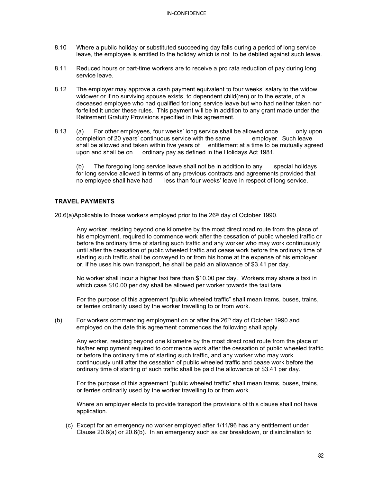- 8.10 Where a public holiday or substituted succeeding day falls during a period of long service leave, the employee is entitled to the holiday which is not to be debited against such leave.
- 8.11 Reduced hours or part-time workers are to receive a pro rata reduction of pay during long service leave.
- 8.12 The employer may approve a cash payment equivalent to four weeks' salary to the widow, widower or if no surviving spouse exists, to dependent child(ren) or to the estate, of a deceased employee who had qualified for long service leave but who had neither taken nor forfeited it under these rules. This payment will be in addition to any grant made under the Retirement Gratuity Provisions specified in this agreement.
- 8.13 (a) For other employees, four weeks' long service shall be allowed once only upon completion of 20 years' continuous service with the same employer. Such leave shall be allowed and taken within five years of entitlement at a time to be mutually agreed upon and shall be on ordinary pay as defined in the Holidays Act 1981.

(b) The foregoing long service leave shall not be in addition to any special holidays for long service allowed in terms of any previous contracts and agreements provided that no employee shall have had less than four weeks' leave in respect of long service.

# **TRAVEL PAYMENTS**

20.6(a)Applicable to those workers employed prior to the 26<sup>th</sup> day of October 1990.

Any worker, residing beyond one kilometre by the most direct road route from the place of his employment, required to commence work after the cessation of public wheeled traffic or before the ordinary time of starting such traffic and any worker who may work continuously until after the cessation of public wheeled traffic and cease work before the ordinary time of starting such traffic shall be conveyed to or from his home at the expense of his employer or, if he uses his own transport, he shall be paid an allowance of \$3.41 per day.

No worker shall incur a higher taxi fare than \$10.00 per day. Workers may share a taxi in which case \$10.00 per day shall be allowed per worker towards the taxi fare.

For the purpose of this agreement "public wheeled traffic" shall mean trams, buses, trains, or ferries ordinarily used by the worker travelling to or from work.

(b) For workers commencing employment on or after the  $26<sup>th</sup>$  day of October 1990 and employed on the date this agreement commences the following shall apply.

Any worker, residing beyond one kilometre by the most direct road route from the place of his/her employment required to commence work after the cessation of public wheeled traffic or before the ordinary time of starting such traffic, and any worker who may work continuously until after the cessation of public wheeled traffic and cease work before the ordinary time of starting of such traffic shall be paid the allowance of \$3.41 per day.

For the purpose of this agreement "public wheeled traffic" shall mean trams, buses, trains, or ferries ordinarily used by the worker travelling to or from work.

Where an employer elects to provide transport the provisions of this clause shall not have application.

(c) Except for an emergency no worker employed after 1/11/96 has any entitlement under Clause 20.6(a) or 20.6(b). In an emergency such as car breakdown, or disinclination to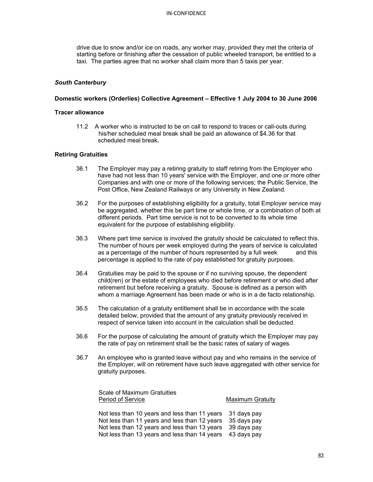#### IN-CONFIDENCE

drive due to snow and/or ice on roads, any worker may, provided they met the criteria of starting before or finishing after the cessation of public wheeled transport, be entitled to a taxi. The parties agree that no worker shall claim more than 5 taxis per year.

#### *South Canterbury*

#### **Domestic workers (Orderlies) Collective Agreement – Effective 1 July 2004 to 30 June 2006**

#### **Tracer allowance**

11.2 A worker who is instructed to be on call to respond to traces or call-outs during his/her scheduled meal break shall be paid an allowance of \$4.36 for that scheduled meal break*.*

#### **Retiring Gratuities**

- 36.1 The Employer may pay a retiring gratuity to staff retiring from the Employer who have had not less than 10 years' service with the Employer, and one or more other Companies and with one or more of the following services; the Public Service, the Post Office, New Zealand Railways or any University in New Zealand.
- 36.2 For the purposes of establishing eligibility for a gratuity, total Employer service may be aggregated, whether this be part time or whole time, or a combination of both at different periods. Part time service is not to be converted to its whole time equivalent for the purpose of establishing eligibility.
- 36.3 Where part time service is involved the gratuity should be calculated to reflect this. The number of hours per week employed during the years of service is calculated as a percentage of the number of hours represented by a full week and this percentage is applied to the rate of pay established for gratuity purposes.
- 36.4 Gratuities may be paid to the spouse or if no surviving spouse, the dependent child(ren) or the estate of employees who died before retirement or who died after retirement but before receiving a gratuity. Spouse is defined as a person with whom a marriage Agreement has been made or who is in a de facto relationship.
- 36.5 The calculation of a gratuity entitlement shall be in accordance with the scale detailed below, provided that the amount of any gratuity previously received in respect of service taken into account in the calculation shall be deducted.
- 36.6 For the purpose of calculating the amount of gratuity which the Employer may pay the rate of pay on retirement shall be the basic rates of salary of wages.
- 36.7 An employee who is granted leave without pay and who remains in the service of the Employer, will on retirement have such leave aggregated with other service for gratuity purposes.

| Scale of Maximum Gratuities<br><b>Period of Service</b>                                                                | <b>Maximum Gratuity</b> |
|------------------------------------------------------------------------------------------------------------------------|-------------------------|
| Not less than 10 years and less than 11 years 31 days pay<br>Not less than 11 years and less than 12 years 35 days pay |                         |
| Not less than 12 years and less than 13 years 39 days pay                                                              |                         |

Not less than 13 years and less than 14 years 43 days pay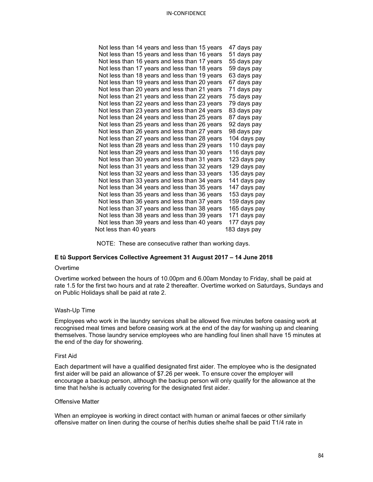| Not less than 14 years and less than 15 years | 47 days pay  |
|-----------------------------------------------|--------------|
| Not less than 15 years and less than 16 years | 51 days pay  |
| Not less than 16 years and less than 17 years | 55 days pay  |
| Not less than 17 years and less than 18 years | 59 days pay  |
| Not less than 18 years and less than 19 years | 63 days pay  |
| Not less than 19 years and less than 20 years | 67 days pay  |
| Not less than 20 years and less than 21 years | 71 days pay  |
| Not less than 21 years and less than 22 years | 75 days pay  |
| Not less than 22 years and less than 23 years | 79 days pay  |
| Not less than 23 years and less than 24 years | 83 days pay  |
| Not less than 24 years and less than 25 years | 87 days pay  |
| Not less than 25 years and less than 26 years | 92 days pay  |
| Not less than 26 years and less than 27 years | 98 days pay  |
| Not less than 27 years and less than 28 years | 104 days pay |
| Not less than 28 years and less than 29 years | 110 days pay |
| Not less than 29 years and less than 30 years | 116 days pay |
| Not less than 30 years and less than 31 years | 123 days pay |
| Not less than 31 years and less than 32 years | 129 days pay |
| Not less than 32 years and less than 33 years | 135 days pay |
| Not less than 33 years and less than 34 years | 141 days pay |
| Not less than 34 years and less than 35 years | 147 days pay |
| Not less than 35 years and less than 36 years | 153 days pay |
| Not less than 36 years and less than 37 years | 159 days pay |
| Not less than 37 years and less than 38 years | 165 days pay |
| Not less than 38 years and less than 39 years | 171 days pay |
| Not less than 39 years and less than 40 years | 177 days pay |
| Not less than 40 years                        | 183 days pay |
|                                               |              |

NOTE: These are consecutive rather than working days.

# **E tū Support Services Collective Agreement 31 August 2017 – 14 June 2018**

#### **Overtime**

Overtime worked between the hours of 10.00pm and 6.00am Monday to Friday, shall be paid at rate 1.5 for the first two hours and at rate 2 thereafter. Overtime worked on Saturdays, Sundays and on Public Holidays shall be paid at rate 2.

#### Wash-Up Time

Employees who work in the laundry services shall be allowed five minutes before ceasing work at recognised meal times and before ceasing work at the end of the day for washing up and cleaning themselves. Those laundry service employees who are handling foul linen shall have 15 minutes at the end of the day for showering.

#### First Aid

Each department will have a qualified designated first aider. The employee who is the designated first aider will be paid an allowance of \$7.26 per week. To ensure cover the employer will encourage a backup person, although the backup person will only qualify for the allowance at the time that he/she is actually covering for the designated first aider.

#### Offensive Matter

When an employee is working in direct contact with human or animal faeces or other similarly offensive matter on linen during the course of her/his duties she/he shall be paid T1/4 rate in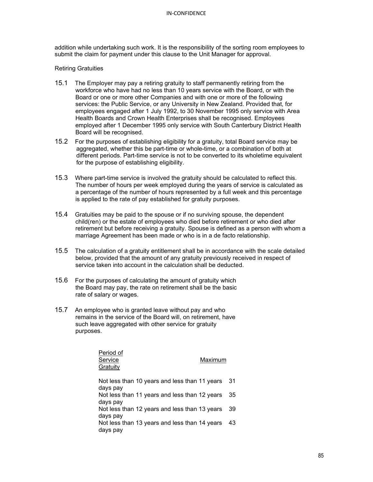addition while undertaking such work. It is the responsibility of the sorting room employees to submit the claim for payment under this clause to the Unit Manager for approval.

#### Retiring Gratuities

- 15.1 The Employer may pay a retiring gratuity to staff permanently retiring from the workforce who have had no less than 10 years service with the Board, or with the Board or one or more other Companies and with one or more of the following services: the Public Service, or any University in New Zealand. Provided that, for employees engaged after 1 July 1992, to 30 November 1995 only service with Area Health Boards and Crown Health Enterprises shall be recognised. Employees employed after 1 December 1995 only service with South Canterbury District Health Board will be recognised.
- 15.2 For the purposes of establishing eligibility for a gratuity, total Board service may be aggregated, whether this be part-time or whole-time, or a combination of both at different periods. Part-time service is not to be converted to its wholetime equivalent for the purpose of establishing eligibility.
- 15.3 Where part-time service is involved the gratuity should be calculated to reflect this. The number of hours per week employed during the years of service is calculated as a percentage of the number of hours represented by a full week and this percentage is applied to the rate of pay established for gratuity purposes.
- 15.4 Gratuities may be paid to the spouse or if no surviving spouse, the dependent child(ren) or the estate of employees who died before retirement or who died after retirement but before receiving a gratuity. Spouse is defined as a person with whom a marriage Agreement has been made or who is in a de facto relationship.
- 15.5 The calculation of a gratuity entitlement shall be in accordance with the scale detailed below, provided that the amount of any gratuity previously received in respect of service taken into account in the calculation shall be deducted.
- 15.6 For the purposes of calculating the amount of gratuity which the Board may pay, the rate on retirement shall be the basic rate of salary or wages.
- 15.7 An employee who is granted leave without pay and who remains in the service of the Board will, on retirement, have such leave aggregated with other service for gratuity purposes.

| Period of<br>Service<br>Gratuity                          | Maximum |    |
|-----------------------------------------------------------|---------|----|
| Not less than 10 years and less than 11 years<br>days pay |         | 31 |
| Not less than 11 years and less than 12 years<br>days pay |         | 35 |
| Not less than 12 years and less than 13 years<br>days pay |         | 39 |
| Not less than 13 years and less than 14 years<br>days pay |         | 43 |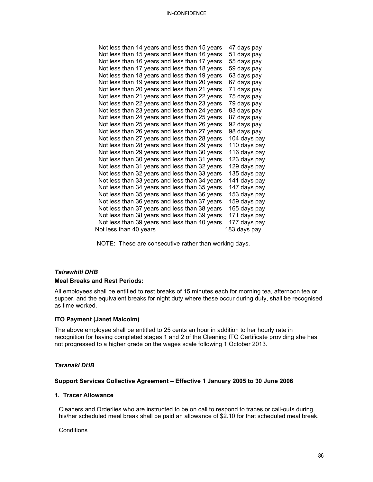| Not less than 15 years and less than 16 years<br>Not less than 16 years and less than 17 years<br>Not less than 17 years and less than 18 years<br>Not less than 18 years and less than 19 years<br>Not less than 19 years and less than 20 years<br>Not less than 20 years and less than 21 years<br>Not less than 21 years and less than 22 years | 47 days pay<br>51 days pay<br>55 days pay<br>59 days pay<br>63 days pay<br>67 days pay<br>71 days pay<br>75 days pay<br>79 days pay<br>83 days pay<br>87 days pay |
|-----------------------------------------------------------------------------------------------------------------------------------------------------------------------------------------------------------------------------------------------------------------------------------------------------------------------------------------------------|-------------------------------------------------------------------------------------------------------------------------------------------------------------------|
|                                                                                                                                                                                                                                                                                                                                                     |                                                                                                                                                                   |
|                                                                                                                                                                                                                                                                                                                                                     |                                                                                                                                                                   |
|                                                                                                                                                                                                                                                                                                                                                     |                                                                                                                                                                   |
|                                                                                                                                                                                                                                                                                                                                                     |                                                                                                                                                                   |
|                                                                                                                                                                                                                                                                                                                                                     |                                                                                                                                                                   |
|                                                                                                                                                                                                                                                                                                                                                     |                                                                                                                                                                   |
|                                                                                                                                                                                                                                                                                                                                                     |                                                                                                                                                                   |
| Not less than 22 years and less than 23 years                                                                                                                                                                                                                                                                                                       |                                                                                                                                                                   |
| Not less than 23 years and less than 24 years                                                                                                                                                                                                                                                                                                       |                                                                                                                                                                   |
| Not less than 24 years and less than 25 years                                                                                                                                                                                                                                                                                                       |                                                                                                                                                                   |
| Not less than 25 years and less than 26 years                                                                                                                                                                                                                                                                                                       | 92 days pay                                                                                                                                                       |
| Not less than 26 years and less than 27 years                                                                                                                                                                                                                                                                                                       | 98 days pay                                                                                                                                                       |
| Not less than 27 years and less than 28 years                                                                                                                                                                                                                                                                                                       | 104 days pay                                                                                                                                                      |
| Not less than 28 years and less than 29 years                                                                                                                                                                                                                                                                                                       | 110 days pay                                                                                                                                                      |
| Not less than 29 years and less than 30 years                                                                                                                                                                                                                                                                                                       | 116 days pay                                                                                                                                                      |
| Not less than 30 years and less than 31 years                                                                                                                                                                                                                                                                                                       | 123 days pay                                                                                                                                                      |
| Not less than 31 years and less than 32 years                                                                                                                                                                                                                                                                                                       | 129 days pay                                                                                                                                                      |
| Not less than 32 years and less than 33 years                                                                                                                                                                                                                                                                                                       | 135 days pay                                                                                                                                                      |
| Not less than 33 years and less than 34 years                                                                                                                                                                                                                                                                                                       | 141 days pay                                                                                                                                                      |
| Not less than 34 years and less than 35 years                                                                                                                                                                                                                                                                                                       | 147 days pay                                                                                                                                                      |
| Not less than 35 years and less than 36 years                                                                                                                                                                                                                                                                                                       | 153 days pay                                                                                                                                                      |
| Not less than 36 years and less than 37 years                                                                                                                                                                                                                                                                                                       | 159 days pay                                                                                                                                                      |
| Not less than 37 years and less than 38 years                                                                                                                                                                                                                                                                                                       | 165 days pay                                                                                                                                                      |
| Not less than 38 years and less than 39 years                                                                                                                                                                                                                                                                                                       | 171 days pay                                                                                                                                                      |
| Not less than 39 years and less than 40 years                                                                                                                                                                                                                                                                                                       | 177 days pay                                                                                                                                                      |
| Not less than 40 years                                                                                                                                                                                                                                                                                                                              | 183 days pay                                                                                                                                                      |

NOTE: These are consecutive rather than working days.

# *Tairawhiti DHB*

#### **Meal Breaks and Rest Periods:**

All employees shall be entitled to rest breaks of 15 minutes each for morning tea, afternoon tea or supper, and the equivalent breaks for night duty where these occur during duty, shall be recognised as time worked.

#### **ITO Payment (Janet Malcolm)**

The above employee shall be entitled to 25 cents an hour in addition to her hourly rate in recognition for having completed stages 1 and 2 of the Cleaning ITO Certificate providing she has not progressed to a higher grade on the wages scale following 1 October 2013.

# *Taranaki DHB*

#### **Support Services Collective Agreement – Effective 1 January 2005 to 30 June 2006**

# **1. Tracer Allowance**

Cleaners and Orderlies who are instructed to be on call to respond to traces or call-outs during his/her scheduled meal break shall be paid an allowance of \$2.10 for that scheduled meal break.

**Conditions**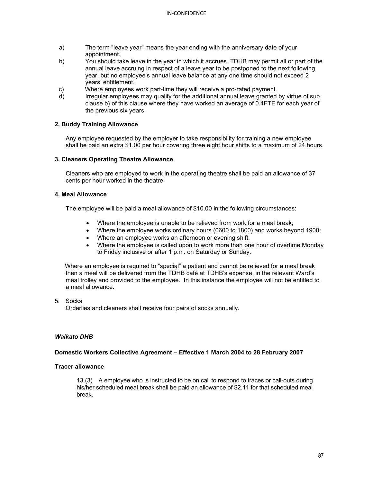- a) The term "leave year" means the year ending with the anniversary date of your appointment.
- b) You should take leave in the year in which it accrues. TDHB may permit all or part of the annual leave accruing in respect of a leave year to be postponed to the next following year, but no employee's annual leave balance at any one time should not exceed 2 years' entitlement.
- c) Where employees work part-time they will receive a pro-rated payment.
- d) Irregular employees may qualify for the additional annual leave granted by virtue of sub clause b) of this clause where they have worked an average of 0.4FTE for each year of the previous six years.

# **2. Buddy Training Allowance**

Any employee requested by the employer to take responsibility for training a new employee shall be paid an extra \$1.00 per hour covering three eight hour shifts to a maximum of 24 hours.

#### **3. Cleaners Operating Theatre Allowance**

Cleaners who are employed to work in the operating theatre shall be paid an allowance of 37 cents per hour worked in the theatre.

#### **4. Meal Allowance**

The employee will be paid a meal allowance of \$10.00 in the following circumstances:

- Where the employee is unable to be relieved from work for a meal break;
- Where the employee works ordinary hours (0600 to 1800) and works beyond 1900;
- Where an employee works an afternoon or evening shift;
- Where the employee is called upon to work more than one hour of overtime Monday to Friday inclusive or after 1 p.m. on Saturday or Sunday.

 Where an employee is required to "special" a patient and cannot be relieved for a meal break then a meal will be delivered from the TDHB café at TDHB's expense, in the relevant Ward's meal trolley and provided to the employee. In this instance the employee will not be entitled to a meal allowance.

# 5. Socks

Orderlies and cleaners shall receive four pairs of socks annually.

#### *Waikato DHB*

#### **Domestic Workers Collective Agreement – Effective 1 March 2004 to 28 February 2007**

#### **Tracer allowance**

13 (3) A employee who is instructed to be on call to respond to traces or call-outs during his/her scheduled meal break shall be paid an allowance of \$2.11 for that scheduled meal break.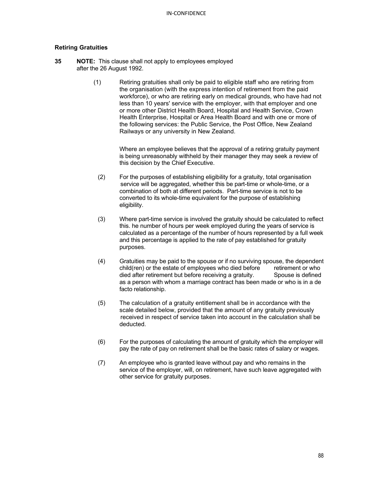### **Retiring Gratuities**

- **35 NOTE:** This clause shall not apply to employees employed after the 26 August 1992.
	- (1) Retiring gratuities shall only be paid to eligible staff who are retiring from the organisation (with the express intention of retirement from the paid workforce), or who are retiring early on medical grounds, who have had not less than 10 years' service with the employer, with that employer and one or more other District Health Board, Hospital and Health Service, Crown Health Enterprise, Hospital or Area Health Board and with one or more of the following services: the Public Service, the Post Office, New Zealand Railways or any university in New Zealand.

Where an employee believes that the approval of a retiring gratuity payment is being unreasonably withheld by their manager they may seek a review of this decision by the Chief Executive.

- (2) For the purposes of establishing eligibility for a gratuity, total organisation service will be aggregated, whether this be part-time or whole-time, or a combination of both at different periods. Part-time service is not to be converted to its whole-time equivalent for the purpose of establishing eligibility.
- (3) Where part-time service is involved the gratuity should be calculated to reflect this. he number of hours per week employed during the years of service is calculated as a percentage of the number of hours represented by a full week and this percentage is applied to the rate of pay established for gratuity purposes.
- (4) Gratuities may be paid to the spouse or if no surviving spouse, the dependent child(ren) or the estate of employees who died before retirement or who died after retirement but before receiving a gratuity. Spouse is defined as a person with whom a marriage contract has been made or who is in a de facto relationship.
- (5) The calculation of a gratuity entitlement shall be in accordance with the scale detailed below, provided that the amount of any gratuity previously received in respect of service taken into account in the calculation shall be deducted.
- (6) For the purposes of calculating the amount of gratuity which the employer will pay the rate of pay on retirement shall be the basic rates of salary or wages.
- (7) An employee who is granted leave without pay and who remains in the service of the employer, will, on retirement, have such leave aggregated with other service for gratuity purposes.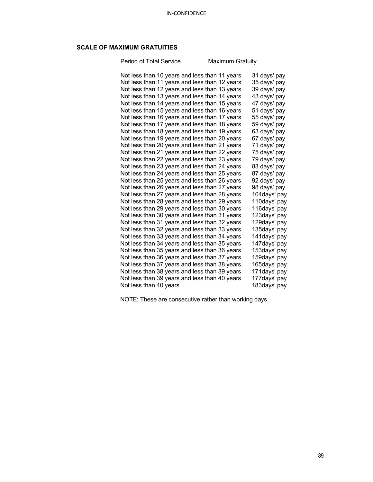# **SCALE OF MAXIMUM GRATUITIES**

Period of Total Service Maximum Gratuity

| Not less than 10 years and less than 11 years |  | 31 days' pay |
|-----------------------------------------------|--|--------------|
| Not less than 11 years and less than 12 years |  | 35 days' pay |
| Not less than 12 years and less than 13 years |  | 39 days' pay |
| Not less than 13 years and less than 14 years |  | 43 days' pay |
| Not less than 14 years and less than 15 years |  | 47 days' pay |
| Not less than 15 years and less than 16 years |  | 51 days' pay |
| Not less than 16 years and less than 17 years |  | 55 days' pay |
| Not less than 17 years and less than 18 years |  | 59 days' pay |
| Not less than 18 years and less than 19 years |  | 63 days' pay |
| Not less than 19 years and less than 20 years |  | 67 days' pay |
| Not less than 20 years and less than 21 years |  | 71 days' pay |
| Not less than 21 years and less than 22 years |  | 75 days' pay |
| Not less than 22 years and less than 23 years |  | 79 days' pay |
| Not less than 23 years and less than 24 years |  | 83 days' pay |
| Not less than 24 years and less than 25 years |  | 87 days' pay |
| Not less than 25 years and less than 26 years |  | 92 days' pay |
| Not less than 26 years and less than 27 years |  | 98 days' pay |
| Not less than 27 years and less than 28 years |  | 104days' pay |
| Not less than 28 years and less than 29 years |  | 110days' pay |
| Not less than 29 years and less than 30 years |  | 116days' pay |
| Not less than 30 years and less than 31 years |  | 123days' pay |
| Not less than 31 years and less than 32 years |  | 129days' pay |
| Not less than 32 years and less than 33 years |  | 135days' pay |
| Not less than 33 years and less than 34 years |  | 141days' pay |
| Not less than 34 years and less than 35 years |  | 147days' pay |
| Not less than 35 years and less than 36 years |  | 153days' pay |
| Not less than 36 years and less than 37 years |  | 159days' pay |
| Not less than 37 years and less than 38 years |  | 165days' pay |
| Not less than 38 years and less than 39 years |  | 171days' pay |
| Not less than 39 years and less than 40 years |  | 177days' pay |
| Not less than 40 years                        |  | 183days' pay |

NOTE: These are consecutive rather than working days.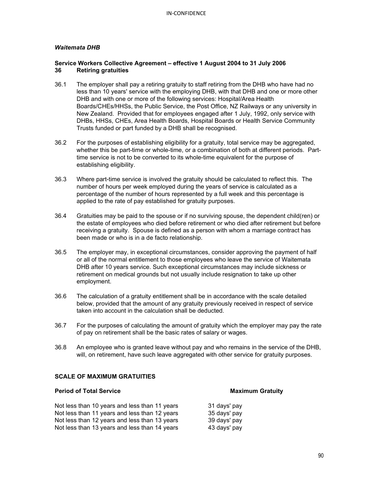# *Waitemata DHB*

### **Service Workers Collective Agreement – effective 1 August 2004 to 31 July 2006 36 Retiring gratuities**

- 36.1 The employer shall pay a retiring gratuity to staff retiring from the DHB who have had no less than 10 years' service with the employing DHB, with that DHB and one or more other DHB and with one or more of the following services: Hospital/Area Health Boards/CHEs/HHSs, the Public Service, the Post Office, NZ Railways or any university in New Zealand. Provided that for employees engaged after 1 July, 1992, only service with DHBs, HHSs, CHEs, Area Health Boards, Hospital Boards or Health Service Community Trusts funded or part funded by a DHB shall be recognised.
- 36.2 For the purposes of establishing eligibility for a gratuity, total service may be aggregated, whether this be part-time or whole-time, or a combination of both at different periods. Parttime service is not to be converted to its whole-time equivalent for the purpose of establishing eligibility.
- 36.3 Where part-time service is involved the gratuity should be calculated to reflect this. The number of hours per week employed during the years of service is calculated as a percentage of the number of hours represented by a full week and this percentage is applied to the rate of pay established for gratuity purposes.
- 36.4 Gratuities may be paid to the spouse or if no surviving spouse, the dependent child(ren) or the estate of employees who died before retirement or who died after retirement but before receiving a gratuity. Spouse is defined as a person with whom a marriage contract has been made or who is in a de facto relationship.
- 36.5 The employer may, in exceptional circumstances, consider approving the payment of half or all of the normal entitlement to those employees who leave the service of Waitemata DHB after 10 years service. Such exceptional circumstances may include sickness or retirement on medical grounds but not usually include resignation to take up other employment.
- 36.6 The calculation of a gratuity entitlement shall be in accordance with the scale detailed below, provided that the amount of any gratuity previously received in respect of service taken into account in the calculation shall be deducted.
- 36.7 For the purposes of calculating the amount of gratuity which the employer may pay the rate of pay on retirement shall be the basic rates of salary or wages.
- 36.8 An employee who is granted leave without pay and who remains in the service of the DHB, will, on retirement, have such leave aggregated with other service for gratuity purposes.

# **SCALE OF MAXIMUM GRATUITIES**

# **Period of Total Service Maximum Gratuity**

Not less than 10 years and less than 11 years 31 days' pay Not less than 11 years and less than 12 years 35 days' pay Not less than 12 years and less than 13 years 39 days' pay Not less than 13 years and less than 14 years 43 days' pay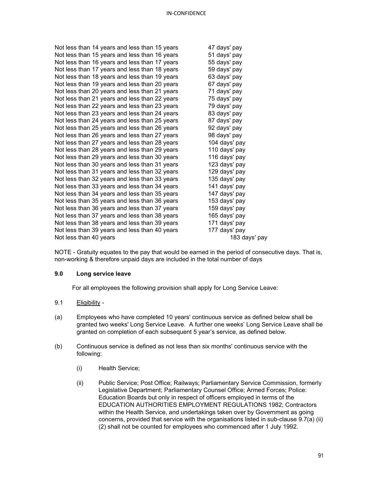|                        | Not less than 14 years and less than 15 years | 47 days' pay  |
|------------------------|-----------------------------------------------|---------------|
|                        | Not less than 15 years and less than 16 years | 51 days' pay  |
|                        | Not less than 16 years and less than 17 years | 55 days' pay  |
|                        | Not less than 17 years and less than 18 years | 59 days' pay  |
|                        | Not less than 18 years and less than 19 years | 63 days' pay  |
|                        | Not less than 19 years and less than 20 years | 67 days' pay  |
|                        | Not less than 20 years and less than 21 years | 71 days' pay  |
|                        | Not less than 21 years and less than 22 years | 75 days' pay  |
|                        | Not less than 22 years and less than 23 years | 79 days' pay  |
|                        | Not less than 23 years and less than 24 years | 83 days' pay  |
|                        | Not less than 24 years and less than 25 years | 87 days' pay  |
|                        | Not less than 25 years and less than 26 years | 92 days' pay  |
|                        | Not less than 26 years and less than 27 years | 98 days' pay  |
|                        | Not less than 27 years and less than 28 years | 104 days' pay |
|                        | Not less than 28 years and less than 29 years | 110 days' pay |
|                        | Not less than 29 years and less than 30 years | 116 days' pay |
|                        | Not less than 30 years and less than 31 years | 123 days' pay |
|                        | Not less than 31 years and less than 32 years | 129 days' pay |
|                        | Not less than 32 years and less than 33 years | 135 days' pay |
|                        | Not less than 33 years and less than 34 years | 141 days' pay |
|                        | Not less than 34 years and less than 35 years | 147 days' pay |
|                        | Not less than 35 years and less than 36 years | 153 days' pay |
|                        | Not less than 36 years and less than 37 years | 159 days' pay |
|                        | Not less than 37 years and less than 38 years | 165 days' pay |
|                        | Not less than 38 years and less than 39 years | 171 days' pay |
|                        | Not less than 39 years and less than 40 years | 177 days' pay |
| Not less than 40 years |                                               | 183 days' pay |

NOTE - Gratuity equates to the pay that would be earned in the period of consecutive days. That is, non-working & therefore unpaid days are included in the total number of days

# **9.0 Long service leave**

For all employees the following provision shall apply for Long Service Leave:

- 9.1 Eligibility -
- (a) Employees who have completed 10 years' continuous service as defined below shall be granted two weeks' Long Service Leave. A further one weeks' Long Service Leave shall be granted on completion of each subsequent 5 year's service, as defined below.
- (b) Continuous service is defined as not less than six months' continuous service with the following:
	- (i) Health Service;
	- (ii) Public Service; Post Office; Railways; Parliamentary Service Commission, formerly Legislative Department; Parliamentary Counsel Office; Armed Forces; Police: Education Boards but only in respect of officers employed in terms of the EDUCATION AUTHORITIES EMPLOYMENT REGULATIONS 1982; Contractors within the Health Service, and undertakings taken over by Government as going concerns, provided that service with the organisations listed in sub-clause 9.7(a) (ii) (2) shall not be counted for employees who commenced after 1 July 1992.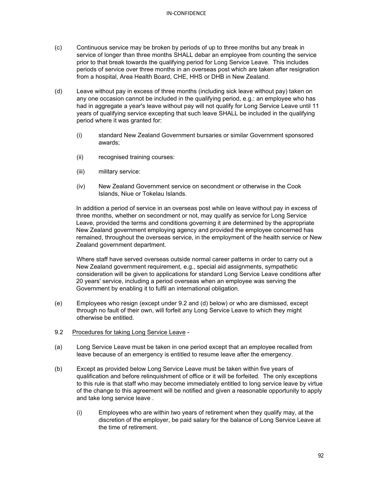- (c) Continuous service may be broken by periods of up to three months but any break in service of longer than three months SHALL debar an employee from counting the service prior to that break towards the qualifying period for Long Service Leave. This includes periods of service over three months in an overseas post which are taken after resignation from a hospital, Area Health Board, CHE, HHS or DHB in New Zealand.
- (d) Leave without pay in excess of three months (including sick leave without pay) taken on any one occasion cannot be included in the qualifying period, e.g.: an employee who has had in aggregate a year's leave without pay will not qualify for Long Service Leave until 11 years of qualifying service excepting that such leave SHALL be included in the qualifying period where it was granted for:
	- (i) standard New Zealand Government bursaries or similar Government sponsored awards;
	- (ii) recognised training courses:
	- (iii) military service:
	- (iv) New Zealand Government service on secondment or otherwise in the Cook Islands, Niue or Tokelau Islands.

In addition a period of service in an overseas post while on leave without pay in excess of three months, whether on secondment or not, may qualify as service for Long Service Leave, provided the terms and conditions governing it are determined by the appropriate New Zealand government employing agency and provided the employee concerned has remained, throughout the overseas service, in the employment of the health service or New Zealand government department.

Where staff have served overseas outside normal career patterns in order to carry out a New Zealand government requirement, e.g., special aid assignments, sympathetic consideration will be given to applications for standard Long Service Leave conditions after 20 years' service, including a period overseas when an employee was serving the Government by enabling it to fulfil an international obligation.

- (e) Employees who resign (except under 9.2 and (d) below) or who are dismissed, except through no fault of their own, will forfeit any Long Service Leave to which they might otherwise be entitled.
- 9.2 Procedures for taking Long Service Leave -
- (a) Long Service Leave must be taken in one period except that an employee recalled from leave because of an emergency is entitled to resume leave after the emergency.
- (b) Except as provided below Long Service Leave must be taken within five years of qualification and before relinquishment of office or it will be forfeited. The only exceptions to this rule is that staff who may become immediately entitled to long service leave by virtue of the change to this agreement will be notified and given a reasonable opportunity to apply and take long service leave .
	- (i) Employees who are within two years of retirement when they qualify may, at the discretion of the employer, be paid salary for the balance of Long Service Leave at the time of retirement.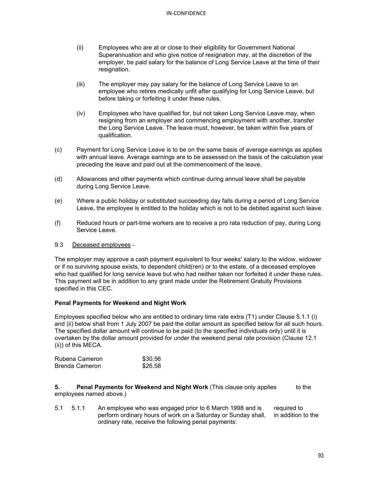- (ii) Employees who are at or close to their eligibility for Government National Superannuation and who give notice of resignation may, at the discretion of the employer, be paid salary for the balance of Long Service Leave at the time of their resignation.
- (iii) The employer may pay salary for the balance of Long Service Leave to an employee who retires medically unfit after qualifying for Long Service Leave, but before taking or forfeiting it under these rules.
- (iv) Employees who have qualified for, but not taken Long Service Leave may, when resigning from an employer and commencing employment with another, transfer the Long Service Leave. The leave must, however, be taken within five years of qualification.
- (c) Payment for Long Service Leave is to be on the same basis of average earnings as applies with annual leave. Average earnings are to be assessed on the basis of the calculation year preceding the leave and paid out at the commencement of the leave.
- (d) Allowances and other payments which continue during annual leave shall be payable during Long Service Leave.
- (e) Where a public holiday or substituted succeeding day falls during a period of Long Service Leave, the employee is entitled to the holiday which is not to be debited against such leave.
- (f) Reduced hours or part-time workers are to receive a pro rata reduction of pay, during Long Service Leave.

# 9.3 Deceased employees -

The employer may approve a cash payment equivalent to four weeks' salary to the widow, widower or if no surviving spouse exists, to dependent child(ren) or to the estate, of a deceased employee who had qualified for long service leave but who had neither taken nor forfeited it under these rules. This payment will be in addition to any grant made under the Retirement Gratuity Provisions specified in this CEC.

# **Penal Payments for Weekend and Night Work**

Employees specified below who are entitled to ordinary time rate extra (T1) under Clause 5.1.1 (i) and (ii) below shall from 1 July 2007 be paid the dollar amount as specified below for all such hours. The specified dollar amount will continue to be paid (to the specified individuals only) until it is overtaken by the dollar amount provided for under the weekend penal rate provision (Clause 12.1 (ii)) of this MECA.

| Rubena Cameron | \$30.56 |
|----------------|---------|
| Brenda Cameron | \$26.58 |

**5. Penal Payments for Weekend and Night Work** (This clause only applies to the employees named above.)

5.1 5.1.1 An employee who was engaged prior to 6 March 1998 and is required to<br>perform ordinary hours of work on a Saturday or Sunday shall. in addition to the perform ordinary hours of work on a Saturday or Sunday shall, ordinary rate, receive the following penal payments: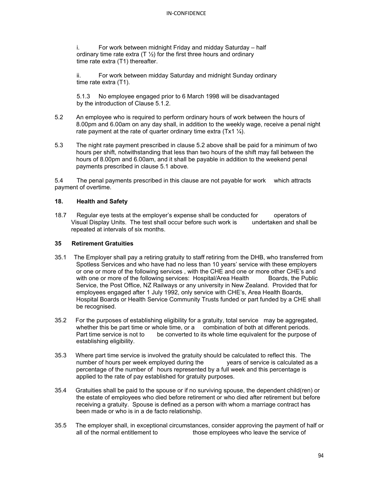i. For work between midnight Friday and midday Saturday – half ordinary time rate extra  $(T \frac{1}{2})$  for the first three hours and ordinary time rate extra (T1) thereafter.

ii. For work between midday Saturday and midnight Sunday ordinary time rate extra (T1).

5.1.3 No employee engaged prior to 6 March 1998 will be disadvantaged by the introduction of Clause 5.1.2.

- 5.2 An employee who is required to perform ordinary hours of work between the hours of 8.00pm and 6.00am on any day shall, in addition to the weekly wage, receive a penal night rate payment at the rate of quarter ordinary time extra  $(Tx1 \frac{1}{4})$ .
- 5.3 The night rate payment prescribed in clause 5.2 above shall be paid for a minimum of two hours per shift, notwithstanding that less than two hours of the shift may fall between the hours of 8.00pm and 6.00am, and it shall be payable in addition to the weekend penal payments prescribed in clause 5.1 above.

5.4 The penal payments prescribed in this clause are not payable for work which attracts payment of overtime.

# **18. Health and Safety**

18.7 Regular eye tests at the employer's expense shall be conducted for operators of Visual Display Units. The test shall occur before such work is undertaken and shall be repeated at intervals of six months.

### **35 Retirement Gratuities**

- 35.1 The Employer shall pay a retiring gratuity to staff retiring from the DHB, who transferred from Spotless Services and who have had no less than 10 years' service with these employers or one or more of the following services , with the CHE and one or more other CHE's and with one or more of the following services: Hospital/Area Health Boards, the Public Service, the Post Office, NZ Railways or any university in New Zealand. Provided that for employees engaged after 1 July 1992, only service with CHE's, Area Health Boards, Hospital Boards or Health Service Community Trusts funded or part funded by a CHE shall be recognised.
- 35.2 For the purposes of establishing eligibility for a gratuity, total service may be aggregated, whether this be part time or whole time, or a combination of both at different periods.<br>Part time service is not to be converted to its whole time equivalent for the purpose be converted to its whole time equivalent for the purpose of establishing eligibility.
- 35.3 Where part time service is involved the gratuity should be calculated to reflect this. The number of hours per week employed during the vears of service is calculated as a number of hours per week employed during the percentage of the number of hours represented by a full week and this percentage is applied to the rate of pay established for gratuity purposes.
- 35.4 Gratuities shall be paid to the spouse or if no surviving spouse, the dependent child(ren) or the estate of employees who died before retirement or who died after retirement but before receiving a gratuity. Spouse is defined as a person with whom a marriage contract has been made or who is in a de facto relationship.
- 35.5 The employer shall, in exceptional circumstances, consider approving the payment of half or all of the normal entitlement to those employees who leave the service of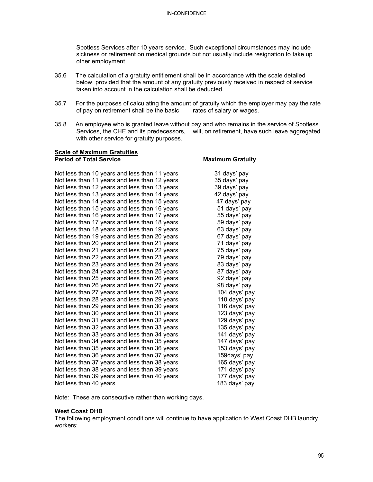Spotless Services after 10 years service. Such exceptional circumstances may include sickness or retirement on medical grounds but not usually include resignation to take up other employment.

- 35.6 The calculation of a gratuity entitlement shall be in accordance with the scale detailed below, provided that the amount of any gratuity previously received in respect of service taken into account in the calculation shall be deducted.
- 35.7 For the purposes of calculating the amount of gratuity which the employer may pay the rate of pay on retirement shall be the basic rates of salary or wages. of pay on retirement shall be the basic
- 35.8 An employee who is granted leave without pay and who remains in the service of Spotless Services, the CHE and its predecessors, will, on retirement, have such leave aggregated with other service for gratuity purposes.

| <b>Scale of Maximum Gratuities</b>            |                         |  |  |
|-----------------------------------------------|-------------------------|--|--|
| <b>Period of Total Service</b>                | <b>Maximum Gratuity</b> |  |  |
| Not less than 10 years and less than 11 years | 31 days' pay            |  |  |
| Not less than 11 years and less than 12 years | 35 days' pay            |  |  |
| Not less than 12 years and less than 13 years | 39 days' pay            |  |  |
| Not less than 13 years and less than 14 years | 42 days' pay            |  |  |
| Not less than 14 years and less than 15 years | 47 days' pay            |  |  |
| Not less than 15 years and less than 16 years | 51 days' pay            |  |  |
| Not less than 16 years and less than 17 years | 55 days' pay            |  |  |
| Not less than 17 years and less than 18 years | 59 days' pay            |  |  |
| Not less than 18 years and less than 19 years | 63 days' pay            |  |  |
| Not less than 19 years and less than 20 years | 67 days' pay            |  |  |
| Not less than 20 years and less than 21 years | 71 days' pay            |  |  |
| Not less than 21 years and less than 22 years | 75 days' pay            |  |  |
| Not less than 22 years and less than 23 years | 79 days' pay            |  |  |
| Not less than 23 years and less than 24 years | 83 days' pay            |  |  |
| Not less than 24 years and less than 25 years | 87 days' pay            |  |  |
| Not less than 25 years and less than 26 years | 92 days' pay            |  |  |
| Not less than 26 years and less than 27 years | 98 days' pay            |  |  |
| Not less than 27 years and less than 28 years | 104 days' pay           |  |  |
| Not less than 28 years and less than 29 years | 110 days' pay           |  |  |
| Not less than 29 years and less than 30 years | 116 days' pay           |  |  |
| Not less than 30 years and less than 31 years | 123 days' pay           |  |  |
| Not less than 31 years and less than 32 years | 129 days' pay           |  |  |
| Not less than 32 years and less than 33 years | 135 days' pay           |  |  |
| Not less than 33 years and less than 34 years | 141 days' pay           |  |  |
| Not less than 34 years and less than 35 years | 147 days' pay           |  |  |
| Not less than 35 years and less than 36 years | 153 days' pay           |  |  |
| Not less than 36 years and less than 37 years | 159days' pay            |  |  |
| Not less than 37 years and less than 38 years | 165 days' pay           |  |  |
| Not less than 38 years and less than 39 years | 171 days' pay           |  |  |
| Not less than 39 years and less than 40 years | 177 days' pay           |  |  |
| Not less than 40 years                        | 183 days' pay           |  |  |

Note: These are consecutive rather than working days.

#### **West Coast DHB**

The following employment conditions will continue to have application to West Coast DHB laundry workers: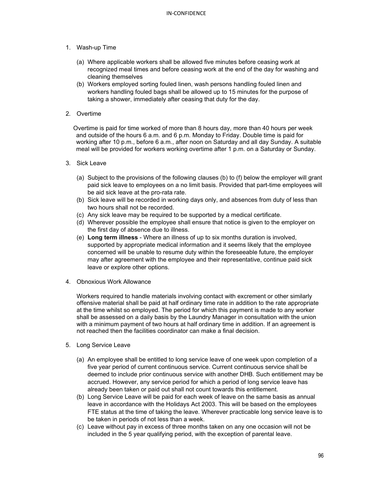- 1. Wash-up Time
	- (a) Where applicable workers shall be allowed five minutes before ceasing work at recognized meal times and before ceasing work at the end of the day for washing and cleaning themselves
	- (b) Workers employed sorting fouled linen, wash persons handling fouled linen and workers handling fouled bags shall be allowed up to 15 minutes for the purpose of taking a shower, immediately after ceasing that duty for the day.
- 2. Overtime

 Overtime is paid for time worked of more than 8 hours day, more than 40 hours per week and outside of the hours 6 a.m. and 6 p.m. Monday to Friday. Double time is paid for working after 10 p.m., before 6 a.m., after noon on Saturday and all day Sunday. A suitable meal will be provided for workers working overtime after 1 p.m. on a Saturday or Sunday.

- 3. Sick Leave
	- (a) Subject to the provisions of the following clauses (b) to (f) below the employer will grant paid sick leave to employees on a no limit basis. Provided that part-time employees will be aid sick leave at the pro-rata rate.
	- (b) Sick leave will be recorded in working days only, and absences from duty of less than two hours shall not be recorded.
	- (c) Any sick leave may be required to be supported by a medical certificate.
	- (d) Wherever possible the employee shall ensure that notice is given to the employer on the first day of absence due to illness.
	- (e) **Long term illness** Where an illness of up to six months duration is involved, supported by appropriate medical information and it seems likely that the employee concerned will be unable to resume duty within the foreseeable future, the employer may after agreement with the employee and their representative, continue paid sick leave or explore other options.
- 4. Obnoxious Work Allowance

Workers required to handle materials involving contact with excrement or other similarly offensive material shall be paid at half ordinary time rate in addition to the rate appropriate at the time whilst so employed. The period for which this payment is made to any worker shall be assessed on a daily basis by the Laundry Manager in consultation with the union with a minimum payment of two hours at half ordinary time in addition. If an agreement is not reached then the facilities coordinator can make a final decision.

- 5. Long Service Leave
	- (a) An employee shall be entitled to long service leave of one week upon completion of a five year period of current continuous service. Current continuous service shall be deemed to include prior continuous service with another DHB. Such entitlement may be accrued. However, any service period for which a period of long service leave has already been taken or paid out shall not count towards this entitlement.
	- (b) Long Service Leave will be paid for each week of leave on the same basis as annual leave in accordance with the Holidays Act 2003. This will be based on the employees FTE status at the time of taking the leave. Wherever practicable long service leave is to be taken in periods of not less than a week.
	- (c) Leave without pay in excess of three months taken on any one occasion will not be included in the 5 year qualifying period, with the exception of parental leave.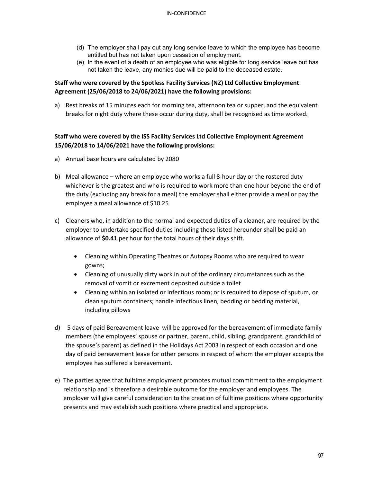- (d) The employer shall pay out any long service leave to which the employee has become entitled but has not taken upon cessation of employment.
- (e) In the event of a death of an employee who was eligible for long service leave but has not taken the leave, any monies due will be paid to the deceased estate.

# **Staff who were covered by the Spotless Facility Services (NZ) Ltd Collective Employment Agreement (25/06/2018 to 24/06/2021) have the following provisions:**

a) Rest breaks of 15 minutes each for morning tea, afternoon tea or supper, and the equivalent breaks for night duty where these occur during duty, shall be recognised as time worked.

# **Staff who were covered by the ISS Facility Services Ltd Collective Employment Agreement 15/06/2018 to 14/06/2021 have the following provisions:**

- a) Annual base hours are calculated by 2080
- b) Meal allowance where an employee who works a full 8-hour day or the rostered duty whichever is the greatest and who is required to work more than one hour beyond the end of the duty (excluding any break for a meal) the employer shall either provide a meal or pay the employee a meal allowance of \$10.25
- c) Cleaners who, in addition to the normal and expected duties of a cleaner, are required by the employer to undertake specified duties including those listed hereunder shall be paid an allowance of **\$0.41** per hour for the total hours of their days shift.
	- Cleaning within Operating Theatres or Autopsy Rooms who are required to wear gowns;
	- Cleaning of unusually dirty work in out of the ordinary circumstances such as the removal of vomit or excrement deposited outside a toilet
	- Cleaning within an isolated or infectious room; or is required to dispose of sputum, or clean sputum containers; handle infectious linen, bedding or bedding material, including pillows
- d) 5 days of paid Bereavement leave will be approved for the bereavement of immediate family members (the employees' spouse or partner, parent, child, sibling, grandparent, grandchild of the spouse's parent) as defined in the Holidays Act 2003 in respect of each occasion and one day of paid bereavement leave for other persons in respect of whom the employer accepts the employee has suffered a bereavement.
- e) The parties agree that fulltime employment promotes mutual commitment to the employment relationship and is therefore a desirable outcome for the employer and employees. The employer will give careful consideration to the creation of fulltime positions where opportunity presents and may establish such positions where practical and appropriate.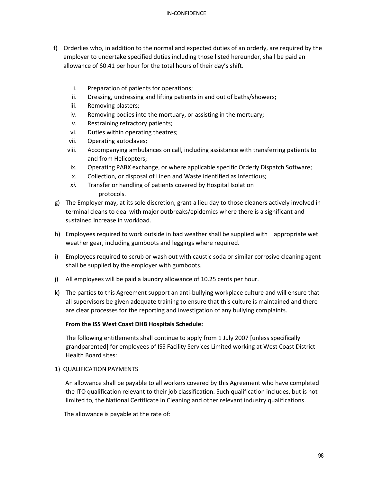- f) Orderlies who, in addition to the normal and expected duties of an orderly, are required by the employer to undertake specified duties including those listed hereunder, shall be paid an allowance of \$0.41 per hour for the total hours of their day's shift.
	- i. Preparation of patients for operations;
	- ii. Dressing, undressing and lifting patients in and out of baths/showers;
	- iii. Removing plasters;
	- iv. Removing bodies into the mortuary, or assisting in the mortuary;
	- v. Restraining refractory patients;
	- vi. Duties within operating theatres;
	- vii. Operating autoclaves;
	- viii. Accompanying ambulances on call, including assistance with transferring patients to and from Helicopters;
	- ix. Operating PABX exchange, or where applicable specific Orderly Dispatch Software;
	- x. Collection, or disposal of Linen and Waste identified as Infectious;
	- *xi.* Transfer or handling of patients covered by Hospital Isolation protocols.
- g) The Employer may, at its sole discretion, grant a lieu day to those cleaners actively involved in terminal cleans to deal with major outbreaks/epidemics where there is a significant and sustained increase in workload.
- h) Employees required to work outside in bad weather shall be supplied with appropriate wet weather gear, including gumboots and leggings where required.
- i) Employees required to scrub or wash out with caustic soda or similar corrosive cleaning agent shall be supplied by the employer with gumboots.
- j) All employees will be paid a laundry allowance of 10.25 cents per hour.
- k) The parties to this Agreement support an anti-bullying workplace culture and will ensure that all supervisors be given adequate training to ensure that this culture is maintained and there are clear processes for the reporting and investigation of any bullying complaints.

# **From the ISS West Coast DHB Hospitals Schedule:**

The following entitlements shall continue to apply from 1 July 2007 [unless specifically grandparented] for employees of ISS Facility Services Limited working at West Coast District Health Board sites:

# 1) QUALIFICATION PAYMENTS

 An allowance shall be payable to all workers covered by this Agreement who have completed the ITO qualification relevant to their job classification. Such qualification includes, but is not limited to, the National Certificate in Cleaning and other relevant industry qualifications.

The allowance is payable at the rate of: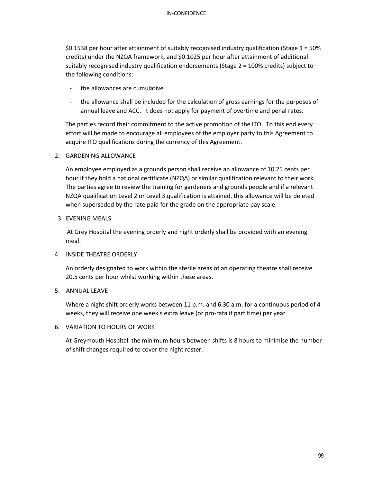\$0.1538 per hour after attainment of suitably recognised industry qualification (Stage 1 = 50% credits) under the NZQA framework, and \$0.1025 per hour after attainment of additional suitably recognised industry qualification endorsements (Stage 2 = 100% credits) subject to the following conditions:

- the allowances are cumulative
- the allowance shall be included for the calculation of gross earnings for the purposes of annual leave and ACC. It does not apply for payment of overtime and penal rates.

 The parties record their commitment to the active promotion of the ITO. To this end every effort will be made to encourage all employees of the employer party to this Agreement to acquire ITO qualifications during the currency of this Agreement.

# 2. GARDENING ALLOWANCE

An employee employed as a grounds person shall receive an allowance of 10.25 cents per hour if they hold a national certificate (NZQA) or similar qualification relevant to their work. The parties agree to review the training for gardeners and grounds people and if a relevant NZQA qualification Level 2 or Level 3 qualification is attained, this allowance will be deleted when superseded by the rate paid for the grade on the appropriate pay scale.

# 3. EVENING MEALS

 At Grey Hospital the evening orderly and night orderly shall be provided with an evening meal.

# 4. INSIDE THEATRE ORDERLY

An orderly designated to work within the sterile areas of an operating theatre shall receive 20.5 cents per hour whilst working within these areas.

# 5. ANNUAL LEAVE

Where a night shift orderly works between 11 p.m. and 6.30 a.m. for a continuous period of 4 weeks, they will receive one week's extra leave (or pro-rata if part time) per year.

# 6. VARIATION TO HOURS OF WORK

At Greymouth Hospital the minimum hours between shifts is 8 hours to minimise the number of shift changes required to cover the night roster.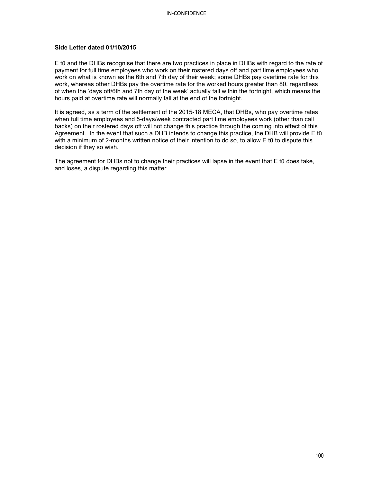### **Side Letter dated 01/10/2015**

E tū and the DHBs recognise that there are two practices in place in DHBs with regard to the rate of payment for full time employees who work on their rostered days off and part time employees who work on what is known as the 6th and 7th day of their week; some DHBs pay overtime rate for this work, whereas other DHBs pay the overtime rate for the worked hours greater than 80, regardless of when the 'days off/6th and 7th day of the week' actually fall within the fortnight, which means the hours paid at overtime rate will normally fall at the end of the fortnight.

It is agreed, as a term of the settlement of the 2015-18 MECA, that DHBs, who pay overtime rates when full time employees and 5-days/week contracted part time employees work (other than call backs) on their rostered days off will not change this practice through the coming into effect of this Agreement. In the event that such a DHB intends to change this practice, the DHB will provide E tū with a minimum of 2-months written notice of their intention to do so, to allow E tū to dispute this decision if they so wish.

The agreement for DHBs not to change their practices will lapse in the event that E tū does take, and loses, a dispute regarding this matter.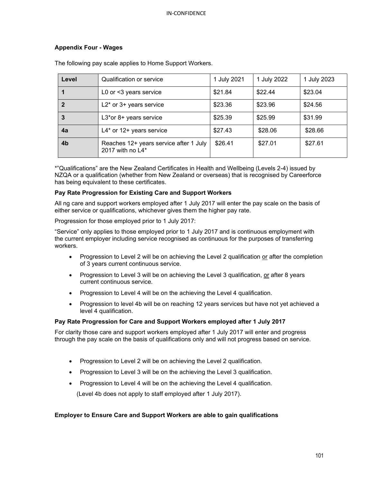# **Appendix Four - Wages**

| Level | Qualification or service                                      | 1 July 2021 | 1 July 2022 | 1 July 2023 |
|-------|---------------------------------------------------------------|-------------|-------------|-------------|
|       | L0 or <3 years service                                        | \$21.84     | \$22.44     | \$23.04     |
|       | $L2^*$ or 3+ years service                                    | \$23.36     | \$23.96     | \$24.56     |
| 3     | L3*or 8+ years service                                        | \$25.39     | \$25.99     | \$31.99     |
| 4a    | L4* or 12+ years service                                      | \$27.43     | \$28.06     | \$28.66     |
| 4b    | Reaches 12+ years service after 1 July<br>2017 with no $L4^*$ | \$26.41     | \$27.01     | \$27.61     |

The following pay scale applies to Home Support Workers.

\*"Qualifications" are the New Zealand Certificates in Health and Wellbeing (Levels 2-4) issued by NZQA or a qualification (whether from New Zealand or overseas) that is recognised by Careerforce has being equivalent to these certificates.

# **Pay Rate Progression for Existing Care and Support Workers**

All ng care and support workers employed after 1 July 2017 will enter the pay scale on the basis of either service or qualifications, whichever gives them the higher pay rate.

Progression for those employed prior to 1 July 2017:

"Service" only applies to those employed prior to 1 July 2017 and is continuous employment with the current employer including service recognised as continuous for the purposes of transferring workers.

- Progression to Level 2 will be on achieving the Level 2 qualification or after the completion of 3 years current continuous service.
- Progression to Level 3 will be on achieving the Level 3 qualification, or after 8 years current continuous service.
- Progression to Level 4 will be on the achieving the Level 4 qualification.
- Progression to level 4b will be on reaching 12 years services but have not yet achieved a level 4 qualification.

#### **Pay Rate Progression for Care and Support Workers employed after 1 July 2017**

For clarity those care and support workers employed after 1 July 2017 will enter and progress through the pay scale on the basis of qualifications only and will not progress based on service.

- Progression to Level 2 will be on achieving the Level 2 qualification.
- Progression to Level 3 will be on the achieving the Level 3 qualification.
- Progression to Level 4 will be on the achieving the Level 4 qualification.

(Level 4b does not apply to staff employed after 1 July 2017).

#### **Employer to Ensure Care and Support Workers are able to gain qualifications**